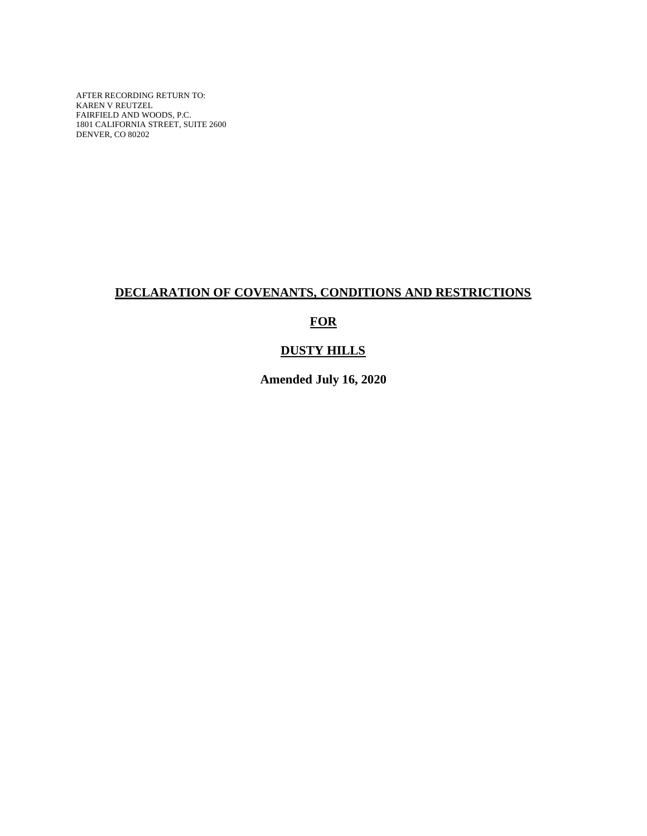AFTER RECORDING RETURN TO: KAREN V REUTZEL FAIRFIELD AND WOODS, P.C. 1801 CALIFORNIA STREET, SUITE 2600 DENVER, CO 80202

# **DECLARATION OF COVENANTS, CONDITIONS AND RESTRICTIONS**

# **FOR**

# **DUSTY HILLS**

**Amended July 16, 2020**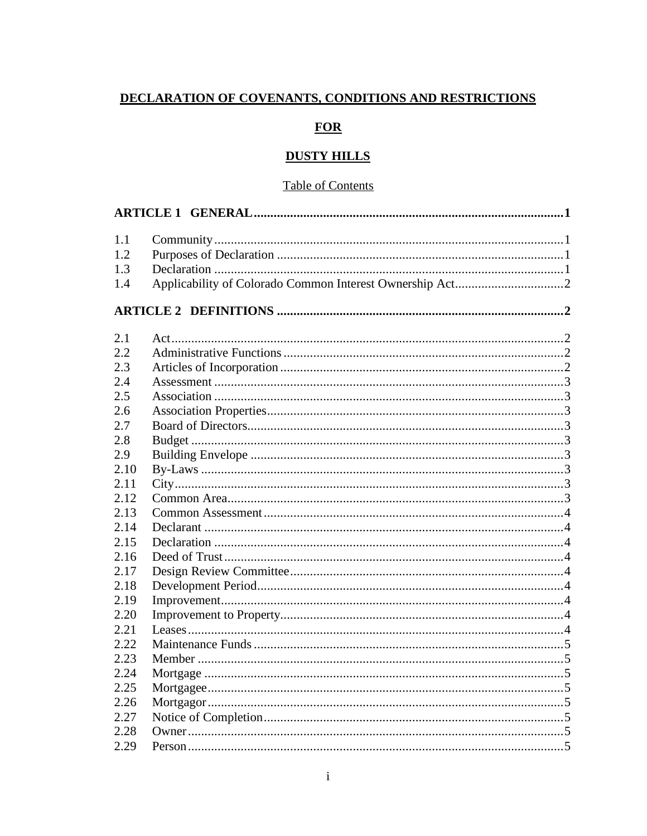# DECLARATION OF COVENANTS, CONDITIONS AND RESTRICTIONS

# **FOR**

# **DUSTY HILLS**

### **Table of Contents**

| 1.1  |  |  |
|------|--|--|
| 1.2  |  |  |
| 1.3  |  |  |
| 1.4  |  |  |
|      |  |  |
| 2.1  |  |  |
| 2.2  |  |  |
| 2.3  |  |  |
| 2.4  |  |  |
| 2.5  |  |  |
| 2.6  |  |  |
| 2.7  |  |  |
| 2.8  |  |  |
| 2.9  |  |  |
| 2.10 |  |  |
| 2.11 |  |  |
| 2.12 |  |  |
| 2.13 |  |  |
| 2.14 |  |  |
| 2.15 |  |  |
| 2.16 |  |  |
| 2.17 |  |  |
| 2.18 |  |  |
| 2.19 |  |  |
| 2.20 |  |  |
| 2.21 |  |  |
| 2.22 |  |  |
| 2.23 |  |  |
| 2.24 |  |  |
| 2.25 |  |  |
| 2.26 |  |  |
| 2.27 |  |  |
| 2.28 |  |  |
| 2.29 |  |  |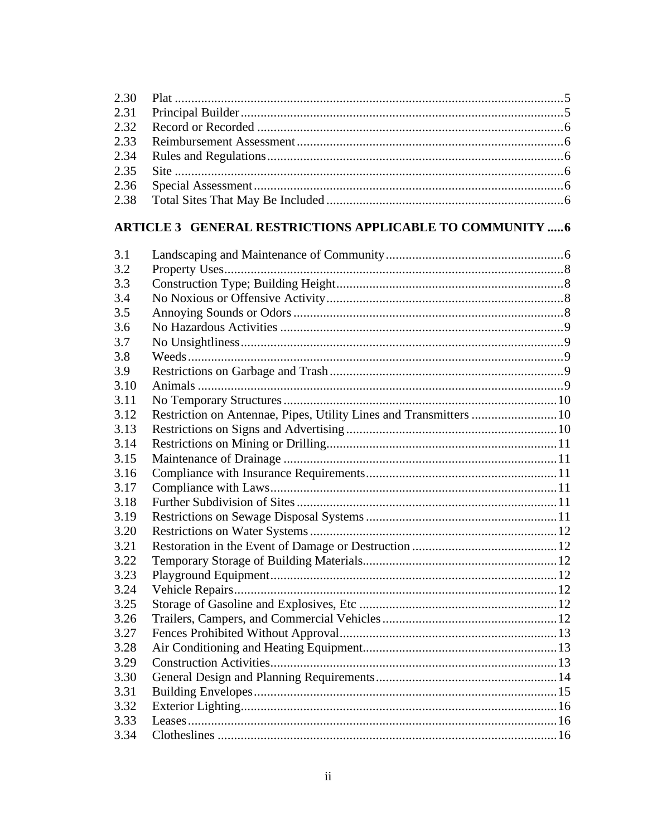# ARTICLE 3 GENERAL RESTRICTIONS APPLICABLE TO COMMUNITY .....6

| 3.1  |                                                                    |  |
|------|--------------------------------------------------------------------|--|
| 3.2  |                                                                    |  |
| 3.3  |                                                                    |  |
| 3.4  |                                                                    |  |
| 3.5  |                                                                    |  |
| 3.6  |                                                                    |  |
| 3.7  |                                                                    |  |
| 3.8  |                                                                    |  |
| 3.9  |                                                                    |  |
| 3.10 |                                                                    |  |
| 3.11 |                                                                    |  |
| 3.12 | Restriction on Antennae, Pipes, Utility Lines and Transmitters  10 |  |
| 3.13 |                                                                    |  |
| 3.14 |                                                                    |  |
| 3.15 |                                                                    |  |
| 3.16 |                                                                    |  |
| 3.17 |                                                                    |  |
| 3.18 |                                                                    |  |
| 3.19 |                                                                    |  |
| 3.20 |                                                                    |  |
| 3.21 |                                                                    |  |
| 3.22 |                                                                    |  |
| 3.23 |                                                                    |  |
| 3.24 |                                                                    |  |
| 3.25 |                                                                    |  |
| 3.26 |                                                                    |  |
| 3.27 |                                                                    |  |
| 3.28 |                                                                    |  |
| 3.29 |                                                                    |  |
| 3.30 |                                                                    |  |
| 3.31 |                                                                    |  |
| 3.32 |                                                                    |  |
| 3.33 |                                                                    |  |
| 3.34 |                                                                    |  |
|      |                                                                    |  |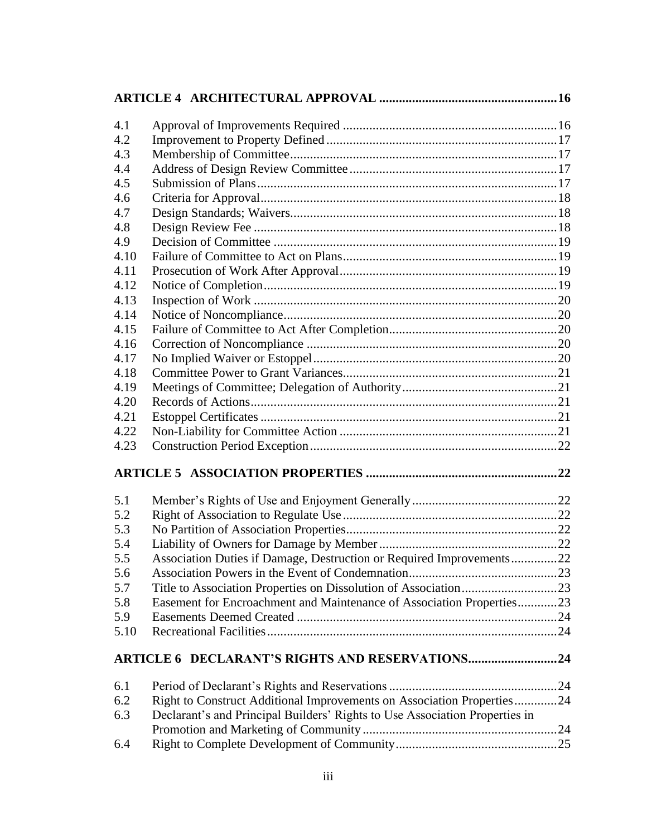| 4.1          |                                                                             |  |
|--------------|-----------------------------------------------------------------------------|--|
| 4.2          |                                                                             |  |
| 4.3          |                                                                             |  |
| 4.4          |                                                                             |  |
| 4.5          |                                                                             |  |
| 4.6          |                                                                             |  |
| 4.7          |                                                                             |  |
| 4.8          |                                                                             |  |
| 4.9          |                                                                             |  |
| 4.10         |                                                                             |  |
| 4.11         |                                                                             |  |
| 4.12         |                                                                             |  |
| 4.13         |                                                                             |  |
| 4.14         |                                                                             |  |
| 4.15         |                                                                             |  |
| 4.16         |                                                                             |  |
| 4.17         |                                                                             |  |
| 4.18         |                                                                             |  |
| 4.19         |                                                                             |  |
| 4.20         |                                                                             |  |
| 4.21<br>4.22 |                                                                             |  |
| 4.23         |                                                                             |  |
|              |                                                                             |  |
|              |                                                                             |  |
| 5.1          |                                                                             |  |
| 5.2          |                                                                             |  |
| 5.3          |                                                                             |  |
| 5.4          |                                                                             |  |
| 5.5          | Association Duties if Damage, Destruction or Required Improvements22        |  |
| 5.6          |                                                                             |  |
| 5.7          | Title to Association Properties on Dissolution of Association23             |  |
| 5.8          | Easement for Encroachment and Maintenance of Association Properties23       |  |
| 5.9          |                                                                             |  |
| 5.10         |                                                                             |  |
|              | <b>ARTICLE 6 DECLARANT'S RIGHTS AND RESERVATIONS24</b>                      |  |
| 6.1          |                                                                             |  |
| 6.2          | Right to Construct Additional Improvements on Association Properties24      |  |
| 6.3          | Declarant's and Principal Builders' Rights to Use Association Properties in |  |
|              |                                                                             |  |
| 6.4          |                                                                             |  |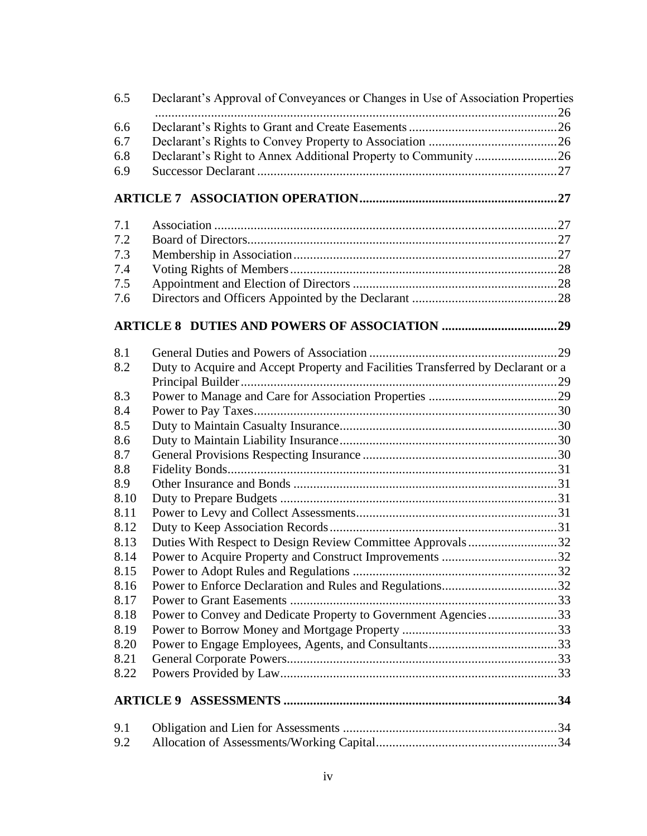| 6.5  | Declarant's Approval of Conveyances or Changes in Use of Association Properties  |  |
|------|----------------------------------------------------------------------------------|--|
|      |                                                                                  |  |
| 6.6  |                                                                                  |  |
| 6.7  |                                                                                  |  |
| 6.8  |                                                                                  |  |
| 6.9  |                                                                                  |  |
|      |                                                                                  |  |
| 7.1  |                                                                                  |  |
| 7.2  |                                                                                  |  |
| 7.3  |                                                                                  |  |
| 7.4  |                                                                                  |  |
| 7.5  |                                                                                  |  |
| 7.6  |                                                                                  |  |
|      |                                                                                  |  |
|      |                                                                                  |  |
| 8.1  |                                                                                  |  |
| 8.2  | Duty to Acquire and Accept Property and Facilities Transferred by Declarant or a |  |
|      |                                                                                  |  |
| 8.3  |                                                                                  |  |
| 8.4  |                                                                                  |  |
| 8.5  |                                                                                  |  |
| 8.6  |                                                                                  |  |
| 8.7  |                                                                                  |  |
| 8.8  |                                                                                  |  |
| 8.9  |                                                                                  |  |
| 8.10 |                                                                                  |  |
| 8.11 |                                                                                  |  |
| 8.12 |                                                                                  |  |
| 8.13 | Duties With Respect to Design Review Committee Approvals32                       |  |
| 8.14 | Power to Acquire Property and Construct Improvements 32                          |  |
| 8.15 |                                                                                  |  |
| 8.16 |                                                                                  |  |
| 8.17 |                                                                                  |  |
| 8.18 | Power to Convey and Dedicate Property to Government Agencies33                   |  |
| 8.19 |                                                                                  |  |
| 8.20 |                                                                                  |  |
| 8.21 |                                                                                  |  |
|      |                                                                                  |  |
| 8.22 |                                                                                  |  |
|      |                                                                                  |  |
| 9.1  |                                                                                  |  |
| 9.2  |                                                                                  |  |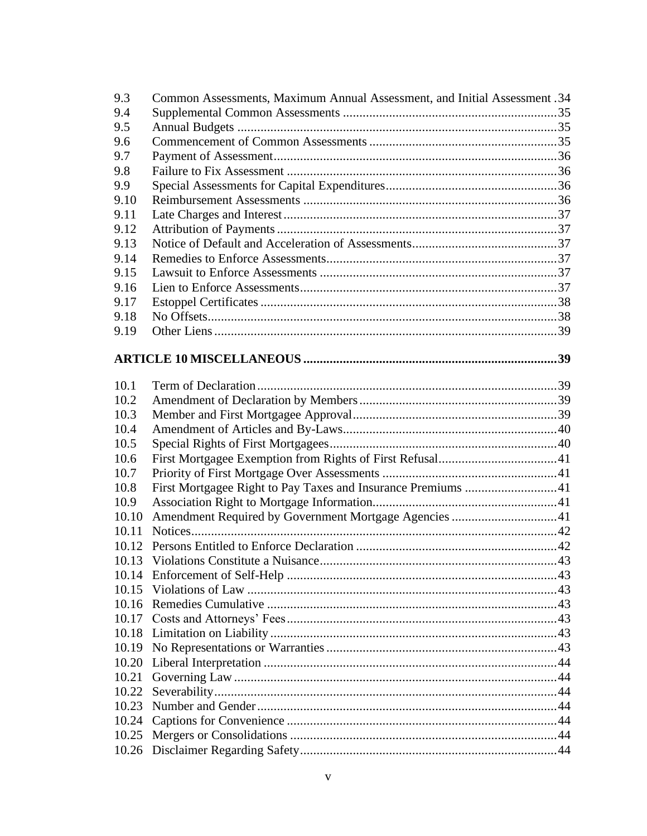| 9.3   | Common Assessments, Maximum Annual Assessment, and Initial Assessment .34 |  |
|-------|---------------------------------------------------------------------------|--|
| 9.4   |                                                                           |  |
| 9.5   |                                                                           |  |
| 9.6   |                                                                           |  |
| 9.7   |                                                                           |  |
| 9.8   |                                                                           |  |
| 9.9   |                                                                           |  |
| 9.10  |                                                                           |  |
| 9.11  |                                                                           |  |
| 9.12  |                                                                           |  |
| 9.13  |                                                                           |  |
| 9.14  |                                                                           |  |
| 9.15  |                                                                           |  |
| 9.16  |                                                                           |  |
| 9.17  |                                                                           |  |
| 9.18  |                                                                           |  |
| 9.19  |                                                                           |  |
|       |                                                                           |  |
|       |                                                                           |  |
| 10.1  |                                                                           |  |
| 10.2  |                                                                           |  |
| 10.3  |                                                                           |  |
| 10.4  |                                                                           |  |
| 10.5  |                                                                           |  |
| 10.6  |                                                                           |  |
| 10.7  |                                                                           |  |
| 10.8  |                                                                           |  |
| 10.9  |                                                                           |  |
| 10.10 | Amendment Required by Government Mortgage Agencies 41                     |  |
| 10.11 |                                                                           |  |
|       |                                                                           |  |
|       |                                                                           |  |
|       |                                                                           |  |
|       |                                                                           |  |
|       |                                                                           |  |
| 10.17 |                                                                           |  |
|       |                                                                           |  |
|       |                                                                           |  |
| 10.20 |                                                                           |  |
| 10.21 |                                                                           |  |
|       |                                                                           |  |
|       |                                                                           |  |
| 10.24 |                                                                           |  |
|       |                                                                           |  |
|       |                                                                           |  |
|       |                                                                           |  |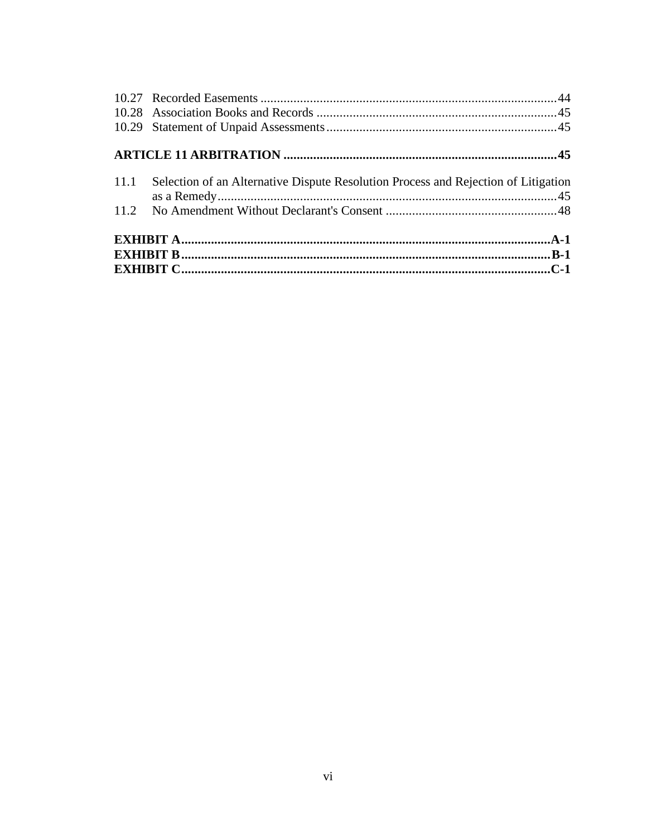| 11.1 Selection of an Alternative Dispute Resolution Process and Rejection of Litigation |  |  |  |
|-----------------------------------------------------------------------------------------|--|--|--|
|                                                                                         |  |  |  |
|                                                                                         |  |  |  |
|                                                                                         |  |  |  |
|                                                                                         |  |  |  |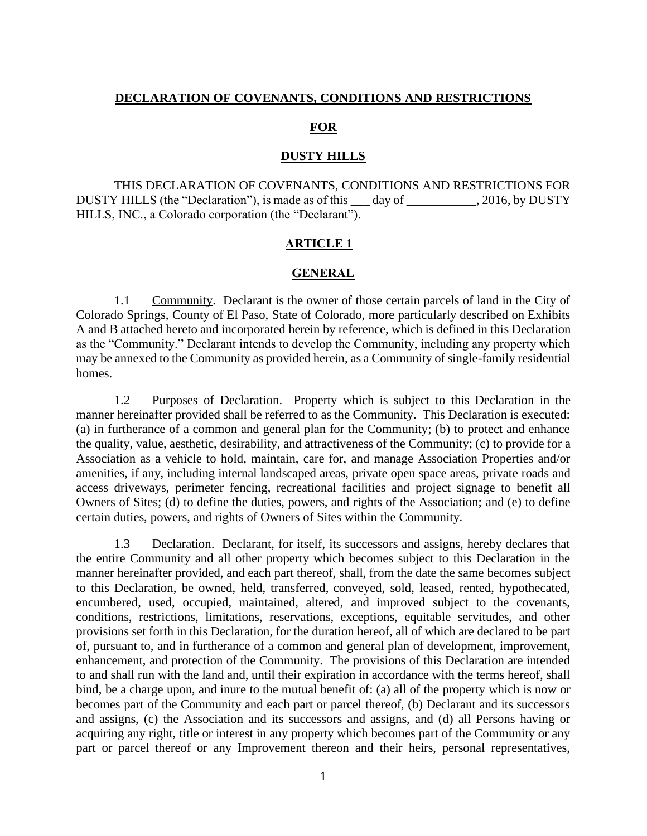#### **DECLARATION OF COVENANTS, CONDITIONS AND RESTRICTIONS**

#### **FOR**

#### **DUSTY HILLS**

THIS DECLARATION OF COVENANTS, CONDITIONS AND RESTRICTIONS FOR DUSTY HILLS (the "Declaration"), is made as of this day of  $\qquad \qquad$ , 2016, by DUSTY HILLS, INC., a Colorado corporation (the "Declarant").

#### **ARTICLE 1**

#### **GENERAL**

<span id="page-7-1"></span><span id="page-7-0"></span>1.1 Community. Declarant is the owner of those certain parcels of land in the City of Colorado Springs, County of El Paso, State of Colorado, more particularly described on Exhibits A and B attached hereto and incorporated herein by reference, which is defined in this Declaration as the "Community." Declarant intends to develop the Community, including any property which may be annexed to the Community as provided herein, as a Community of single-family residential homes.

<span id="page-7-2"></span>1.2 Purposes of Declaration. Property which is subject to this Declaration in the manner hereinafter provided shall be referred to as the Community. This Declaration is executed: (a) in furtherance of a common and general plan for the Community; (b) to protect and enhance the quality, value, aesthetic, desirability, and attractiveness of the Community; (c) to provide for a Association as a vehicle to hold, maintain, care for, and manage Association Properties and/or amenities, if any, including internal landscaped areas, private open space areas, private roads and access driveways, perimeter fencing, recreational facilities and project signage to benefit all Owners of Sites; (d) to define the duties, powers, and rights of the Association; and (e) to define certain duties, powers, and rights of Owners of Sites within the Community.

<span id="page-7-3"></span>1.3 Declaration. Declarant, for itself, its successors and assigns, hereby declares that the entire Community and all other property which becomes subject to this Declaration in the manner hereinafter provided, and each part thereof, shall, from the date the same becomes subject to this Declaration, be owned, held, transferred, conveyed, sold, leased, rented, hypothecated, encumbered, used, occupied, maintained, altered, and improved subject to the covenants, conditions, restrictions, limitations, reservations, exceptions, equitable servitudes, and other provisions set forth in this Declaration, for the duration hereof, all of which are declared to be part of, pursuant to, and in furtherance of a common and general plan of development, improvement, enhancement, and protection of the Community. The provisions of this Declaration are intended to and shall run with the land and, until their expiration in accordance with the terms hereof, shall bind, be a charge upon, and inure to the mutual benefit of: (a) all of the property which is now or becomes part of the Community and each part or parcel thereof, (b) Declarant and its successors and assigns, (c) the Association and its successors and assigns, and (d) all Persons having or acquiring any right, title or interest in any property which becomes part of the Community or any part or parcel thereof or any Improvement thereon and their heirs, personal representatives,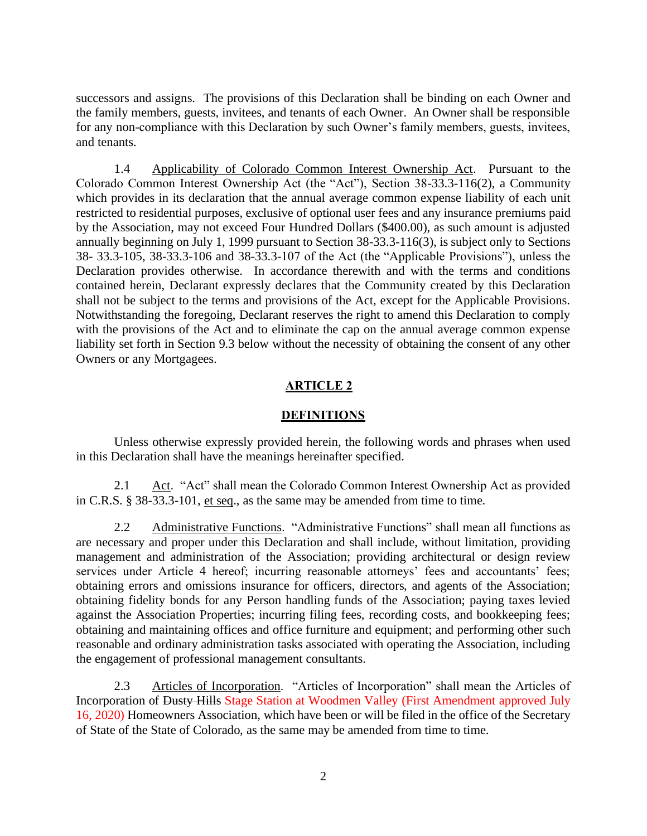successors and assigns. The provisions of this Declaration shall be binding on each Owner and the family members, guests, invitees, and tenants of each Owner. An Owner shall be responsible for any non-compliance with this Declaration by such Owner's family members, guests, invitees, and tenants.

<span id="page-8-0"></span>1.4 Applicability of Colorado Common Interest Ownership Act. Pursuant to the Colorado Common Interest Ownership Act (the "Act"), Section 38-33.3-116(2), a Community which provides in its declaration that the annual average common expense liability of each unit restricted to residential purposes, exclusive of optional user fees and any insurance premiums paid by the Association, may not exceed Four Hundred Dollars (\$400.00), as such amount is adjusted annually beginning on July 1, 1999 pursuant to Section 38-33.3-116(3), is subject only to Sections 38- 33.3-105, 38-33.3-106 and 38-33.3-107 of the Act (the "Applicable Provisions"), unless the Declaration provides otherwise. In accordance therewith and with the terms and conditions contained herein, Declarant expressly declares that the Community created by this Declaration shall not be subject to the terms and provisions of the Act, except for the Applicable Provisions. Notwithstanding the foregoing, Declarant reserves the right to amend this Declaration to comply with the provisions of the Act and to eliminate the cap on the annual average common expense liability set forth in Section 9.3 below without the necessity of obtaining the consent of any other Owners or any Mortgagees.

### **ARTICLE 2**

#### **DEFINITIONS**

<span id="page-8-1"></span>Unless otherwise expressly provided herein, the following words and phrases when used in this Declaration shall have the meanings hereinafter specified.

<span id="page-8-2"></span>2.1  $\Delta ct$ . "Act" shall mean the Colorado Common Interest Ownership Act as provided in C.R.S. § 38-33.3-101, et seq., as the same may be amended from time to time.

<span id="page-8-3"></span>2.2 Administrative Functions. "Administrative Functions" shall mean all functions as are necessary and proper under this Declaration and shall include, without limitation, providing management and administration of the Association; providing architectural or design review services under Article 4 hereof; incurring reasonable attorneys' fees and accountants' fees; obtaining errors and omissions insurance for officers, directors, and agents of the Association; obtaining fidelity bonds for any Person handling funds of the Association; paying taxes levied against the Association Properties; incurring filing fees, recording costs, and bookkeeping fees; obtaining and maintaining offices and office furniture and equipment; and performing other such reasonable and ordinary administration tasks associated with operating the Association, including the engagement of professional management consultants.

<span id="page-8-4"></span>2.3 Articles of Incorporation. "Articles of Incorporation" shall mean the Articles of Incorporation of Dusty Hills Stage Station at Woodmen Valley (First Amendment approved July 16, 2020) Homeowners Association, which have been or will be filed in the office of the Secretary of State of the State of Colorado, as the same may be amended from time to time.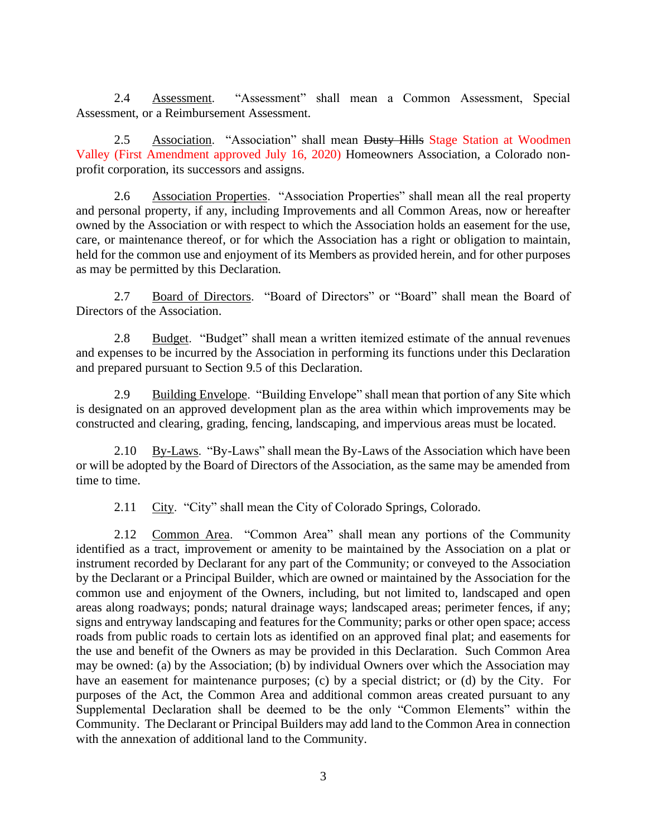<span id="page-9-0"></span>2.4 Assessment. "Assessment" shall mean a Common Assessment, Special Assessment, or a Reimbursement Assessment.

<span id="page-9-1"></span>2.5 Association. "Association" shall mean Dusty Hills Stage Station at Woodmen Valley (First Amendment approved July 16, 2020) Homeowners Association, a Colorado nonprofit corporation, its successors and assigns.

<span id="page-9-2"></span>2.6 Association Properties. "Association Properties" shall mean all the real property and personal property, if any, including Improvements and all Common Areas, now or hereafter owned by the Association or with respect to which the Association holds an easement for the use, care, or maintenance thereof, or for which the Association has a right or obligation to maintain, held for the common use and enjoyment of its Members as provided herein, and for other purposes as may be permitted by this Declaration.

<span id="page-9-3"></span>2.7 Board of Directors. "Board of Directors" or "Board" shall mean the Board of Directors of the Association.

<span id="page-9-4"></span>2.8 Budget. "Budget" shall mean a written itemized estimate of the annual revenues and expenses to be incurred by the Association in performing its functions under this Declaration and prepared pursuant to Section 9.5 of this Declaration.

<span id="page-9-5"></span>2.9 Building Envelope. "Building Envelope" shall mean that portion of any Site which is designated on an approved development plan as the area within which improvements may be constructed and clearing, grading, fencing, landscaping, and impervious areas must be located.

<span id="page-9-6"></span>2.10 By-Laws. "By-Laws" shall mean the By-Laws of the Association which have been or will be adopted by the Board of Directors of the Association, as the same may be amended from time to time.

2.11 City. "City" shall mean the City of Colorado Springs, Colorado.

<span id="page-9-8"></span><span id="page-9-7"></span>2.12 Common Area. "Common Area" shall mean any portions of the Community identified as a tract, improvement or amenity to be maintained by the Association on a plat or instrument recorded by Declarant for any part of the Community; or conveyed to the Association by the Declarant or a Principal Builder, which are owned or maintained by the Association for the common use and enjoyment of the Owners, including, but not limited to, landscaped and open areas along roadways; ponds; natural drainage ways; landscaped areas; perimeter fences, if any; signs and entryway landscaping and features for the Community; parks or other open space; access roads from public roads to certain lots as identified on an approved final plat; and easements for the use and benefit of the Owners as may be provided in this Declaration. Such Common Area may be owned: (a) by the Association; (b) by individual Owners over which the Association may have an easement for maintenance purposes; (c) by a special district; or (d) by the City. For purposes of the Act, the Common Area and additional common areas created pursuant to any Supplemental Declaration shall be deemed to be the only "Common Elements" within the Community. The Declarant or Principal Builders may add land to the Common Area in connection with the annexation of additional land to the Community.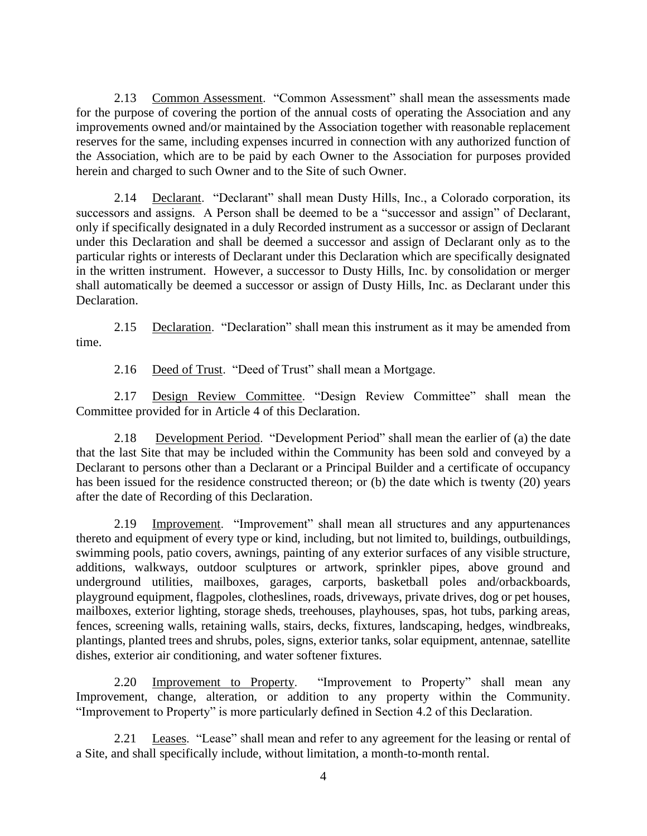<span id="page-10-0"></span>2.13 Common Assessment. "Common Assessment" shall mean the assessments made for the purpose of covering the portion of the annual costs of operating the Association and any improvements owned and/or maintained by the Association together with reasonable replacement reserves for the same, including expenses incurred in connection with any authorized function of the Association, which are to be paid by each Owner to the Association for purposes provided herein and charged to such Owner and to the Site of such Owner.

<span id="page-10-1"></span>2.14 Declarant. "Declarant" shall mean Dusty Hills, Inc., a Colorado corporation, its successors and assigns. A Person shall be deemed to be a "successor and assign" of Declarant, only if specifically designated in a duly Recorded instrument as a successor or assign of Declarant under this Declaration and shall be deemed a successor and assign of Declarant only as to the particular rights or interests of Declarant under this Declaration which are specifically designated in the written instrument. However, a successor to Dusty Hills, Inc. by consolidation or merger shall automatically be deemed a successor or assign of Dusty Hills, Inc. as Declarant under this Declaration.

<span id="page-10-2"></span>2.15 Declaration. "Declaration" shall mean this instrument as it may be amended from time.

2.16 Deed of Trust. "Deed of Trust" shall mean a Mortgage.

<span id="page-10-4"></span><span id="page-10-3"></span>2.17 Design Review Committee. "Design Review Committee" shall mean the Committee provided for in Article 4 of this Declaration.

<span id="page-10-5"></span>2.18 Development Period. "Development Period" shall mean the earlier of (a) the date that the last Site that may be included within the Community has been sold and conveyed by a Declarant to persons other than a Declarant or a Principal Builder and a certificate of occupancy has been issued for the residence constructed thereon; or (b) the date which is twenty (20) years after the date of Recording of this Declaration.

<span id="page-10-6"></span>2.19 Improvement. "Improvement" shall mean all structures and any appurtenances thereto and equipment of every type or kind, including, but not limited to, buildings, outbuildings, swimming pools, patio covers, awnings, painting of any exterior surfaces of any visible structure, additions, walkways, outdoor sculptures or artwork, sprinkler pipes, above ground and underground utilities, mailboxes, garages, carports, basketball poles and/orbackboards, playground equipment, flagpoles, clotheslines, roads, driveways, private drives, dog or pet houses, mailboxes, exterior lighting, storage sheds, treehouses, playhouses, spas, hot tubs, parking areas, fences, screening walls, retaining walls, stairs, decks, fixtures, landscaping, hedges, windbreaks, plantings, planted trees and shrubs, poles, signs, exterior tanks, solar equipment, antennae, satellite dishes, exterior air conditioning, and water softener fixtures.

<span id="page-10-7"></span>2.20 Improvement to Property. "Improvement to Property" shall mean any Improvement, change, alteration, or addition to any property within the Community. "Improvement to Property" is more particularly defined in Section 4.2 of this Declaration.

<span id="page-10-8"></span>2.21 Leases. "Lease" shall mean and refer to any agreement for the leasing or rental of a Site, and shall specifically include, without limitation, a month-to-month rental.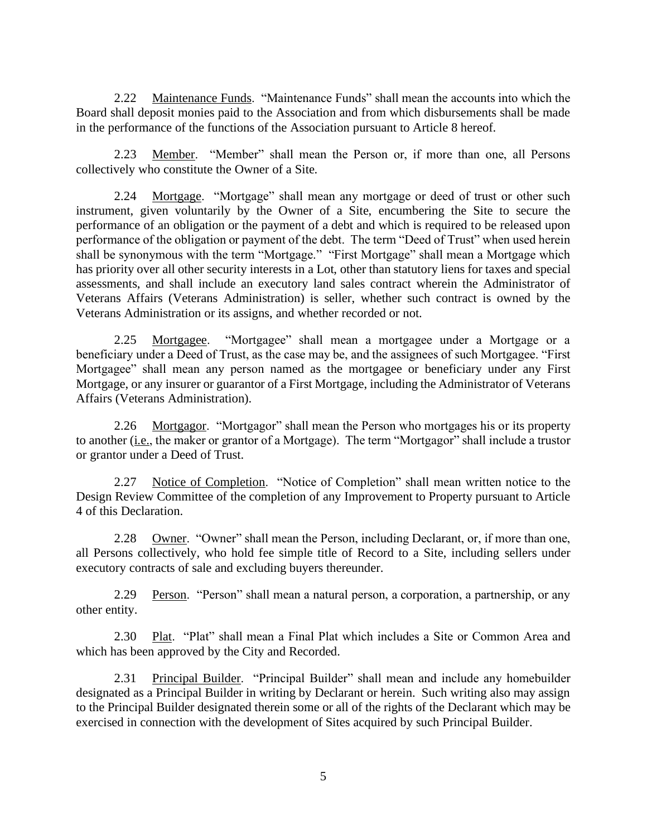<span id="page-11-0"></span>2.22 Maintenance Funds. "Maintenance Funds" shall mean the accounts into which the Board shall deposit monies paid to the Association and from which disbursements shall be made in the performance of the functions of the Association pursuant to Article 8 hereof.

<span id="page-11-1"></span>2.23 Member. "Member" shall mean the Person or, if more than one, all Persons collectively who constitute the Owner of a Site.

<span id="page-11-2"></span>2.24 Mortgage. "Mortgage" shall mean any mortgage or deed of trust or other such instrument, given voluntarily by the Owner of a Site, encumbering the Site to secure the performance of an obligation or the payment of a debt and which is required to be released upon performance of the obligation or payment of the debt. The term "Deed of Trust" when used herein shall be synonymous with the term "Mortgage." "First Mortgage" shall mean a Mortgage which has priority over all other security interests in a Lot, other than statutory liens for taxes and special assessments, and shall include an executory land sales contract wherein the Administrator of Veterans Affairs (Veterans Administration) is seller, whether such contract is owned by the Veterans Administration or its assigns, and whether recorded or not.

<span id="page-11-3"></span>2.25 Mortgagee. "Mortgagee" shall mean a mortgagee under a Mortgage or a beneficiary under a Deed of Trust, as the case may be, and the assignees of such Mortgagee. "First Mortgagee" shall mean any person named as the mortgagee or beneficiary under any First Mortgage, or any insurer or guarantor of a First Mortgage, including the Administrator of Veterans Affairs (Veterans Administration).

<span id="page-11-4"></span>2.26 Mortgagor. "Mortgagor" shall mean the Person who mortgages his or its property to another (*i.e.*, the maker or grantor of a Mortgage). The term "Mortgagor" shall include a trustor or grantor under a Deed of Trust.

<span id="page-11-5"></span>2.27 Notice of Completion. "Notice of Completion" shall mean written notice to the Design Review Committee of the completion of any Improvement to Property pursuant to Article 4 of this Declaration.

<span id="page-11-6"></span>2.28 Owner. "Owner" shall mean the Person, including Declarant, or, if more than one, all Persons collectively, who hold fee simple title of Record to a Site, including sellers under executory contracts of sale and excluding buyers thereunder.

<span id="page-11-7"></span>2.29 Person. "Person" shall mean a natural person, a corporation, a partnership, or any other entity.

<span id="page-11-8"></span>2.30 Plat. "Plat" shall mean a Final Plat which includes a Site or Common Area and which has been approved by the City and Recorded.

<span id="page-11-9"></span>2.31 Principal Builder. "Principal Builder" shall mean and include any homebuilder designated as a Principal Builder in writing by Declarant or herein. Such writing also may assign to the Principal Builder designated therein some or all of the rights of the Declarant which may be exercised in connection with the development of Sites acquired by such Principal Builder.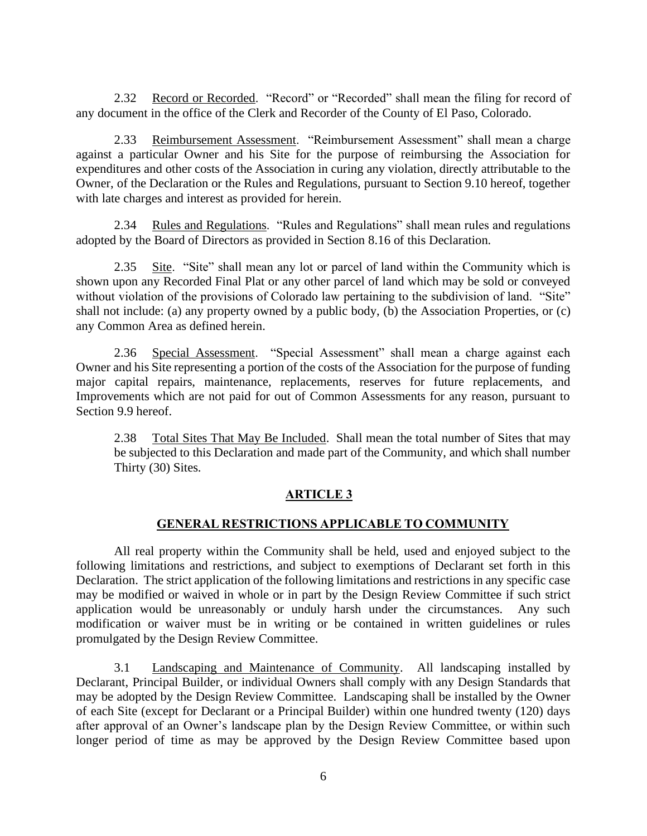<span id="page-12-0"></span>2.32 Record or Recorded. "Record" or "Recorded" shall mean the filing for record of any document in the office of the Clerk and Recorder of the County of El Paso, Colorado.

<span id="page-12-1"></span>2.33 Reimbursement Assessment. "Reimbursement Assessment" shall mean a charge against a particular Owner and his Site for the purpose of reimbursing the Association for expenditures and other costs of the Association in curing any violation, directly attributable to the Owner, of the Declaration or the Rules and Regulations, pursuant to Section 9.10 hereof, together with late charges and interest as provided for herein.

<span id="page-12-2"></span>2.34 Rules and Regulations. "Rules and Regulations" shall mean rules and regulations adopted by the Board of Directors as provided in Section 8.16 of this Declaration.

<span id="page-12-3"></span>2.35 Site. "Site" shall mean any lot or parcel of land within the Community which is shown upon any Recorded Final Plat or any other parcel of land which may be sold or conveyed without violation of the provisions of Colorado law pertaining to the subdivision of land. "Site" shall not include: (a) any property owned by a public body, (b) the Association Properties, or (c) any Common Area as defined herein.

<span id="page-12-4"></span>2.36 Special Assessment. "Special Assessment" shall mean a charge against each Owner and his Site representing a portion of the costs of the Association for the purpose of funding major capital repairs, maintenance, replacements, reserves for future replacements, and Improvements which are not paid for out of Common Assessments for any reason, pursuant to Section 9.9 hereof.

<span id="page-12-5"></span>2.38 Total Sites That May Be Included. Shall mean the total number of Sites that may be subjected to this Declaration and made part of the Community, and which shall number Thirty (30) Sites.

### **ARTICLE 3**

#### **GENERAL RESTRICTIONS APPLICABLE TO COMMUNITY**

<span id="page-12-6"></span>All real property within the Community shall be held, used and enjoyed subject to the following limitations and restrictions, and subject to exemptions of Declarant set forth in this Declaration. The strict application of the following limitations and restrictions in any specific case may be modified or waived in whole or in part by the Design Review Committee if such strict application would be unreasonably or unduly harsh under the circumstances. Any such modification or waiver must be in writing or be contained in written guidelines or rules promulgated by the Design Review Committee.

<span id="page-12-7"></span>3.1 Landscaping and Maintenance of Community. All landscaping installed by Declarant, Principal Builder, or individual Owners shall comply with any Design Standards that may be adopted by the Design Review Committee. Landscaping shall be installed by the Owner of each Site (except for Declarant or a Principal Builder) within one hundred twenty (120) days after approval of an Owner's landscape plan by the Design Review Committee, or within such longer period of time as may be approved by the Design Review Committee based upon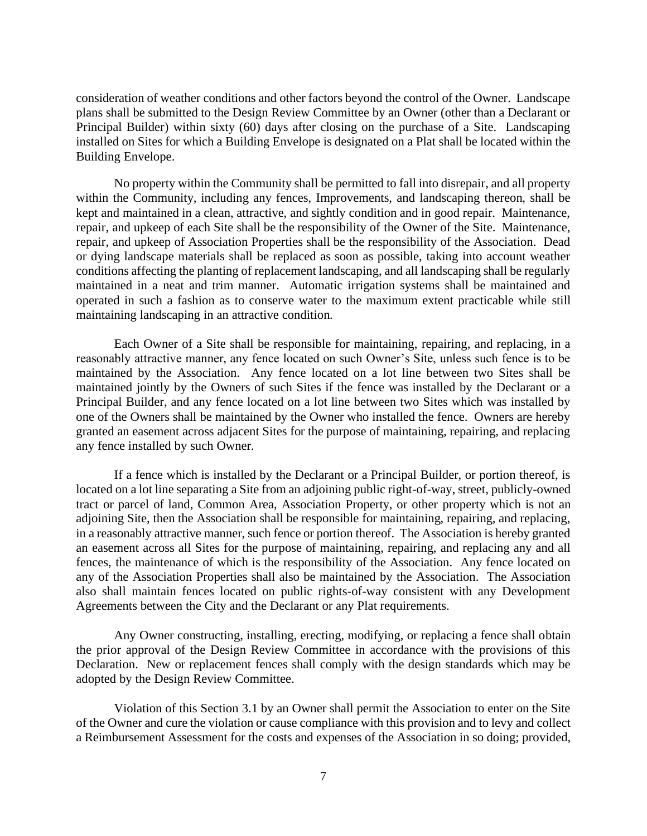consideration of weather conditions and other factors beyond the control of the Owner. Landscape plans shall be submitted to the Design Review Committee by an Owner (other than a Declarant or Principal Builder) within sixty (60) days after closing on the purchase of a Site. Landscaping installed on Sites for which a Building Envelope is designated on a Plat shall be located within the Building Envelope.

No property within the Community shall be permitted to fall into disrepair, and all property within the Community, including any fences, Improvements, and landscaping thereon, shall be kept and maintained in a clean, attractive, and sightly condition and in good repair. Maintenance, repair, and upkeep of each Site shall be the responsibility of the Owner of the Site. Maintenance, repair, and upkeep of Association Properties shall be the responsibility of the Association. Dead or dying landscape materials shall be replaced as soon as possible, taking into account weather conditions affecting the planting of replacement landscaping, and all landscaping shall be regularly maintained in a neat and trim manner. Automatic irrigation systems shall be maintained and operated in such a fashion as to conserve water to the maximum extent practicable while still maintaining landscaping in an attractive condition.

Each Owner of a Site shall be responsible for maintaining, repairing, and replacing, in a reasonably attractive manner, any fence located on such Owner's Site, unless such fence is to be maintained by the Association. Any fence located on a lot line between two Sites shall be maintained jointly by the Owners of such Sites if the fence was installed by the Declarant or a Principal Builder, and any fence located on a lot line between two Sites which was installed by one of the Owners shall be maintained by the Owner who installed the fence. Owners are hereby granted an easement across adjacent Sites for the purpose of maintaining, repairing, and replacing any fence installed by such Owner.

If a fence which is installed by the Declarant or a Principal Builder, or portion thereof, is located on a lot line separating a Site from an adjoining public right-of-way, street, publicly-owned tract or parcel of land, Common Area, Association Property, or other property which is not an adjoining Site, then the Association shall be responsible for maintaining, repairing, and replacing, in a reasonably attractive manner, such fence or portion thereof. The Association is hereby granted an easement across all Sites for the purpose of maintaining, repairing, and replacing any and all fences, the maintenance of which is the responsibility of the Association. Any fence located on any of the Association Properties shall also be maintained by the Association. The Association also shall maintain fences located on public rights-of-way consistent with any Development Agreements between the City and the Declarant or any Plat requirements.

Any Owner constructing, installing, erecting, modifying, or replacing a fence shall obtain the prior approval of the Design Review Committee in accordance with the provisions of this Declaration. New or replacement fences shall comply with the design standards which may be adopted by the Design Review Committee.

Violation of this Section 3.1 by an Owner shall permit the Association to enter on the Site of the Owner and cure the violation or cause compliance with this provision and to levy and collect a Reimbursement Assessment for the costs and expenses of the Association in so doing; provided,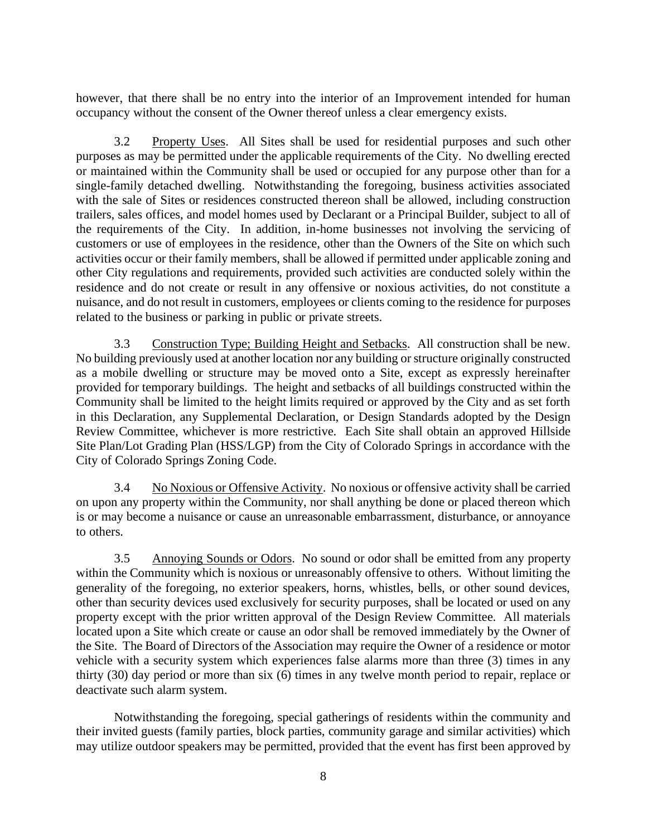however, that there shall be no entry into the interior of an Improvement intended for human occupancy without the consent of the Owner thereof unless a clear emergency exists.

<span id="page-14-0"></span>3.2 Property Uses. All Sites shall be used for residential purposes and such other purposes as may be permitted under the applicable requirements of the City. No dwelling erected or maintained within the Community shall be used or occupied for any purpose other than for a single-family detached dwelling. Notwithstanding the foregoing, business activities associated with the sale of Sites or residences constructed thereon shall be allowed, including construction trailers, sales offices, and model homes used by Declarant or a Principal Builder, subject to all of the requirements of the City. In addition, in-home businesses not involving the servicing of customers or use of employees in the residence, other than the Owners of the Site on which such activities occur or their family members, shall be allowed if permitted under applicable zoning and other City regulations and requirements, provided such activities are conducted solely within the residence and do not create or result in any offensive or noxious activities, do not constitute a nuisance, and do not result in customers, employees or clients coming to the residence for purposes related to the business or parking in public or private streets.

<span id="page-14-1"></span>3.3 Construction Type; Building Height and Setbacks. All construction shall be new. No building previously used at another location nor any building or structure originally constructed as a mobile dwelling or structure may be moved onto a Site, except as expressly hereinafter provided for temporary buildings. The height and setbacks of all buildings constructed within the Community shall be limited to the height limits required or approved by the City and as set forth in this Declaration, any Supplemental Declaration, or Design Standards adopted by the Design Review Committee, whichever is more restrictive. Each Site shall obtain an approved Hillside Site Plan/Lot Grading Plan (HSS/LGP) from the City of Colorado Springs in accordance with the City of Colorado Springs Zoning Code.

<span id="page-14-2"></span>3.4 No Noxious or Offensive Activity. No noxious or offensive activity shall be carried on upon any property within the Community, nor shall anything be done or placed thereon which is or may become a nuisance or cause an unreasonable embarrassment, disturbance, or annoyance to others.

<span id="page-14-3"></span>3.5 Annoying Sounds or Odors. No sound or odor shall be emitted from any property within the Community which is noxious or unreasonably offensive to others. Without limiting the generality of the foregoing, no exterior speakers, horns, whistles, bells, or other sound devices, other than security devices used exclusively for security purposes, shall be located or used on any property except with the prior written approval of the Design Review Committee. All materials located upon a Site which create or cause an odor shall be removed immediately by the Owner of the Site. The Board of Directors of the Association may require the Owner of a residence or motor vehicle with a security system which experiences false alarms more than three (3) times in any thirty (30) day period or more than six (6) times in any twelve month period to repair, replace or deactivate such alarm system.

Notwithstanding the foregoing, special gatherings of residents within the community and their invited guests (family parties, block parties, community garage and similar activities) which may utilize outdoor speakers may be permitted, provided that the event has first been approved by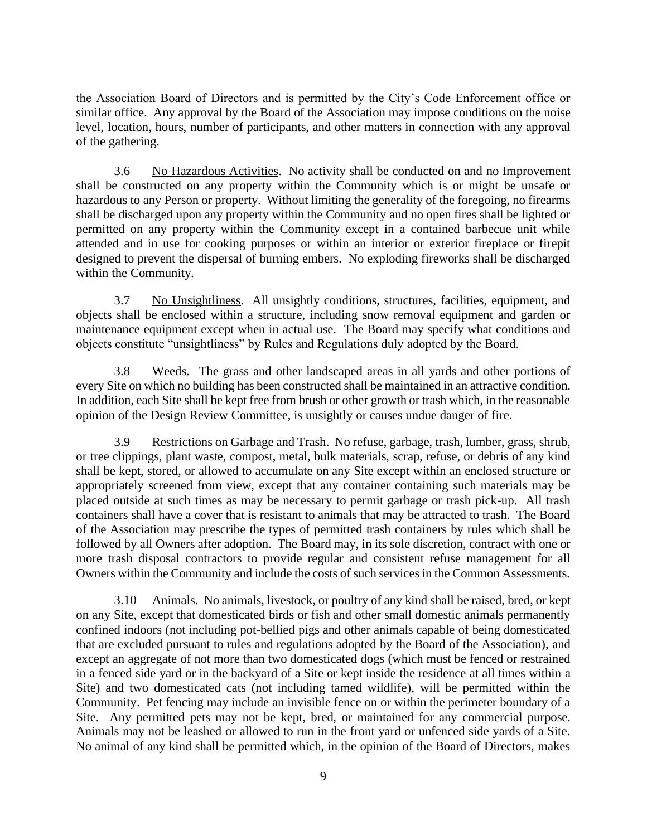the Association Board of Directors and is permitted by the City's Code Enforcement office or similar office. Any approval by the Board of the Association may impose conditions on the noise level, location, hours, number of participants, and other matters in connection with any approval of the gathering.

<span id="page-15-0"></span>3.6 No Hazardous Activities. No activity shall be conducted on and no Improvement shall be constructed on any property within the Community which is or might be unsafe or hazardous to any Person or property. Without limiting the generality of the foregoing, no firearms shall be discharged upon any property within the Community and no open fires shall be lighted or permitted on any property within the Community except in a contained barbecue unit while attended and in use for cooking purposes or within an interior or exterior fireplace or firepit designed to prevent the dispersal of burning embers. No exploding fireworks shall be discharged within the Community.

<span id="page-15-1"></span>3.7 No Unsightliness. All unsightly conditions, structures, facilities, equipment, and objects shall be enclosed within a structure, including snow removal equipment and garden or maintenance equipment except when in actual use. The Board may specify what conditions and objects constitute "unsightliness" by Rules and Regulations duly adopted by the Board.

<span id="page-15-2"></span>3.8 Weeds. The grass and other landscaped areas in all yards and other portions of every Site on which no building has been constructed shall be maintained in an attractive condition. In addition, each Site shall be kept free from brush or other growth or trash which, in the reasonable opinion of the Design Review Committee, is unsightly or causes undue danger of fire.

<span id="page-15-3"></span>3.9 Restrictions on Garbage and Trash. No refuse, garbage, trash, lumber, grass, shrub, or tree clippings, plant waste, compost, metal, bulk materials, scrap, refuse, or debris of any kind shall be kept, stored, or allowed to accumulate on any Site except within an enclosed structure or appropriately screened from view, except that any container containing such materials may be placed outside at such times as may be necessary to permit garbage or trash pick-up. All trash containers shall have a cover that is resistant to animals that may be attracted to trash. The Board of the Association may prescribe the types of permitted trash containers by rules which shall be followed by all Owners after adoption. The Board may, in its sole discretion, contract with one or more trash disposal contractors to provide regular and consistent refuse management for all Owners within the Community and include the costs of such services in the Common Assessments.

<span id="page-15-4"></span>3.10 Animals. No animals, livestock, or poultry of any kind shall be raised, bred, or kept on any Site, except that domesticated birds or fish and other small domestic animals permanently confined indoors (not including pot-bellied pigs and other animals capable of being domesticated that are excluded pursuant to rules and regulations adopted by the Board of the Association), and except an aggregate of not more than two domesticated dogs (which must be fenced or restrained in a fenced side yard or in the backyard of a Site or kept inside the residence at all times within a Site) and two domesticated cats (not including tamed wildlife), will be permitted within the Community. Pet fencing may include an invisible fence on or within the perimeter boundary of a Site. Any permitted pets may not be kept, bred, or maintained for any commercial purpose. Animals may not be leashed or allowed to run in the front yard or unfenced side yards of a Site. No animal of any kind shall be permitted which, in the opinion of the Board of Directors, makes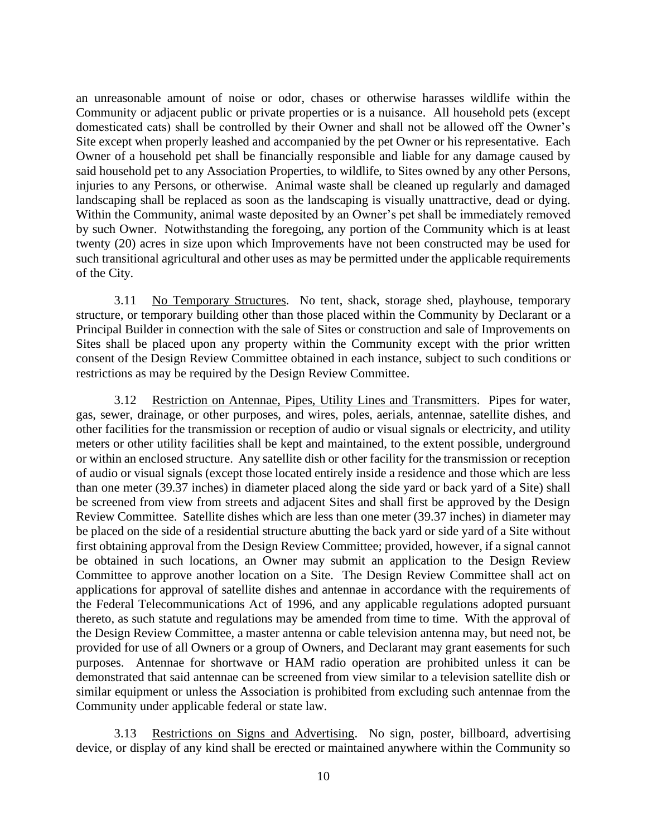an unreasonable amount of noise or odor, chases or otherwise harasses wildlife within the Community or adjacent public or private properties or is a nuisance. All household pets (except domesticated cats) shall be controlled by their Owner and shall not be allowed off the Owner's Site except when properly leashed and accompanied by the pet Owner or his representative. Each Owner of a household pet shall be financially responsible and liable for any damage caused by said household pet to any Association Properties, to wildlife, to Sites owned by any other Persons, injuries to any Persons, or otherwise. Animal waste shall be cleaned up regularly and damaged landscaping shall be replaced as soon as the landscaping is visually unattractive, dead or dying. Within the Community, animal waste deposited by an Owner's pet shall be immediately removed by such Owner. Notwithstanding the foregoing, any portion of the Community which is at least twenty (20) acres in size upon which Improvements have not been constructed may be used for such transitional agricultural and other uses as may be permitted under the applicable requirements of the City.

<span id="page-16-0"></span>3.11 No Temporary Structures. No tent, shack, storage shed, playhouse, temporary structure, or temporary building other than those placed within the Community by Declarant or a Principal Builder in connection with the sale of Sites or construction and sale of Improvements on Sites shall be placed upon any property within the Community except with the prior written consent of the Design Review Committee obtained in each instance, subject to such conditions or restrictions as may be required by the Design Review Committee.

<span id="page-16-1"></span>3.12 Restriction on Antennae, Pipes, Utility Lines and Transmitters. Pipes for water, gas, sewer, drainage, or other purposes, and wires, poles, aerials, antennae, satellite dishes, and other facilities for the transmission or reception of audio or visual signals or electricity, and utility meters or other utility facilities shall be kept and maintained, to the extent possible, underground or within an enclosed structure. Any satellite dish or other facility for the transmission or reception of audio or visual signals (except those located entirely inside a residence and those which are less than one meter (39.37 inches) in diameter placed along the side yard or back yard of a Site) shall be screened from view from streets and adjacent Sites and shall first be approved by the Design Review Committee. Satellite dishes which are less than one meter (39.37 inches) in diameter may be placed on the side of a residential structure abutting the back yard or side yard of a Site without first obtaining approval from the Design Review Committee; provided, however, if a signal cannot be obtained in such locations, an Owner may submit an application to the Design Review Committee to approve another location on a Site. The Design Review Committee shall act on applications for approval of satellite dishes and antennae in accordance with the requirements of the Federal Telecommunications Act of 1996, and any applicable regulations adopted pursuant thereto, as such statute and regulations may be amended from time to time. With the approval of the Design Review Committee, a master antenna or cable television antenna may, but need not, be provided for use of all Owners or a group of Owners, and Declarant may grant easements for such purposes. Antennae for shortwave or HAM radio operation are prohibited unless it can be demonstrated that said antennae can be screened from view similar to a television satellite dish or similar equipment or unless the Association is prohibited from excluding such antennae from the Community under applicable federal or state law.

<span id="page-16-2"></span>3.13 Restrictions on Signs and Advertising. No sign, poster, billboard, advertising device, or display of any kind shall be erected or maintained anywhere within the Community so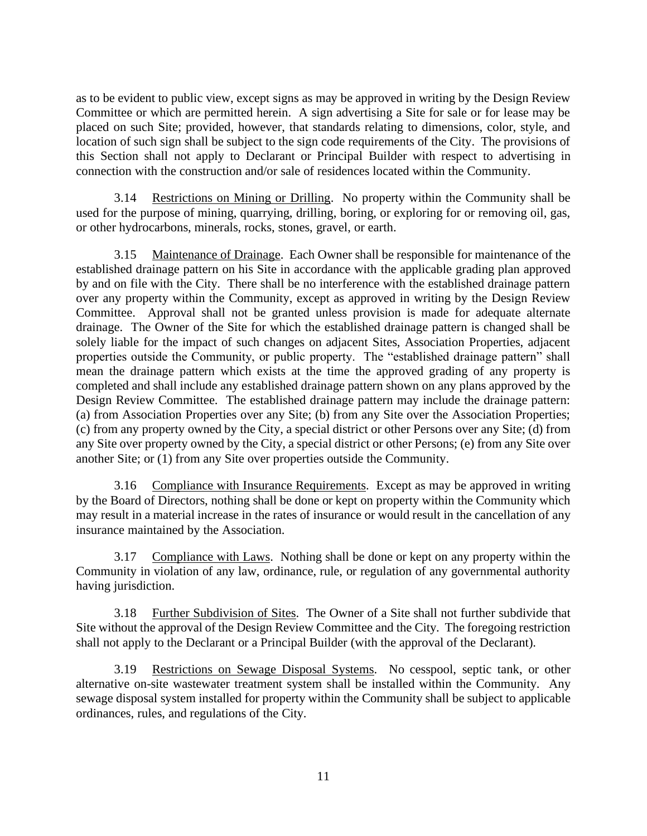as to be evident to public view, except signs as may be approved in writing by the Design Review Committee or which are permitted herein. A sign advertising a Site for sale or for lease may be placed on such Site; provided, however, that standards relating to dimensions, color, style, and location of such sign shall be subject to the sign code requirements of the City. The provisions of this Section shall not apply to Declarant or Principal Builder with respect to advertising in connection with the construction and/or sale of residences located within the Community.

<span id="page-17-0"></span>Restrictions on Mining or Drilling. No property within the Community shall be used for the purpose of mining, quarrying, drilling, boring, or exploring for or removing oil, gas, or other hydrocarbons, minerals, rocks, stones, gravel, or earth.

<span id="page-17-1"></span>3.15 Maintenance of Drainage. Each Owner shall be responsible for maintenance of the established drainage pattern on his Site in accordance with the applicable grading plan approved by and on file with the City. There shall be no interference with the established drainage pattern over any property within the Community, except as approved in writing by the Design Review Committee. Approval shall not be granted unless provision is made for adequate alternate drainage. The Owner of the Site for which the established drainage pattern is changed shall be solely liable for the impact of such changes on adjacent Sites, Association Properties, adjacent properties outside the Community, or public property. The "established drainage pattern" shall mean the drainage pattern which exists at the time the approved grading of any property is completed and shall include any established drainage pattern shown on any plans approved by the Design Review Committee. The established drainage pattern may include the drainage pattern: (a) from Association Properties over any Site; (b) from any Site over the Association Properties; (c) from any property owned by the City, a special district or other Persons over any Site; (d) from any Site over property owned by the City, a special district or other Persons; (e) from any Site over another Site; or (1) from any Site over properties outside the Community.

<span id="page-17-2"></span>3.16 Compliance with Insurance Requirements. Except as may be approved in writing by the Board of Directors, nothing shall be done or kept on property within the Community which may result in a material increase in the rates of insurance or would result in the cancellation of any insurance maintained by the Association.

<span id="page-17-3"></span>3.17 Compliance with Laws. Nothing shall be done or kept on any property within the Community in violation of any law, ordinance, rule, or regulation of any governmental authority having jurisdiction.

<span id="page-17-4"></span>3.18 Further Subdivision of Sites. The Owner of a Site shall not further subdivide that Site without the approval of the Design Review Committee and the City. The foregoing restriction shall not apply to the Declarant or a Principal Builder (with the approval of the Declarant).

<span id="page-17-5"></span>3.19 Restrictions on Sewage Disposal Systems. No cesspool, septic tank, or other alternative on-site wastewater treatment system shall be installed within the Community. Any sewage disposal system installed for property within the Community shall be subject to applicable ordinances, rules, and regulations of the City.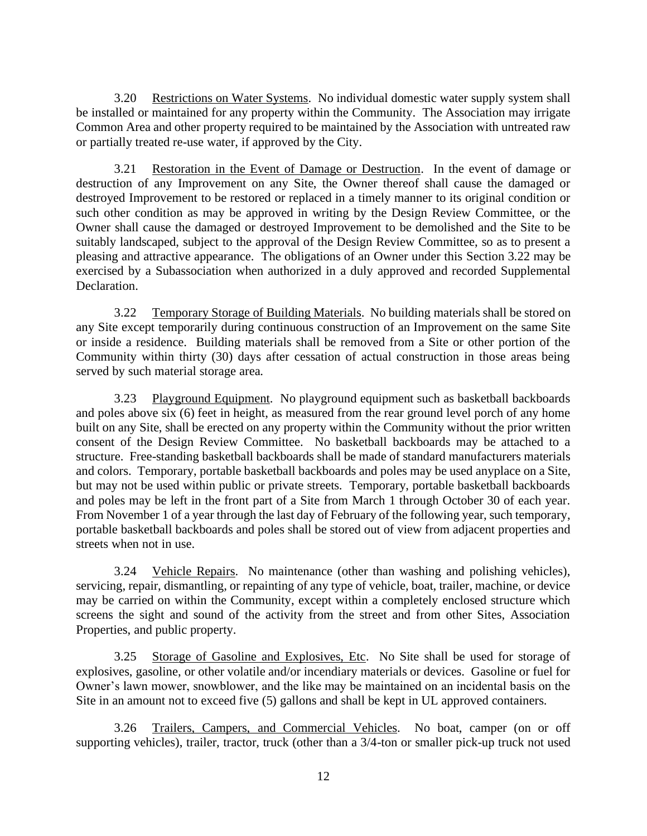<span id="page-18-0"></span>3.20 Restrictions on Water Systems. No individual domestic water supply system shall be installed or maintained for any property within the Community. The Association may irrigate Common Area and other property required to be maintained by the Association with untreated raw or partially treated re-use water, if approved by the City.

<span id="page-18-1"></span>3.21 Restoration in the Event of Damage or Destruction. In the event of damage or destruction of any Improvement on any Site, the Owner thereof shall cause the damaged or destroyed Improvement to be restored or replaced in a timely manner to its original condition or such other condition as may be approved in writing by the Design Review Committee, or the Owner shall cause the damaged or destroyed Improvement to be demolished and the Site to be suitably landscaped, subject to the approval of the Design Review Committee, so as to present a pleasing and attractive appearance. The obligations of an Owner under this Section 3.22 may be exercised by a Subassociation when authorized in a duly approved and recorded Supplemental Declaration.

<span id="page-18-2"></span>3.22 Temporary Storage of Building Materials. No building materials shall be stored on any Site except temporarily during continuous construction of an Improvement on the same Site or inside a residence. Building materials shall be removed from a Site or other portion of the Community within thirty (30) days after cessation of actual construction in those areas being served by such material storage area.

<span id="page-18-3"></span>3.23 Playground Equipment. No playground equipment such as basketball backboards and poles above six (6) feet in height, as measured from the rear ground level porch of any home built on any Site, shall be erected on any property within the Community without the prior written consent of the Design Review Committee. No basketball backboards may be attached to a structure. Free-standing basketball backboards shall be made of standard manufacturers materials and colors. Temporary, portable basketball backboards and poles may be used anyplace on a Site, but may not be used within public or private streets. Temporary, portable basketball backboards and poles may be left in the front part of a Site from March 1 through October 30 of each year. From November 1 of a year through the last day of February of the following year, such temporary, portable basketball backboards and poles shall be stored out of view from adjacent properties and streets when not in use.

<span id="page-18-4"></span>3.24 Vehicle Repairs. No maintenance (other than washing and polishing vehicles), servicing, repair, dismantling, or repainting of any type of vehicle, boat, trailer, machine, or device may be carried on within the Community, except within a completely enclosed structure which screens the sight and sound of the activity from the street and from other Sites, Association Properties, and public property.

<span id="page-18-5"></span>3.25 Storage of Gasoline and Explosives, Etc. No Site shall be used for storage of explosives, gasoline, or other volatile and/or incendiary materials or devices. Gasoline or fuel for Owner's lawn mower, snowblower, and the like may be maintained on an incidental basis on the Site in an amount not to exceed five (5) gallons and shall be kept in UL approved containers.

<span id="page-18-6"></span>3.26 Trailers, Campers, and Commercial Vehicles. No boat, camper (on or off supporting vehicles), trailer, tractor, truck (other than a 3/4-ton or smaller pick-up truck not used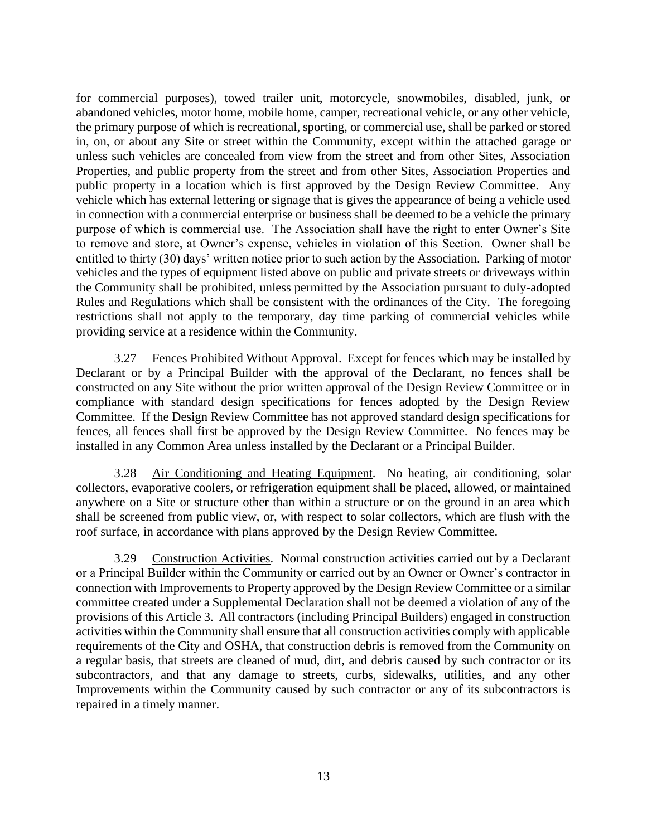for commercial purposes), towed trailer unit, motorcycle, snowmobiles, disabled, junk, or abandoned vehicles, motor home, mobile home, camper, recreational vehicle, or any other vehicle, the primary purpose of which is recreational, sporting, or commercial use, shall be parked or stored in, on, or about any Site or street within the Community, except within the attached garage or unless such vehicles are concealed from view from the street and from other Sites, Association Properties, and public property from the street and from other Sites, Association Properties and public property in a location which is first approved by the Design Review Committee. Any vehicle which has external lettering or signage that is gives the appearance of being a vehicle used in connection with a commercial enterprise or business shall be deemed to be a vehicle the primary purpose of which is commercial use. The Association shall have the right to enter Owner's Site to remove and store, at Owner's expense, vehicles in violation of this Section. Owner shall be entitled to thirty (30) days' written notice prior to such action by the Association. Parking of motor vehicles and the types of equipment listed above on public and private streets or driveways within the Community shall be prohibited, unless permitted by the Association pursuant to duly-adopted Rules and Regulations which shall be consistent with the ordinances of the City. The foregoing restrictions shall not apply to the temporary, day time parking of commercial vehicles while providing service at a residence within the Community.

<span id="page-19-0"></span>3.27 Fences Prohibited Without Approval. Except for fences which may be installed by Declarant or by a Principal Builder with the approval of the Declarant, no fences shall be constructed on any Site without the prior written approval of the Design Review Committee or in compliance with standard design specifications for fences adopted by the Design Review Committee. If the Design Review Committee has not approved standard design specifications for fences, all fences shall first be approved by the Design Review Committee. No fences may be installed in any Common Area unless installed by the Declarant or a Principal Builder.

<span id="page-19-1"></span>3.28 Air Conditioning and Heating Equipment. No heating, air conditioning, solar collectors, evaporative coolers, or refrigeration equipment shall be placed, allowed, or maintained anywhere on a Site or structure other than within a structure or on the ground in an area which shall be screened from public view, or, with respect to solar collectors, which are flush with the roof surface, in accordance with plans approved by the Design Review Committee.

<span id="page-19-2"></span>3.29 Construction Activities. Normal construction activities carried out by a Declarant or a Principal Builder within the Community or carried out by an Owner or Owner's contractor in connection with Improvements to Property approved by the Design Review Committee or a similar committee created under a Supplemental Declaration shall not be deemed a violation of any of the provisions of this Article 3. All contractors (including Principal Builders) engaged in construction activities within the Community shall ensure that all construction activities comply with applicable requirements of the City and OSHA, that construction debris is removed from the Community on a regular basis, that streets are cleaned of mud, dirt, and debris caused by such contractor or its subcontractors, and that any damage to streets, curbs, sidewalks, utilities, and any other Improvements within the Community caused by such contractor or any of its subcontractors is repaired in a timely manner.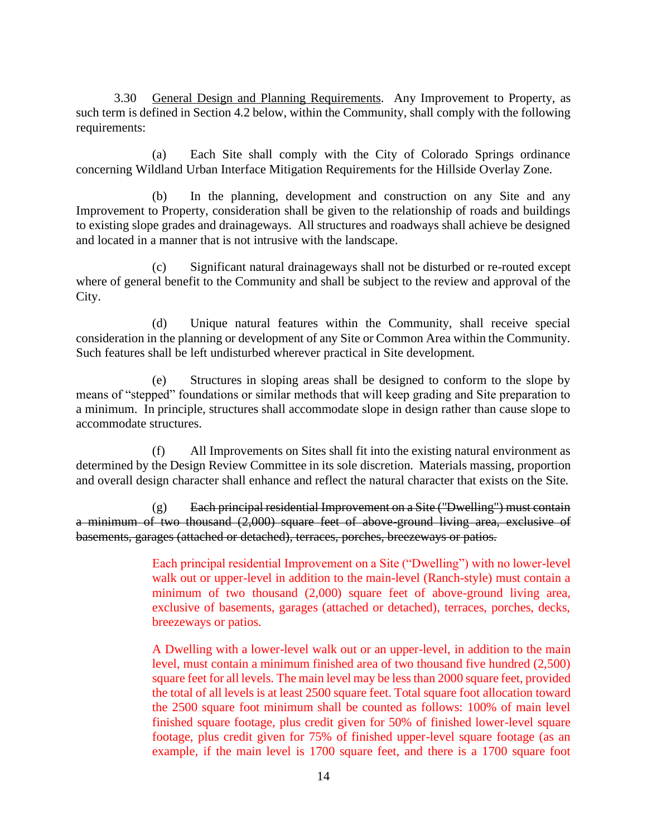<span id="page-20-0"></span>3.30 General Design and Planning Requirements. Any Improvement to Property, as such term is defined in Section 4.2 below, within the Community, shall comply with the following requirements:

(a) Each Site shall comply with the City of Colorado Springs ordinance concerning Wildland Urban Interface Mitigation Requirements for the Hillside Overlay Zone.

(b) In the planning, development and construction on any Site and any Improvement to Property, consideration shall be given to the relationship of roads and buildings to existing slope grades and drainageways. All structures and roadways shall achieve be designed and located in a manner that is not intrusive with the landscape.

(c) Significant natural drainageways shall not be disturbed or re-routed except where of general benefit to the Community and shall be subject to the review and approval of the City.

(d) Unique natural features within the Community, shall receive special consideration in the planning or development of any Site or Common Area within the Community. Such features shall be left undisturbed wherever practical in Site development.

(e) Structures in sloping areas shall be designed to conform to the slope by means of "stepped" foundations or similar methods that will keep grading and Site preparation to a minimum. In principle, structures shall accommodate slope in design rather than cause slope to accommodate structures.

(f) All Improvements on Sites shall fit into the existing natural environment as determined by the Design Review Committee in its sole discretion. Materials massing, proportion and overall design character shall enhance and reflect the natural character that exists on the Site.

 $(g)$  Each principal residential Improvement on a Site ("Dwelling") must contain a minimum of two thousand (2,000) square feet of above-ground living area, exclusive of basements, garages (attached or detached), terraces, porches, breezeways or patios.

> Each principal residential Improvement on a Site ("Dwelling") with no lower-level walk out or upper-level in addition to the main-level (Ranch-style) must contain a minimum of two thousand (2,000) square feet of above-ground living area, exclusive of basements, garages (attached or detached), terraces, porches, decks, breezeways or patios.

> A Dwelling with a lower-level walk out or an upper-level, in addition to the main level, must contain a minimum finished area of two thousand five hundred (2,500) square feet for all levels. The main level may be less than 2000 square feet, provided the total of all levels is at least 2500 square feet. Total square foot allocation toward the 2500 square foot minimum shall be counted as follows: 100% of main level finished square footage, plus credit given for 50% of finished lower-level square footage, plus credit given for 75% of finished upper-level square footage (as an example, if the main level is 1700 square feet, and there is a 1700 square foot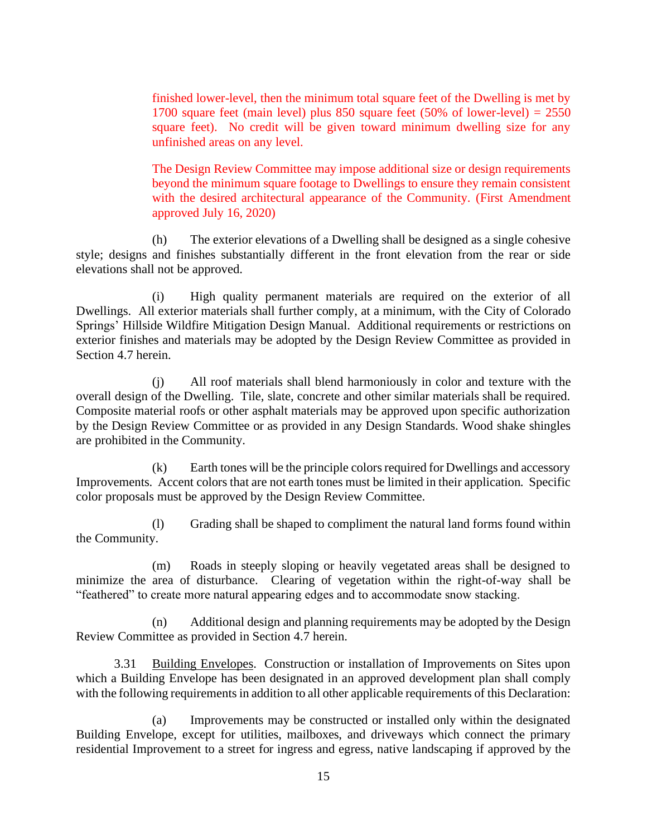finished lower-level, then the minimum total square feet of the Dwelling is met by 1700 square feet (main level) plus 850 square feet  $(50\% \text{ of lower-level}) = 2550$ square feet). No credit will be given toward minimum dwelling size for any unfinished areas on any level.

The Design Review Committee may impose additional size or design requirements beyond the minimum square footage to Dwellings to ensure they remain consistent with the desired architectural appearance of the Community. (First Amendment approved July 16, 2020)

(h) The exterior elevations of a Dwelling shall be designed as a single cohesive style; designs and finishes substantially different in the front elevation from the rear or side elevations shall not be approved.

(i) High quality permanent materials are required on the exterior of all Dwellings. All exterior materials shall further comply, at a minimum, with the City of Colorado Springs' Hillside Wildfire Mitigation Design Manual. Additional requirements or restrictions on exterior finishes and materials may be adopted by the Design Review Committee as provided in Section 4.7 herein.

(j) All roof materials shall blend harmoniously in color and texture with the overall design of the Dwelling. Tile, slate, concrete and other similar materials shall be required. Composite material roofs or other asphalt materials may be approved upon specific authorization by the Design Review Committee or as provided in any Design Standards. Wood shake shingles are prohibited in the Community.

(k) Earth tones will be the principle colors required for Dwellings and accessory Improvements. Accent colors that are not earth tones must be limited in their application. Specific color proposals must be approved by the Design Review Committee.

(l) Grading shall be shaped to compliment the natural land forms found within the Community.

(m) Roads in steeply sloping or heavily vegetated areas shall be designed to minimize the area of disturbance. Clearing of vegetation within the right-of-way shall be "feathered" to create more natural appearing edges and to accommodate snow stacking.

(n) Additional design and planning requirements may be adopted by the Design Review Committee as provided in Section 4.7 herein.

<span id="page-21-0"></span>3.31 Building Envelopes. Construction or installation of Improvements on Sites upon which a Building Envelope has been designated in an approved development plan shall comply with the following requirements in addition to all other applicable requirements of this Declaration:

(a) Improvements may be constructed or installed only within the designated Building Envelope, except for utilities, mailboxes, and driveways which connect the primary residential Improvement to a street for ingress and egress, native landscaping if approved by the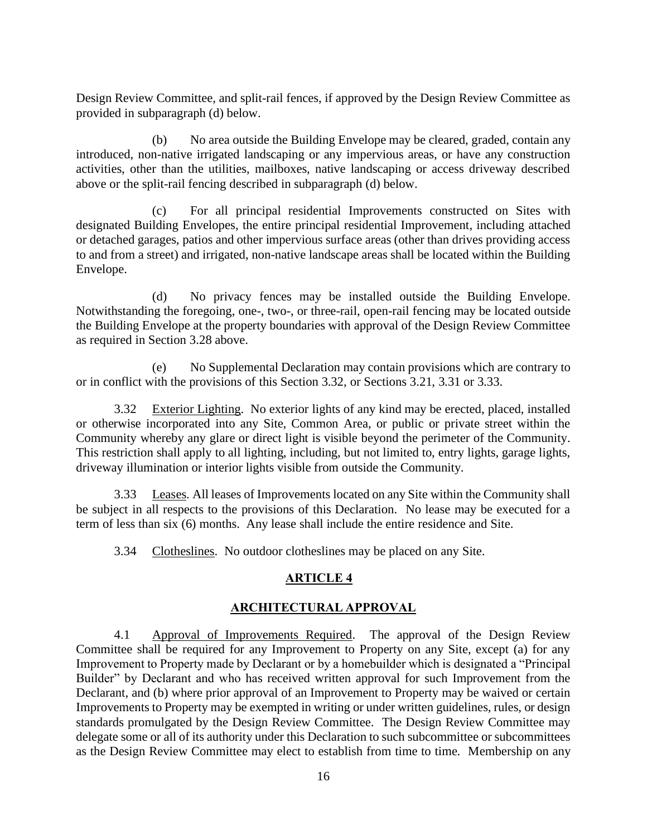Design Review Committee, and split-rail fences, if approved by the Design Review Committee as provided in subparagraph (d) below.

(b) No area outside the Building Envelope may be cleared, graded, contain any introduced, non-native irrigated landscaping or any impervious areas, or have any construction activities, other than the utilities, mailboxes, native landscaping or access driveway described above or the split-rail fencing described in subparagraph (d) below.

(c) For all principal residential Improvements constructed on Sites with designated Building Envelopes, the entire principal residential Improvement, including attached or detached garages, patios and other impervious surface areas (other than drives providing access to and from a street) and irrigated, non-native landscape areas shall be located within the Building Envelope.

(d) No privacy fences may be installed outside the Building Envelope. Notwithstanding the foregoing, one-, two-, or three-rail, open-rail fencing may be located outside the Building Envelope at the property boundaries with approval of the Design Review Committee as required in Section 3.28 above.

(e) No Supplemental Declaration may contain provisions which are contrary to or in conflict with the provisions of this Section 3.32, or Sections 3.21, 3.31 or 3.33.

<span id="page-22-0"></span>3.32 Exterior Lighting. No exterior lights of any kind may be erected, placed, installed or otherwise incorporated into any Site, Common Area, or public or private street within the Community whereby any glare or direct light is visible beyond the perimeter of the Community. This restriction shall apply to all lighting, including, but not limited to, entry lights, garage lights, driveway illumination or interior lights visible from outside the Community.

<span id="page-22-1"></span>3.33 Leases. All leases of Improvements located on any Site within the Community shall be subject in all respects to the provisions of this Declaration. No lease may be executed for a term of less than six (6) months. Any lease shall include the entire residence and Site.

<span id="page-22-2"></span>3.34 Clotheslines. No outdoor clotheslines may be placed on any Site.

# **ARTICLE 4**

### **ARCHITECTURAL APPROVAL**

<span id="page-22-4"></span><span id="page-22-3"></span>4.1 Approval of Improvements Required. The approval of the Design Review Committee shall be required for any Improvement to Property on any Site, except (a) for any Improvement to Property made by Declarant or by a homebuilder which is designated a "Principal Builder" by Declarant and who has received written approval for such Improvement from the Declarant, and (b) where prior approval of an Improvement to Property may be waived or certain Improvements to Property may be exempted in writing or under written guidelines, rules, or design standards promulgated by the Design Review Committee. The Design Review Committee may delegate some or all of its authority under this Declaration to such subcommittee or subcommittees as the Design Review Committee may elect to establish from time to time. Membership on any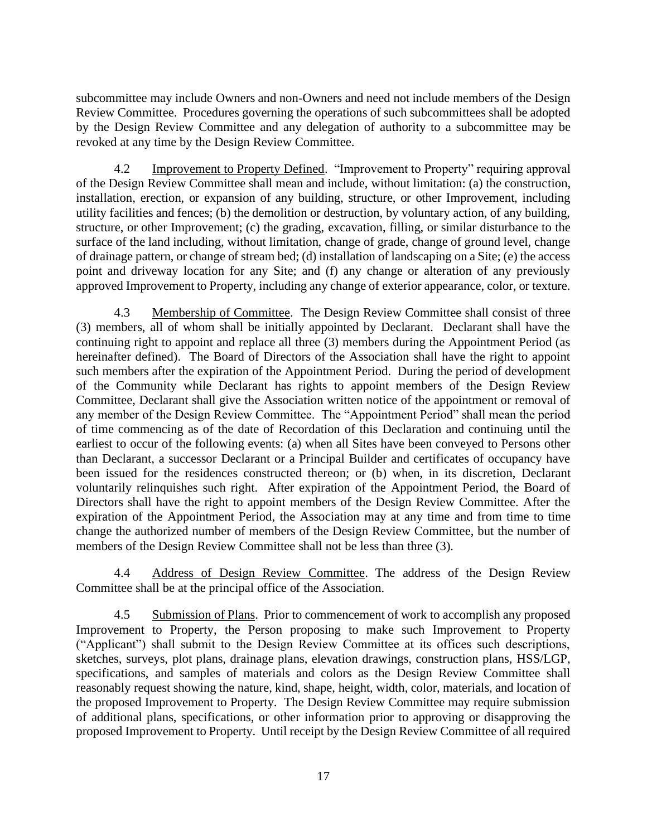subcommittee may include Owners and non-Owners and need not include members of the Design Review Committee. Procedures governing the operations of such subcommittees shall be adopted by the Design Review Committee and any delegation of authority to a subcommittee may be revoked at any time by the Design Review Committee.

<span id="page-23-0"></span>4.2 Improvement to Property Defined. "Improvement to Property" requiring approval of the Design Review Committee shall mean and include, without limitation: (a) the construction, installation, erection, or expansion of any building, structure, or other Improvement, including utility facilities and fences; (b) the demolition or destruction, by voluntary action, of any building, structure, or other Improvement; (c) the grading, excavation, filling, or similar disturbance to the surface of the land including, without limitation, change of grade, change of ground level, change of drainage pattern, or change of stream bed; (d) installation of landscaping on a Site; (e) the access point and driveway location for any Site; and (f) any change or alteration of any previously approved Improvement to Property, including any change of exterior appearance, color, or texture.

<span id="page-23-1"></span>4.3 Membership of Committee. The Design Review Committee shall consist of three (3) members, all of whom shall be initially appointed by Declarant. Declarant shall have the continuing right to appoint and replace all three (3) members during the Appointment Period (as hereinafter defined). The Board of Directors of the Association shall have the right to appoint such members after the expiration of the Appointment Period. During the period of development of the Community while Declarant has rights to appoint members of the Design Review Committee, Declarant shall give the Association written notice of the appointment or removal of any member of the Design Review Committee. The "Appointment Period" shall mean the period of time commencing as of the date of Recordation of this Declaration and continuing until the earliest to occur of the following events: (a) when all Sites have been conveyed to Persons other than Declarant, a successor Declarant or a Principal Builder and certificates of occupancy have been issued for the residences constructed thereon; or (b) when, in its discretion, Declarant voluntarily relinquishes such right. After expiration of the Appointment Period, the Board of Directors shall have the right to appoint members of the Design Review Committee. After the expiration of the Appointment Period, the Association may at any time and from time to time change the authorized number of members of the Design Review Committee, but the number of members of the Design Review Committee shall not be less than three (3).

<span id="page-23-2"></span>4.4 Address of Design Review Committee. The address of the Design Review Committee shall be at the principal office of the Association.

<span id="page-23-3"></span>4.5 Submission of Plans. Prior to commencement of work to accomplish any proposed Improvement to Property, the Person proposing to make such Improvement to Property ("Applicant") shall submit to the Design Review Committee at its offices such descriptions, sketches, surveys, plot plans, drainage plans, elevation drawings, construction plans, HSS/LGP, specifications, and samples of materials and colors as the Design Review Committee shall reasonably request showing the nature, kind, shape, height, width, color, materials, and location of the proposed Improvement to Property. The Design Review Committee may require submission of additional plans, specifications, or other information prior to approving or disapproving the proposed Improvement to Property. Until receipt by the Design Review Committee of all required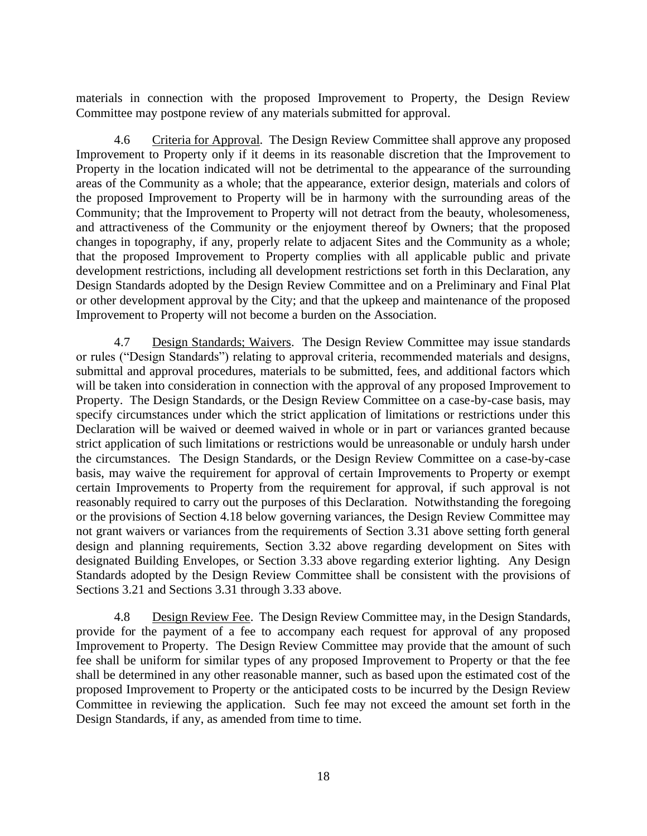materials in connection with the proposed Improvement to Property, the Design Review Committee may postpone review of any materials submitted for approval.

<span id="page-24-0"></span>4.6 Criteria for Approval. The Design Review Committee shall approve any proposed Improvement to Property only if it deems in its reasonable discretion that the Improvement to Property in the location indicated will not be detrimental to the appearance of the surrounding areas of the Community as a whole; that the appearance, exterior design, materials and colors of the proposed Improvement to Property will be in harmony with the surrounding areas of the Community; that the Improvement to Property will not detract from the beauty, wholesomeness, and attractiveness of the Community or the enjoyment thereof by Owners; that the proposed changes in topography, if any, properly relate to adjacent Sites and the Community as a whole; that the proposed Improvement to Property complies with all applicable public and private development restrictions, including all development restrictions set forth in this Declaration, any Design Standards adopted by the Design Review Committee and on a Preliminary and Final Plat or other development approval by the City; and that the upkeep and maintenance of the proposed Improvement to Property will not become a burden on the Association.

<span id="page-24-1"></span>4.7 Design Standards; Waivers. The Design Review Committee may issue standards or rules ("Design Standards") relating to approval criteria, recommended materials and designs, submittal and approval procedures, materials to be submitted, fees, and additional factors which will be taken into consideration in connection with the approval of any proposed Improvement to Property. The Design Standards, or the Design Review Committee on a case-by-case basis, may specify circumstances under which the strict application of limitations or restrictions under this Declaration will be waived or deemed waived in whole or in part or variances granted because strict application of such limitations or restrictions would be unreasonable or unduly harsh under the circumstances. The Design Standards, or the Design Review Committee on a case-by-case basis, may waive the requirement for approval of certain Improvements to Property or exempt certain Improvements to Property from the requirement for approval, if such approval is not reasonably required to carry out the purposes of this Declaration. Notwithstanding the foregoing or the provisions of Section 4.18 below governing variances, the Design Review Committee may not grant waivers or variances from the requirements of Section 3.31 above setting forth general design and planning requirements, Section 3.32 above regarding development on Sites with designated Building Envelopes, or Section 3.33 above regarding exterior lighting. Any Design Standards adopted by the Design Review Committee shall be consistent with the provisions of Sections 3.21 and Sections 3.31 through 3.33 above.

<span id="page-24-2"></span>4.8 Design Review Fee. The Design Review Committee may, in the Design Standards, provide for the payment of a fee to accompany each request for approval of any proposed Improvement to Property. The Design Review Committee may provide that the amount of such fee shall be uniform for similar types of any proposed Improvement to Property or that the fee shall be determined in any other reasonable manner, such as based upon the estimated cost of the proposed Improvement to Property or the anticipated costs to be incurred by the Design Review Committee in reviewing the application. Such fee may not exceed the amount set forth in the Design Standards, if any, as amended from time to time.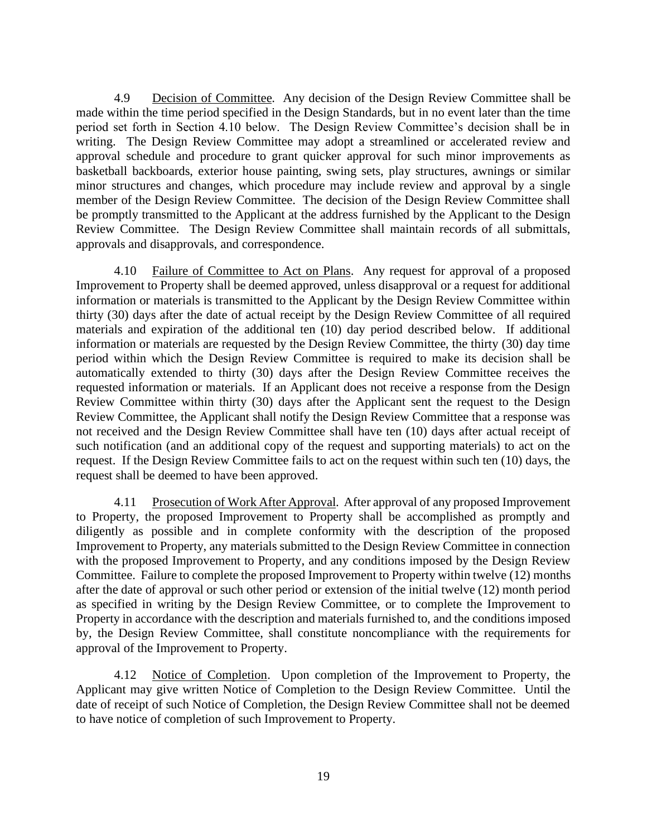<span id="page-25-0"></span>4.9 Decision of Committee. Any decision of the Design Review Committee shall be made within the time period specified in the Design Standards, but in no event later than the time period set forth in Section 4.10 below. The Design Review Committee's decision shall be in writing. The Design Review Committee may adopt a streamlined or accelerated review and approval schedule and procedure to grant quicker approval for such minor improvements as basketball backboards, exterior house painting, swing sets, play structures, awnings or similar minor structures and changes, which procedure may include review and approval by a single member of the Design Review Committee. The decision of the Design Review Committee shall be promptly transmitted to the Applicant at the address furnished by the Applicant to the Design Review Committee. The Design Review Committee shall maintain records of all submittals, approvals and disapprovals, and correspondence.

<span id="page-25-1"></span>4.10 Failure of Committee to Act on Plans. Any request for approval of a proposed Improvement to Property shall be deemed approved, unless disapproval or a request for additional information or materials is transmitted to the Applicant by the Design Review Committee within thirty (30) days after the date of actual receipt by the Design Review Committee of all required materials and expiration of the additional ten (10) day period described below. If additional information or materials are requested by the Design Review Committee, the thirty (30) day time period within which the Design Review Committee is required to make its decision shall be automatically extended to thirty (30) days after the Design Review Committee receives the requested information or materials. If an Applicant does not receive a response from the Design Review Committee within thirty (30) days after the Applicant sent the request to the Design Review Committee, the Applicant shall notify the Design Review Committee that a response was not received and the Design Review Committee shall have ten (10) days after actual receipt of such notification (and an additional copy of the request and supporting materials) to act on the request. If the Design Review Committee fails to act on the request within such ten (10) days, the request shall be deemed to have been approved.

<span id="page-25-2"></span>4.11 Prosecution of Work After Approval. After approval of any proposed Improvement to Property, the proposed Improvement to Property shall be accomplished as promptly and diligently as possible and in complete conformity with the description of the proposed Improvement to Property, any materials submitted to the Design Review Committee in connection with the proposed Improvement to Property, and any conditions imposed by the Design Review Committee. Failure to complete the proposed Improvement to Property within twelve (12) months after the date of approval or such other period or extension of the initial twelve (12) month period as specified in writing by the Design Review Committee, or to complete the Improvement to Property in accordance with the description and materials furnished to, and the conditions imposed by, the Design Review Committee, shall constitute noncompliance with the requirements for approval of the Improvement to Property.

<span id="page-25-3"></span>4.12 Notice of Completion. Upon completion of the Improvement to Property, the Applicant may give written Notice of Completion to the Design Review Committee. Until the date of receipt of such Notice of Completion, the Design Review Committee shall not be deemed to have notice of completion of such Improvement to Property.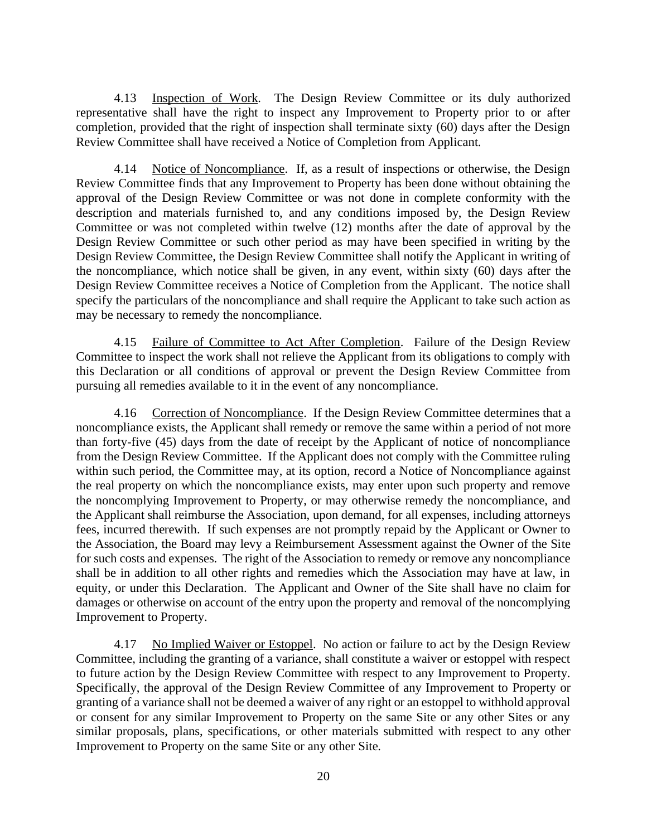<span id="page-26-0"></span>4.13 Inspection of Work. The Design Review Committee or its duly authorized representative shall have the right to inspect any Improvement to Property prior to or after completion, provided that the right of inspection shall terminate sixty (60) days after the Design Review Committee shall have received a Notice of Completion from Applicant.

<span id="page-26-1"></span>4.14 Notice of Noncompliance. If, as a result of inspections or otherwise, the Design Review Committee finds that any Improvement to Property has been done without obtaining the approval of the Design Review Committee or was not done in complete conformity with the description and materials furnished to, and any conditions imposed by, the Design Review Committee or was not completed within twelve (12) months after the date of approval by the Design Review Committee or such other period as may have been specified in writing by the Design Review Committee, the Design Review Committee shall notify the Applicant in writing of the noncompliance, which notice shall be given, in any event, within sixty (60) days after the Design Review Committee receives a Notice of Completion from the Applicant. The notice shall specify the particulars of the noncompliance and shall require the Applicant to take such action as may be necessary to remedy the noncompliance.

<span id="page-26-2"></span>4.15 Failure of Committee to Act After Completion. Failure of the Design Review Committee to inspect the work shall not relieve the Applicant from its obligations to comply with this Declaration or all conditions of approval or prevent the Design Review Committee from pursuing all remedies available to it in the event of any noncompliance.

<span id="page-26-3"></span>4.16 Correction of Noncompliance. If the Design Review Committee determines that a noncompliance exists, the Applicant shall remedy or remove the same within a period of not more than forty-five (45) days from the date of receipt by the Applicant of notice of noncompliance from the Design Review Committee. If the Applicant does not comply with the Committee ruling within such period, the Committee may, at its option, record a Notice of Noncompliance against the real property on which the noncompliance exists, may enter upon such property and remove the noncomplying Improvement to Property, or may otherwise remedy the noncompliance, and the Applicant shall reimburse the Association, upon demand, for all expenses, including attorneys fees, incurred therewith. If such expenses are not promptly repaid by the Applicant or Owner to the Association, the Board may levy a Reimbursement Assessment against the Owner of the Site for such costs and expenses. The right of the Association to remedy or remove any noncompliance shall be in addition to all other rights and remedies which the Association may have at law, in equity, or under this Declaration. The Applicant and Owner of the Site shall have no claim for damages or otherwise on account of the entry upon the property and removal of the noncomplying Improvement to Property.

<span id="page-26-4"></span>4.17 No Implied Waiver or Estoppel. No action or failure to act by the Design Review Committee, including the granting of a variance, shall constitute a waiver or estoppel with respect to future action by the Design Review Committee with respect to any Improvement to Property. Specifically, the approval of the Design Review Committee of any Improvement to Property or granting of a variance shall not be deemed a waiver of any right or an estoppel to withhold approval or consent for any similar Improvement to Property on the same Site or any other Sites or any similar proposals, plans, specifications, or other materials submitted with respect to any other Improvement to Property on the same Site or any other Site.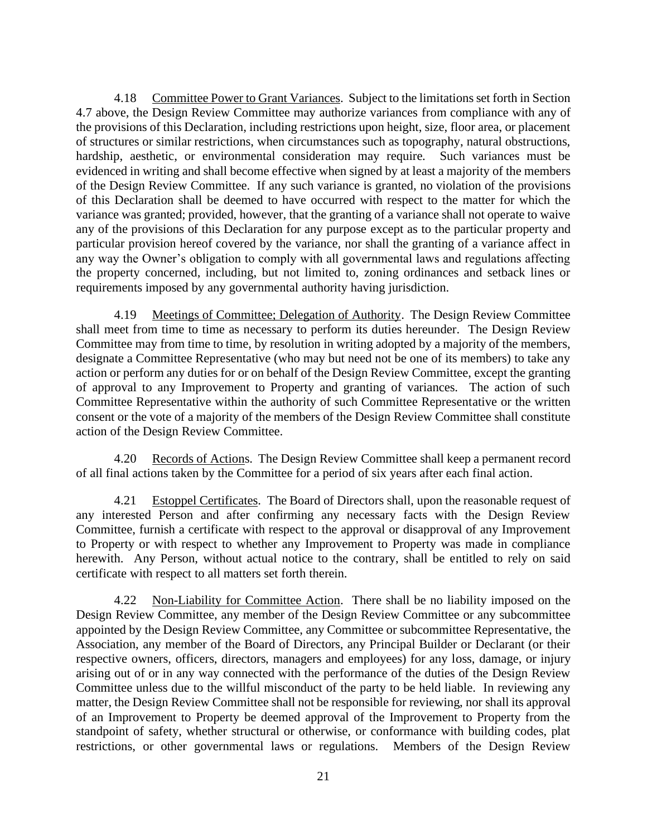<span id="page-27-0"></span>4.18 Committee Power to Grant Variances. Subject to the limitations set forth in Section 4.7 above, the Design Review Committee may authorize variances from compliance with any of the provisions of this Declaration, including restrictions upon height, size, floor area, or placement of structures or similar restrictions, when circumstances such as topography, natural obstructions, hardship, aesthetic, or environmental consideration may require. Such variances must be evidenced in writing and shall become effective when signed by at least a majority of the members of the Design Review Committee. If any such variance is granted, no violation of the provisions of this Declaration shall be deemed to have occurred with respect to the matter for which the variance was granted; provided, however, that the granting of a variance shall not operate to waive any of the provisions of this Declaration for any purpose except as to the particular property and particular provision hereof covered by the variance, nor shall the granting of a variance affect in any way the Owner's obligation to comply with all governmental laws and regulations affecting the property concerned, including, but not limited to, zoning ordinances and setback lines or requirements imposed by any governmental authority having jurisdiction.

<span id="page-27-1"></span>4.19 Meetings of Committee; Delegation of Authority. The Design Review Committee shall meet from time to time as necessary to perform its duties hereunder. The Design Review Committee may from time to time, by resolution in writing adopted by a majority of the members, designate a Committee Representative (who may but need not be one of its members) to take any action or perform any duties for or on behalf of the Design Review Committee, except the granting of approval to any Improvement to Property and granting of variances. The action of such Committee Representative within the authority of such Committee Representative or the written consent or the vote of a majority of the members of the Design Review Committee shall constitute action of the Design Review Committee.

<span id="page-27-2"></span>4.20 Records of Actions. The Design Review Committee shall keep a permanent record of all final actions taken by the Committee for a period of six years after each final action.

<span id="page-27-3"></span>4.21 Estoppel Certificates. The Board of Directors shall, upon the reasonable request of any interested Person and after confirming any necessary facts with the Design Review Committee, furnish a certificate with respect to the approval or disapproval of any Improvement to Property or with respect to whether any Improvement to Property was made in compliance herewith. Any Person, without actual notice to the contrary, shall be entitled to rely on said certificate with respect to all matters set forth therein.

<span id="page-27-4"></span>4.22 Non-Liability for Committee Action. There shall be no liability imposed on the Design Review Committee, any member of the Design Review Committee or any subcommittee appointed by the Design Review Committee, any Committee or subcommittee Representative, the Association, any member of the Board of Directors, any Principal Builder or Declarant (or their respective owners, officers, directors, managers and employees) for any loss, damage, or injury arising out of or in any way connected with the performance of the duties of the Design Review Committee unless due to the willful misconduct of the party to be held liable. In reviewing any matter, the Design Review Committee shall not be responsible for reviewing, nor shall its approval of an Improvement to Property be deemed approval of the Improvement to Property from the standpoint of safety, whether structural or otherwise, or conformance with building codes, plat restrictions, or other governmental laws or regulations. Members of the Design Review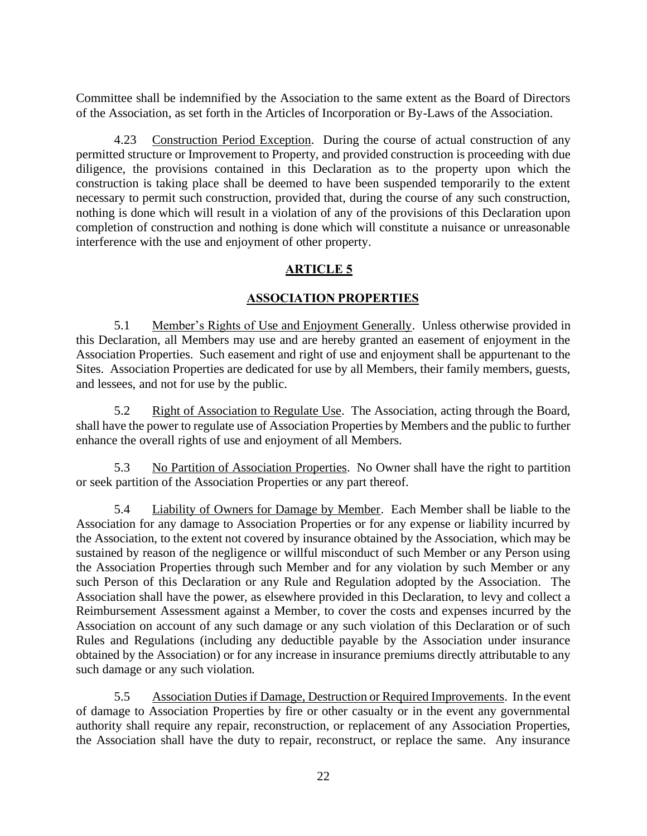Committee shall be indemnified by the Association to the same extent as the Board of Directors of the Association, as set forth in the Articles of Incorporation or By-Laws of the Association.

<span id="page-28-0"></span>4.23 Construction Period Exception. During the course of actual construction of any permitted structure or Improvement to Property, and provided construction is proceeding with due diligence, the provisions contained in this Declaration as to the property upon which the construction is taking place shall be deemed to have been suspended temporarily to the extent necessary to permit such construction, provided that, during the course of any such construction, nothing is done which will result in a violation of any of the provisions of this Declaration upon completion of construction and nothing is done which will constitute a nuisance or unreasonable interference with the use and enjoyment of other property.

### **ARTICLE 5**

### **ASSOCIATION PROPERTIES**

<span id="page-28-2"></span><span id="page-28-1"></span>5.1 Member's Rights of Use and Enjoyment Generally. Unless otherwise provided in this Declaration, all Members may use and are hereby granted an easement of enjoyment in the Association Properties. Such easement and right of use and enjoyment shall be appurtenant to the Sites. Association Properties are dedicated for use by all Members, their family members, guests, and lessees, and not for use by the public.

<span id="page-28-3"></span>5.2 Right of Association to Regulate Use. The Association, acting through the Board, shall have the power to regulate use of Association Properties by Members and the public to further enhance the overall rights of use and enjoyment of all Members.

<span id="page-28-4"></span>5.3 No Partition of Association Properties. No Owner shall have the right to partition or seek partition of the Association Properties or any part thereof.

<span id="page-28-5"></span>5.4 Liability of Owners for Damage by Member. Each Member shall be liable to the Association for any damage to Association Properties or for any expense or liability incurred by the Association, to the extent not covered by insurance obtained by the Association, which may be sustained by reason of the negligence or willful misconduct of such Member or any Person using the Association Properties through such Member and for any violation by such Member or any such Person of this Declaration or any Rule and Regulation adopted by the Association. The Association shall have the power, as elsewhere provided in this Declaration, to levy and collect a Reimbursement Assessment against a Member, to cover the costs and expenses incurred by the Association on account of any such damage or any such violation of this Declaration or of such Rules and Regulations (including any deductible payable by the Association under insurance obtained by the Association) or for any increase in insurance premiums directly attributable to any such damage or any such violation.

<span id="page-28-6"></span>5.5 Association Duties if Damage, Destruction or Required Improvements. In the event of damage to Association Properties by fire or other casualty or in the event any governmental authority shall require any repair, reconstruction, or replacement of any Association Properties, the Association shall have the duty to repair, reconstruct, or replace the same. Any insurance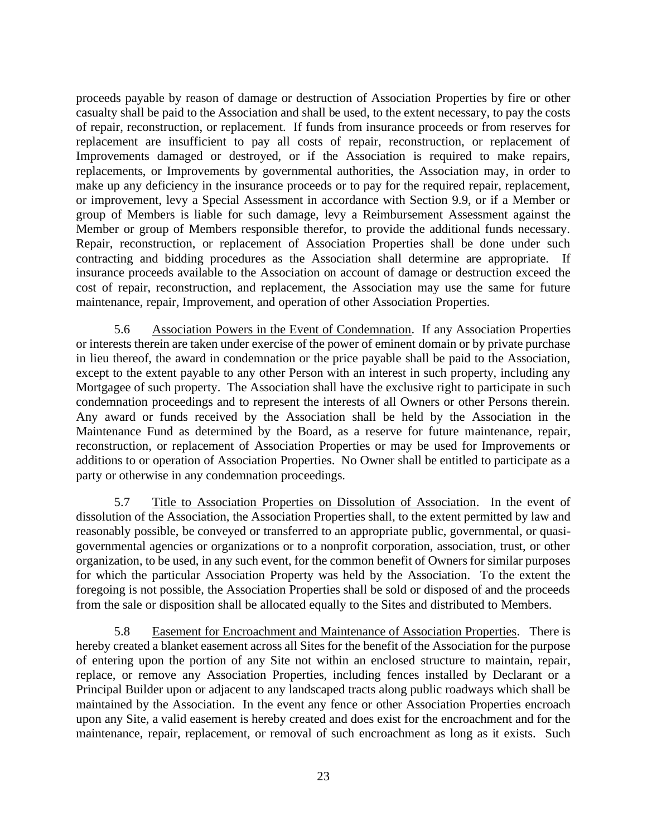proceeds payable by reason of damage or destruction of Association Properties by fire or other casualty shall be paid to the Association and shall be used, to the extent necessary, to pay the costs of repair, reconstruction, or replacement. If funds from insurance proceeds or from reserves for replacement are insufficient to pay all costs of repair, reconstruction, or replacement of Improvements damaged or destroyed, or if the Association is required to make repairs, replacements, or Improvements by governmental authorities, the Association may, in order to make up any deficiency in the insurance proceeds or to pay for the required repair, replacement, or improvement, levy a Special Assessment in accordance with Section 9.9, or if a Member or group of Members is liable for such damage, levy a Reimbursement Assessment against the Member or group of Members responsible therefor, to provide the additional funds necessary. Repair, reconstruction, or replacement of Association Properties shall be done under such contracting and bidding procedures as the Association shall determine are appropriate. If insurance proceeds available to the Association on account of damage or destruction exceed the cost of repair, reconstruction, and replacement, the Association may use the same for future maintenance, repair, Improvement, and operation of other Association Properties.

<span id="page-29-0"></span>5.6 Association Powers in the Event of Condemnation. If any Association Properties or interests therein are taken under exercise of the power of eminent domain or by private purchase in lieu thereof, the award in condemnation or the price payable shall be paid to the Association, except to the extent payable to any other Person with an interest in such property, including any Mortgagee of such property. The Association shall have the exclusive right to participate in such condemnation proceedings and to represent the interests of all Owners or other Persons therein. Any award or funds received by the Association shall be held by the Association in the Maintenance Fund as determined by the Board, as a reserve for future maintenance, repair, reconstruction, or replacement of Association Properties or may be used for Improvements or additions to or operation of Association Properties. No Owner shall be entitled to participate as a party or otherwise in any condemnation proceedings.

<span id="page-29-1"></span>5.7 Title to Association Properties on Dissolution of Association. In the event of dissolution of the Association, the Association Properties shall, to the extent permitted by law and reasonably possible, be conveyed or transferred to an appropriate public, governmental, or quasigovernmental agencies or organizations or to a nonprofit corporation, association, trust, or other organization, to be used, in any such event, for the common benefit of Owners for similar purposes for which the particular Association Property was held by the Association. To the extent the foregoing is not possible, the Association Properties shall be sold or disposed of and the proceeds from the sale or disposition shall be allocated equally to the Sites and distributed to Members.

<span id="page-29-2"></span>5.8 Easement for Encroachment and Maintenance of Association Properties. There is hereby created a blanket easement across all Sites for the benefit of the Association for the purpose of entering upon the portion of any Site not within an enclosed structure to maintain, repair, replace, or remove any Association Properties, including fences installed by Declarant or a Principal Builder upon or adjacent to any landscaped tracts along public roadways which shall be maintained by the Association. In the event any fence or other Association Properties encroach upon any Site, a valid easement is hereby created and does exist for the encroachment and for the maintenance, repair, replacement, or removal of such encroachment as long as it exists. Such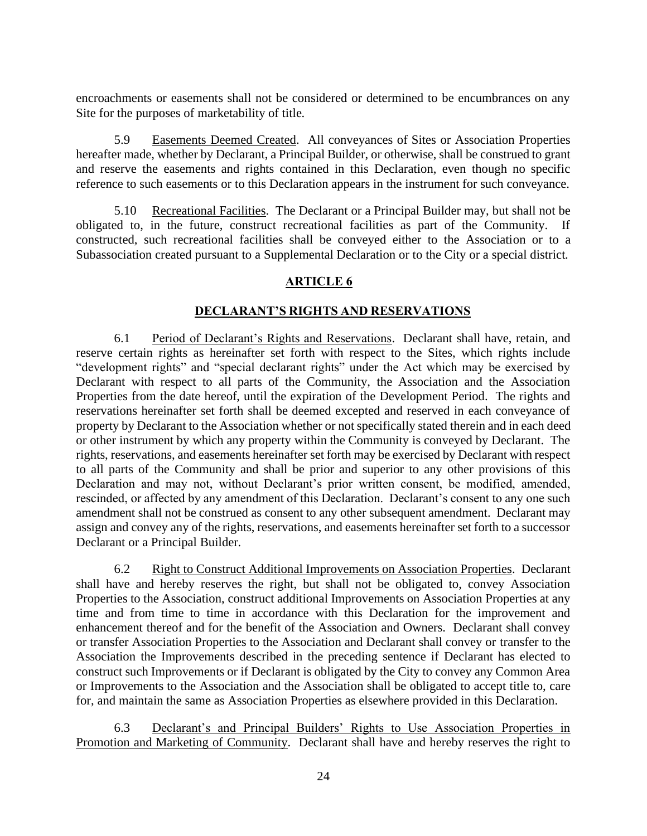encroachments or easements shall not be considered or determined to be encumbrances on any Site for the purposes of marketability of title.

<span id="page-30-0"></span>5.9 Easements Deemed Created. All conveyances of Sites or Association Properties hereafter made, whether by Declarant, a Principal Builder, or otherwise, shall be construed to grant and reserve the easements and rights contained in this Declaration, even though no specific reference to such easements or to this Declaration appears in the instrument for such conveyance.

<span id="page-30-1"></span>5.10 Recreational Facilities. The Declarant or a Principal Builder may, but shall not be obligated to, in the future, construct recreational facilities as part of the Community. If constructed, such recreational facilities shall be conveyed either to the Association or to a Subassociation created pursuant to a Supplemental Declaration or to the City or a special district.

### **ARTICLE 6**

### **DECLARANT'S RIGHTS AND RESERVATIONS**

<span id="page-30-3"></span><span id="page-30-2"></span>6.1 Period of Declarant's Rights and Reservations. Declarant shall have, retain, and reserve certain rights as hereinafter set forth with respect to the Sites, which rights include "development rights" and "special declarant rights" under the Act which may be exercised by Declarant with respect to all parts of the Community, the Association and the Association Properties from the date hereof, until the expiration of the Development Period. The rights and reservations hereinafter set forth shall be deemed excepted and reserved in each conveyance of property by Declarant to the Association whether or not specifically stated therein and in each deed or other instrument by which any property within the Community is conveyed by Declarant. The rights, reservations, and easements hereinafter set forth may be exercised by Declarant with respect to all parts of the Community and shall be prior and superior to any other provisions of this Declaration and may not, without Declarant's prior written consent, be modified, amended, rescinded, or affected by any amendment of this Declaration. Declarant's consent to any one such amendment shall not be construed as consent to any other subsequent amendment. Declarant may assign and convey any of the rights, reservations, and easements hereinafter set forth to a successor Declarant or a Principal Builder.

<span id="page-30-4"></span>6.2 Right to Construct Additional Improvements on Association Properties. Declarant shall have and hereby reserves the right, but shall not be obligated to, convey Association Properties to the Association, construct additional Improvements on Association Properties at any time and from time to time in accordance with this Declaration for the improvement and enhancement thereof and for the benefit of the Association and Owners. Declarant shall convey or transfer Association Properties to the Association and Declarant shall convey or transfer to the Association the Improvements described in the preceding sentence if Declarant has elected to construct such Improvements or if Declarant is obligated by the City to convey any Common Area or Improvements to the Association and the Association shall be obligated to accept title to, care for, and maintain the same as Association Properties as elsewhere provided in this Declaration.

<span id="page-30-5"></span>6.3 Declarant's and Principal Builders' Rights to Use Association Properties in Promotion and Marketing of Community. Declarant shall have and hereby reserves the right to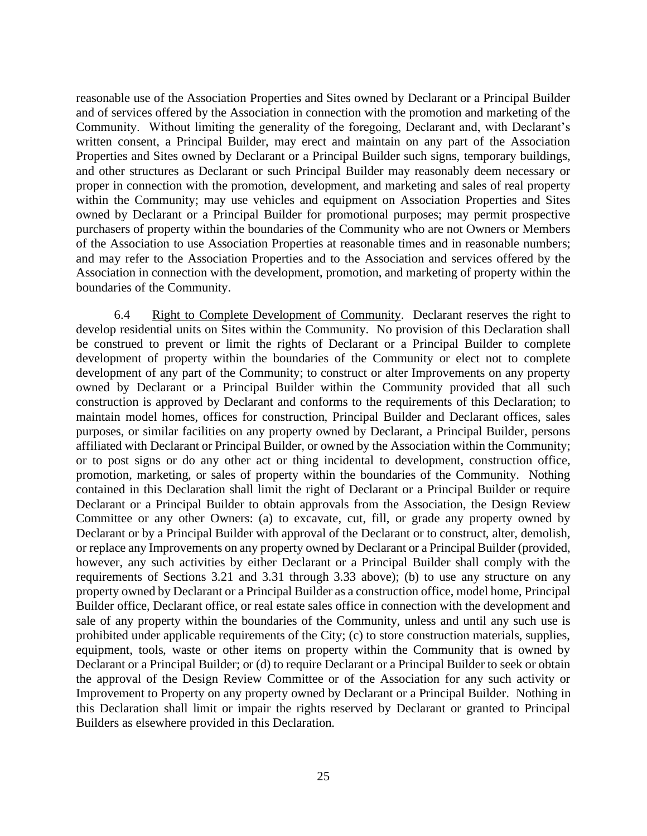reasonable use of the Association Properties and Sites owned by Declarant or a Principal Builder and of services offered by the Association in connection with the promotion and marketing of the Community. Without limiting the generality of the foregoing, Declarant and, with Declarant's written consent, a Principal Builder, may erect and maintain on any part of the Association Properties and Sites owned by Declarant or a Principal Builder such signs, temporary buildings, and other structures as Declarant or such Principal Builder may reasonably deem necessary or proper in connection with the promotion, development, and marketing and sales of real property within the Community; may use vehicles and equipment on Association Properties and Sites owned by Declarant or a Principal Builder for promotional purposes; may permit prospective purchasers of property within the boundaries of the Community who are not Owners or Members of the Association to use Association Properties at reasonable times and in reasonable numbers; and may refer to the Association Properties and to the Association and services offered by the Association in connection with the development, promotion, and marketing of property within the boundaries of the Community.

<span id="page-31-0"></span>6.4 Right to Complete Development of Community. Declarant reserves the right to develop residential units on Sites within the Community. No provision of this Declaration shall be construed to prevent or limit the rights of Declarant or a Principal Builder to complete development of property within the boundaries of the Community or elect not to complete development of any part of the Community; to construct or alter Improvements on any property owned by Declarant or a Principal Builder within the Community provided that all such construction is approved by Declarant and conforms to the requirements of this Declaration; to maintain model homes, offices for construction, Principal Builder and Declarant offices, sales purposes, or similar facilities on any property owned by Declarant, a Principal Builder, persons affiliated with Declarant or Principal Builder, or owned by the Association within the Community; or to post signs or do any other act or thing incidental to development, construction office, promotion, marketing, or sales of property within the boundaries of the Community. Nothing contained in this Declaration shall limit the right of Declarant or a Principal Builder or require Declarant or a Principal Builder to obtain approvals from the Association, the Design Review Committee or any other Owners: (a) to excavate, cut, fill, or grade any property owned by Declarant or by a Principal Builder with approval of the Declarant or to construct, alter, demolish, or replace any Improvements on any property owned by Declarant or a Principal Builder (provided, however, any such activities by either Declarant or a Principal Builder shall comply with the requirements of Sections 3.21 and 3.31 through 3.33 above); (b) to use any structure on any property owned by Declarant or a Principal Builder as a construction office, model home, Principal Builder office, Declarant office, or real estate sales office in connection with the development and sale of any property within the boundaries of the Community, unless and until any such use is prohibited under applicable requirements of the City; (c) to store construction materials, supplies, equipment, tools, waste or other items on property within the Community that is owned by Declarant or a Principal Builder; or (d) to require Declarant or a Principal Builder to seek or obtain the approval of the Design Review Committee or of the Association for any such activity or Improvement to Property on any property owned by Declarant or a Principal Builder. Nothing in this Declaration shall limit or impair the rights reserved by Declarant or granted to Principal Builders as elsewhere provided in this Declaration.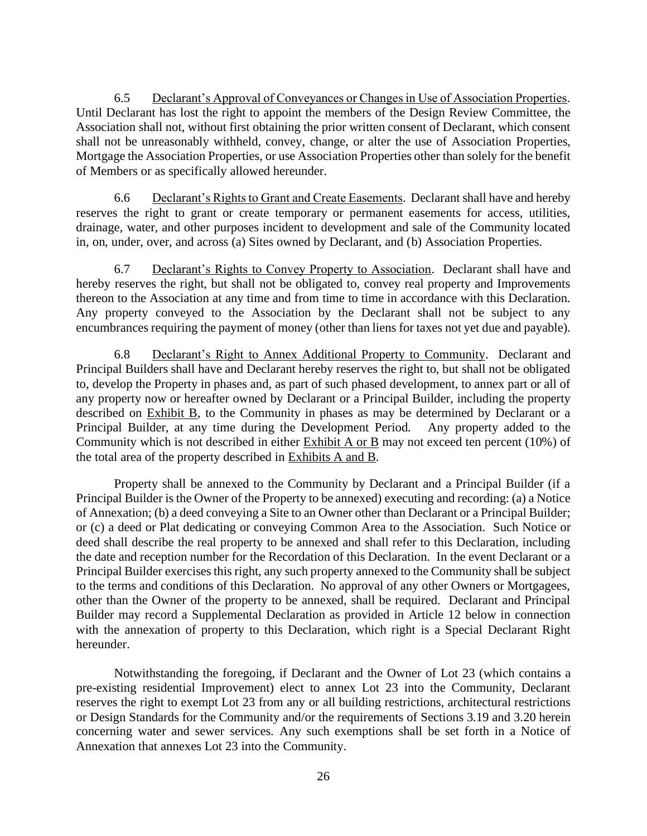<span id="page-32-0"></span>6.5 Declarant's Approval of Conveyances or Changes in Use of Association Properties. Until Declarant has lost the right to appoint the members of the Design Review Committee, the Association shall not, without first obtaining the prior written consent of Declarant, which consent shall not be unreasonably withheld, convey, change, or alter the use of Association Properties, Mortgage the Association Properties, or use Association Properties other than solely for the benefit of Members or as specifically allowed hereunder.

<span id="page-32-1"></span>6.6 Declarant's Rights to Grant and Create Easements. Declarant shall have and hereby reserves the right to grant or create temporary or permanent easements for access, utilities, drainage, water, and other purposes incident to development and sale of the Community located in, on, under, over, and across (a) Sites owned by Declarant, and (b) Association Properties.

<span id="page-32-2"></span>6.7 Declarant's Rights to Convey Property to Association. Declarant shall have and hereby reserves the right, but shall not be obligated to, convey real property and Improvements thereon to the Association at any time and from time to time in accordance with this Declaration. Any property conveyed to the Association by the Declarant shall not be subject to any encumbrances requiring the payment of money (other than liens for taxes not yet due and payable).

<span id="page-32-3"></span>6.8 Declarant's Right to Annex Additional Property to Community. Declarant and Principal Builders shall have and Declarant hereby reserves the right to, but shall not be obligated to, develop the Property in phases and, as part of such phased development, to annex part or all of any property now or hereafter owned by Declarant or a Principal Builder, including the property described on Exhibit B, to the Community in phases as may be determined by Declarant or a Principal Builder, at any time during the Development Period. Any property added to the Community which is not described in either Exhibit A or B may not exceed ten percent (10%) of the total area of the property described in Exhibits A and B.

Property shall be annexed to the Community by Declarant and a Principal Builder (if a Principal Builder is the Owner of the Property to be annexed) executing and recording: (a) a Notice of Annexation; (b) a deed conveying a Site to an Owner other than Declarant or a Principal Builder; or (c) a deed or Plat dedicating or conveying Common Area to the Association. Such Notice or deed shall describe the real property to be annexed and shall refer to this Declaration, including the date and reception number for the Recordation of this Declaration. In the event Declarant or a Principal Builder exercises this right, any such property annexed to the Community shall be subject to the terms and conditions of this Declaration. No approval of any other Owners or Mortgagees, other than the Owner of the property to be annexed, shall be required. Declarant and Principal Builder may record a Supplemental Declaration as provided in Article 12 below in connection with the annexation of property to this Declaration, which right is a Special Declarant Right hereunder.

Notwithstanding the foregoing, if Declarant and the Owner of Lot 23 (which contains a pre-existing residential Improvement) elect to annex Lot 23 into the Community, Declarant reserves the right to exempt Lot 23 from any or all building restrictions, architectural restrictions or Design Standards for the Community and/or the requirements of Sections 3.19 and 3.20 herein concerning water and sewer services. Any such exemptions shall be set forth in a Notice of Annexation that annexes Lot 23 into the Community.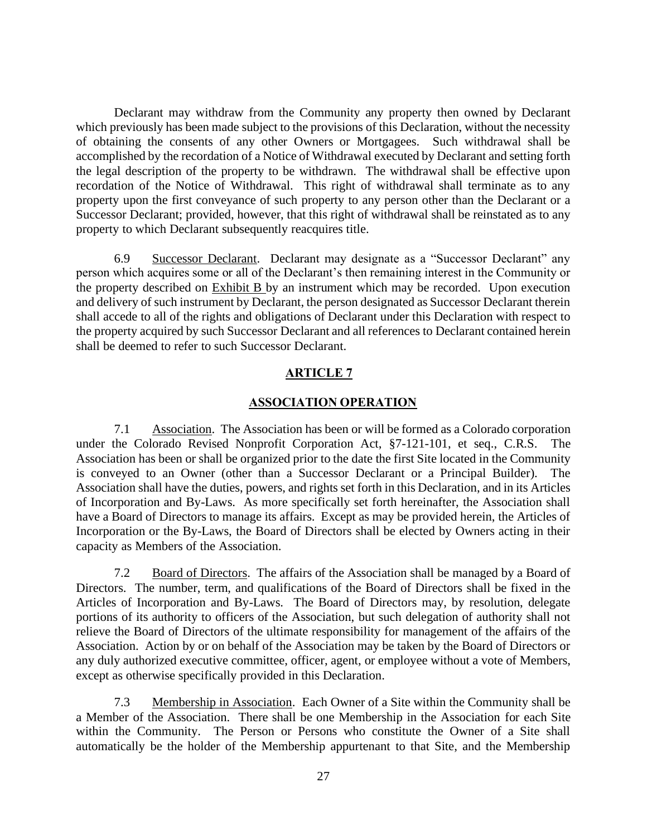Declarant may withdraw from the Community any property then owned by Declarant which previously has been made subject to the provisions of this Declaration, without the necessity of obtaining the consents of any other Owners or Mortgagees. Such withdrawal shall be accomplished by the recordation of a Notice of Withdrawal executed by Declarant and setting forth the legal description of the property to be withdrawn. The withdrawal shall be effective upon recordation of the Notice of Withdrawal. This right of withdrawal shall terminate as to any property upon the first conveyance of such property to any person other than the Declarant or a Successor Declarant; provided, however, that this right of withdrawal shall be reinstated as to any property to which Declarant subsequently reacquires title.

<span id="page-33-0"></span>6.9 Successor Declarant. Declarant may designate as a "Successor Declarant" any person which acquires some or all of the Declarant's then remaining interest in the Community or the property described on Exhibit B by an instrument which may be recorded. Upon execution and delivery of such instrument by Declarant, the person designated as Successor Declarant therein shall accede to all of the rights and obligations of Declarant under this Declaration with respect to the property acquired by such Successor Declarant and all references to Declarant contained herein shall be deemed to refer to such Successor Declarant.

### **ARTICLE 7**

### **ASSOCIATION OPERATION**

<span id="page-33-2"></span><span id="page-33-1"></span>7.1 Association. The Association has been or will be formed as a Colorado corporation under the Colorado Revised Nonprofit Corporation Act, §7-121-101, et seq., C.R.S. The Association has been or shall be organized prior to the date the first Site located in the Community is conveyed to an Owner (other than a Successor Declarant or a Principal Builder). The Association shall have the duties, powers, and rights set forth in this Declaration, and in its Articles of Incorporation and By-Laws. As more specifically set forth hereinafter, the Association shall have a Board of Directors to manage its affairs. Except as may be provided herein, the Articles of Incorporation or the By-Laws, the Board of Directors shall be elected by Owners acting in their capacity as Members of the Association.

<span id="page-33-3"></span>7.2 Board of Directors. The affairs of the Association shall be managed by a Board of Directors. The number, term, and qualifications of the Board of Directors shall be fixed in the Articles of Incorporation and By-Laws. The Board of Directors may, by resolution, delegate portions of its authority to officers of the Association, but such delegation of authority shall not relieve the Board of Directors of the ultimate responsibility for management of the affairs of the Association. Action by or on behalf of the Association may be taken by the Board of Directors or any duly authorized executive committee, officer, agent, or employee without a vote of Members, except as otherwise specifically provided in this Declaration.

<span id="page-33-4"></span>7.3 Membership in Association. Each Owner of a Site within the Community shall be a Member of the Association. There shall be one Membership in the Association for each Site within the Community. The Person or Persons who constitute the Owner of a Site shall automatically be the holder of the Membership appurtenant to that Site, and the Membership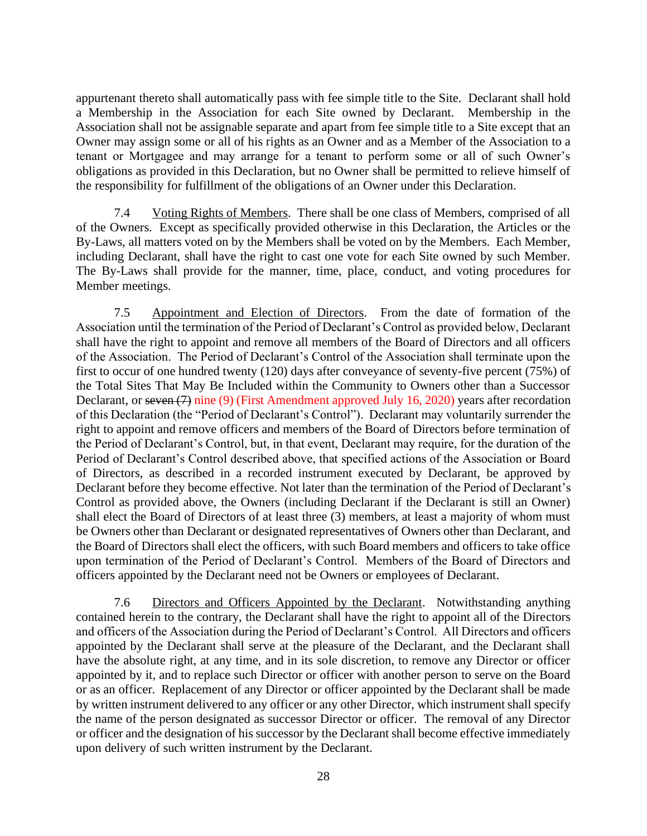appurtenant thereto shall automatically pass with fee simple title to the Site. Declarant shall hold a Membership in the Association for each Site owned by Declarant. Membership in the Association shall not be assignable separate and apart from fee simple title to a Site except that an Owner may assign some or all of his rights as an Owner and as a Member of the Association to a tenant or Mortgagee and may arrange for a tenant to perform some or all of such Owner's obligations as provided in this Declaration, but no Owner shall be permitted to relieve himself of the responsibility for fulfillment of the obligations of an Owner under this Declaration.

<span id="page-34-0"></span>7.4 Voting Rights of Members. There shall be one class of Members, comprised of all of the Owners. Except as specifically provided otherwise in this Declaration, the Articles or the By-Laws, all matters voted on by the Members shall be voted on by the Members. Each Member, including Declarant, shall have the right to cast one vote for each Site owned by such Member. The By-Laws shall provide for the manner, time, place, conduct, and voting procedures for Member meetings.

<span id="page-34-1"></span>7.5 Appointment and Election of Directors. From the date of formation of the Association until the termination of the Period of Declarant's Control as provided below, Declarant shall have the right to appoint and remove all members of the Board of Directors and all officers of the Association. The Period of Declarant's Control of the Association shall terminate upon the first to occur of one hundred twenty (120) days after conveyance of seventy-five percent (75%) of the Total Sites That May Be Included within the Community to Owners other than a Successor Declarant, or seven (7) nine (9) (First Amendment approved July 16, 2020) years after recordation of this Declaration (the "Period of Declarant's Control"). Declarant may voluntarily surrender the right to appoint and remove officers and members of the Board of Directors before termination of the Period of Declarant's Control, but, in that event, Declarant may require, for the duration of the Period of Declarant's Control described above, that specified actions of the Association or Board of Directors, as described in a recorded instrument executed by Declarant, be approved by Declarant before they become effective. Not later than the termination of the Period of Declarant's Control as provided above, the Owners (including Declarant if the Declarant is still an Owner) shall elect the Board of Directors of at least three (3) members, at least a majority of whom must be Owners other than Declarant or designated representatives of Owners other than Declarant, and the Board of Directors shall elect the officers, with such Board members and officers to take office upon termination of the Period of Declarant's Control. Members of the Board of Directors and officers appointed by the Declarant need not be Owners or employees of Declarant.

<span id="page-34-2"></span>7.6 Directors and Officers Appointed by the Declarant. Notwithstanding anything contained herein to the contrary, the Declarant shall have the right to appoint all of the Directors and officers of the Association during the Period of Declarant's Control. All Directors and officers appointed by the Declarant shall serve at the pleasure of the Declarant, and the Declarant shall have the absolute right, at any time, and in its sole discretion, to remove any Director or officer appointed by it, and to replace such Director or officer with another person to serve on the Board or as an officer. Replacement of any Director or officer appointed by the Declarant shall be made by written instrument delivered to any officer or any other Director, which instrument shall specify the name of the person designated as successor Director or officer. The removal of any Director or officer and the designation of his successor by the Declarant shall become effective immediately upon delivery of such written instrument by the Declarant.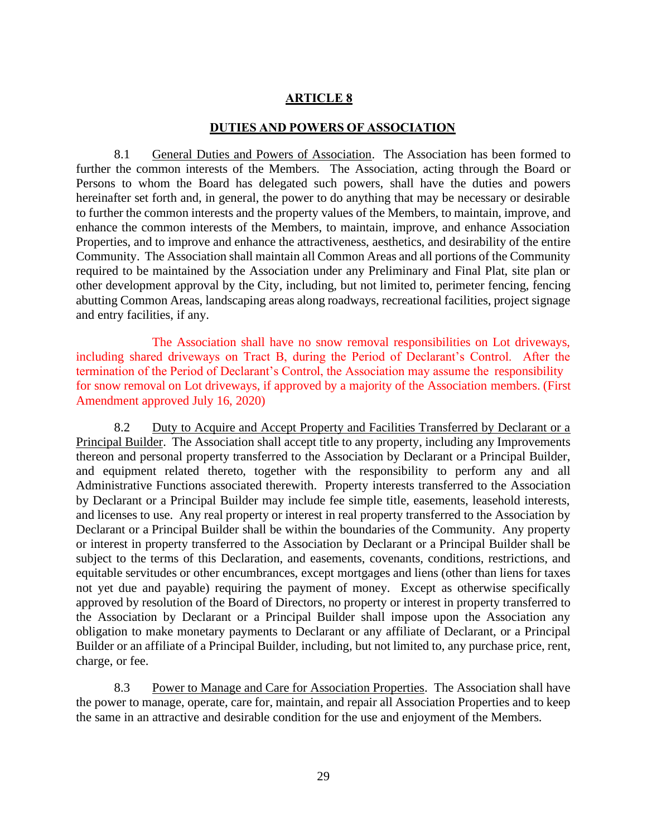### **ARTICLE 8**

#### **DUTIES AND POWERS OF ASSOCIATION**

<span id="page-35-1"></span><span id="page-35-0"></span>8.1 General Duties and Powers of Association. The Association has been formed to further the common interests of the Members. The Association, acting through the Board or Persons to whom the Board has delegated such powers, shall have the duties and powers hereinafter set forth and, in general, the power to do anything that may be necessary or desirable to further the common interests and the property values of the Members, to maintain, improve, and enhance the common interests of the Members, to maintain, improve, and enhance Association Properties, and to improve and enhance the attractiveness, aesthetics, and desirability of the entire Community. The Association shall maintain all Common Areas and all portions of the Community required to be maintained by the Association under any Preliminary and Final Plat, site plan or other development approval by the City, including, but not limited to, perimeter fencing, fencing abutting Common Areas, landscaping areas along roadways, recreational facilities, project signage and entry facilities, if any.

The Association shall have no snow removal responsibilities on Lot driveways, including shared driveways on Tract B, during the Period of Declarant's Control. After the termination of the Period of Declarant's Control, the Association may assume the responsibility for snow removal on Lot driveways, if approved by a majority of the Association members. (First Amendment approved July 16, 2020)

<span id="page-35-2"></span>8.2 Duty to Acquire and Accept Property and Facilities Transferred by Declarant or a Principal Builder. The Association shall accept title to any property, including any Improvements thereon and personal property transferred to the Association by Declarant or a Principal Builder, and equipment related thereto, together with the responsibility to perform any and all Administrative Functions associated therewith. Property interests transferred to the Association by Declarant or a Principal Builder may include fee simple title, easements, leasehold interests, and licenses to use. Any real property or interest in real property transferred to the Association by Declarant or a Principal Builder shall be within the boundaries of the Community. Any property or interest in property transferred to the Association by Declarant or a Principal Builder shall be subject to the terms of this Declaration, and easements, covenants, conditions, restrictions, and equitable servitudes or other encumbrances, except mortgages and liens (other than liens for taxes not yet due and payable) requiring the payment of money. Except as otherwise specifically approved by resolution of the Board of Directors, no property or interest in property transferred to the Association by Declarant or a Principal Builder shall impose upon the Association any obligation to make monetary payments to Declarant or any affiliate of Declarant, or a Principal Builder or an affiliate of a Principal Builder, including, but not limited to, any purchase price, rent, charge, or fee.

<span id="page-35-3"></span>8.3 Power to Manage and Care for Association Properties. The Association shall have the power to manage, operate, care for, maintain, and repair all Association Properties and to keep the same in an attractive and desirable condition for the use and enjoyment of the Members.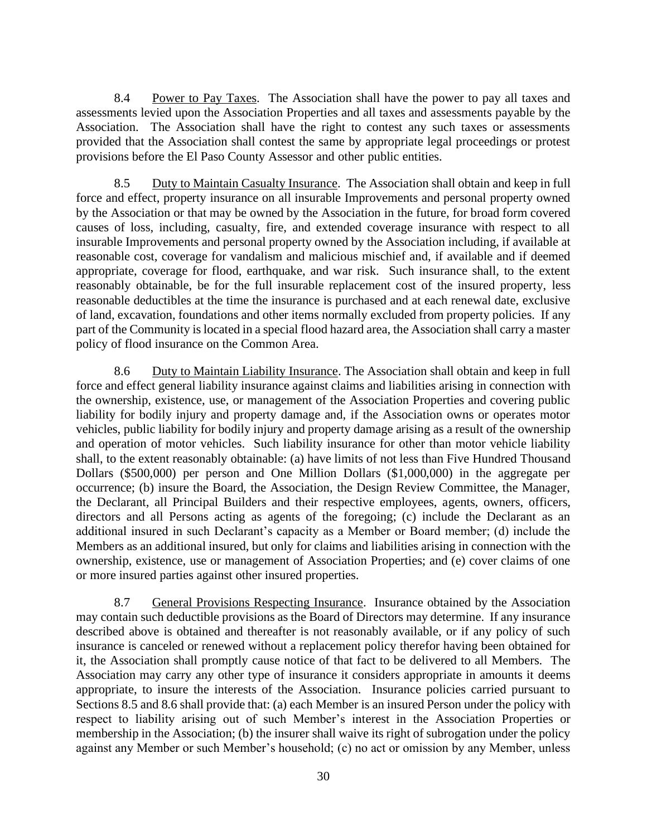<span id="page-36-0"></span>8.4 Power to Pay Taxes. The Association shall have the power to pay all taxes and assessments levied upon the Association Properties and all taxes and assessments payable by the Association. The Association shall have the right to contest any such taxes or assessments provided that the Association shall contest the same by appropriate legal proceedings or protest provisions before the El Paso County Assessor and other public entities.

<span id="page-36-1"></span>8.5 Duty to Maintain Casualty Insurance. The Association shall obtain and keep in full force and effect, property insurance on all insurable Improvements and personal property owned by the Association or that may be owned by the Association in the future, for broad form covered causes of loss, including, casualty, fire, and extended coverage insurance with respect to all insurable Improvements and personal property owned by the Association including, if available at reasonable cost, coverage for vandalism and malicious mischief and, if available and if deemed appropriate, coverage for flood, earthquake, and war risk. Such insurance shall, to the extent reasonably obtainable, be for the full insurable replacement cost of the insured property, less reasonable deductibles at the time the insurance is purchased and at each renewal date, exclusive of land, excavation, foundations and other items normally excluded from property policies. If any part of the Community is located in a special flood hazard area, the Association shall carry a master policy of flood insurance on the Common Area.

<span id="page-36-2"></span>8.6 Duty to Maintain Liability Insurance. The Association shall obtain and keep in full force and effect general liability insurance against claims and liabilities arising in connection with the ownership, existence, use, or management of the Association Properties and covering public liability for bodily injury and property damage and, if the Association owns or operates motor vehicles, public liability for bodily injury and property damage arising as a result of the ownership and operation of motor vehicles. Such liability insurance for other than motor vehicle liability shall, to the extent reasonably obtainable: (a) have limits of not less than Five Hundred Thousand Dollars (\$500,000) per person and One Million Dollars (\$1,000,000) in the aggregate per occurrence; (b) insure the Board, the Association, the Design Review Committee, the Manager, the Declarant, all Principal Builders and their respective employees, agents, owners, officers, directors and all Persons acting as agents of the foregoing; (c) include the Declarant as an additional insured in such Declarant's capacity as a Member or Board member; (d) include the Members as an additional insured, but only for claims and liabilities arising in connection with the ownership, existence, use or management of Association Properties; and (e) cover claims of one or more insured parties against other insured properties.

<span id="page-36-3"></span>8.7 General Provisions Respecting Insurance. Insurance obtained by the Association may contain such deductible provisions as the Board of Directors may determine. If any insurance described above is obtained and thereafter is not reasonably available, or if any policy of such insurance is canceled or renewed without a replacement policy therefor having been obtained for it, the Association shall promptly cause notice of that fact to be delivered to all Members. The Association may carry any other type of insurance it considers appropriate in amounts it deems appropriate, to insure the interests of the Association. Insurance policies carried pursuant to Sections 8.5 and 8.6 shall provide that: (a) each Member is an insured Person under the policy with respect to liability arising out of such Member's interest in the Association Properties or membership in the Association; (b) the insurer shall waive its right of subrogation under the policy against any Member or such Member's household; (c) no act or omission by any Member, unless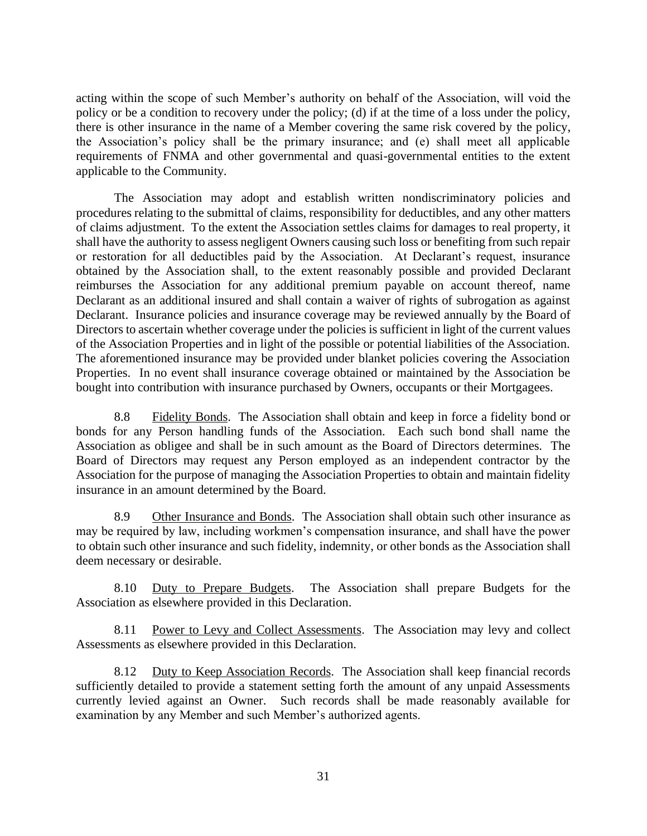acting within the scope of such Member's authority on behalf of the Association, will void the policy or be a condition to recovery under the policy; (d) if at the time of a loss under the policy, there is other insurance in the name of a Member covering the same risk covered by the policy, the Association's policy shall be the primary insurance; and (e) shall meet all applicable requirements of FNMA and other governmental and quasi-governmental entities to the extent applicable to the Community.

The Association may adopt and establish written nondiscriminatory policies and procedures relating to the submittal of claims, responsibility for deductibles, and any other matters of claims adjustment. To the extent the Association settles claims for damages to real property, it shall have the authority to assess negligent Owners causing such loss or benefiting from such repair or restoration for all deductibles paid by the Association. At Declarant's request, insurance obtained by the Association shall, to the extent reasonably possible and provided Declarant reimburses the Association for any additional premium payable on account thereof, name Declarant as an additional insured and shall contain a waiver of rights of subrogation as against Declarant. Insurance policies and insurance coverage may be reviewed annually by the Board of Directors to ascertain whether coverage under the policies is sufficient in light of the current values of the Association Properties and in light of the possible or potential liabilities of the Association. The aforementioned insurance may be provided under blanket policies covering the Association Properties. In no event shall insurance coverage obtained or maintained by the Association be bought into contribution with insurance purchased by Owners, occupants or their Mortgagees.

<span id="page-37-0"></span>8.8 Fidelity Bonds. The Association shall obtain and keep in force a fidelity bond or bonds for any Person handling funds of the Association. Each such bond shall name the Association as obligee and shall be in such amount as the Board of Directors determines. The Board of Directors may request any Person employed as an independent contractor by the Association for the purpose of managing the Association Properties to obtain and maintain fidelity insurance in an amount determined by the Board.

<span id="page-37-1"></span>8.9 Other Insurance and Bonds. The Association shall obtain such other insurance as may be required by law, including workmen's compensation insurance, and shall have the power to obtain such other insurance and such fidelity, indemnity, or other bonds as the Association shall deem necessary or desirable.

<span id="page-37-2"></span>8.10 Duty to Prepare Budgets. The Association shall prepare Budgets for the Association as elsewhere provided in this Declaration.

<span id="page-37-3"></span>8.11 Power to Levy and Collect Assessments. The Association may levy and collect Assessments as elsewhere provided in this Declaration.

<span id="page-37-4"></span>8.12 Duty to Keep Association Records. The Association shall keep financial records sufficiently detailed to provide a statement setting forth the amount of any unpaid Assessments currently levied against an Owner. Such records shall be made reasonably available for examination by any Member and such Member's authorized agents.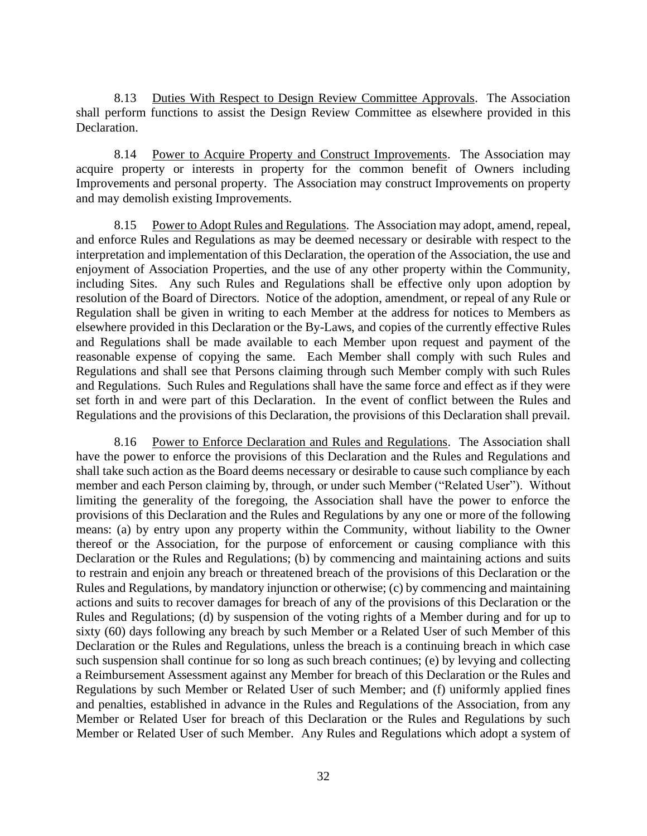<span id="page-38-0"></span>8.13 Duties With Respect to Design Review Committee Approvals. The Association shall perform functions to assist the Design Review Committee as elsewhere provided in this Declaration.

<span id="page-38-1"></span>8.14 Power to Acquire Property and Construct Improvements. The Association may acquire property or interests in property for the common benefit of Owners including Improvements and personal property. The Association may construct Improvements on property and may demolish existing Improvements.

<span id="page-38-2"></span>8.15 Power to Adopt Rules and Regulations. The Association may adopt, amend, repeal, and enforce Rules and Regulations as may be deemed necessary or desirable with respect to the interpretation and implementation of this Declaration, the operation of the Association, the use and enjoyment of Association Properties, and the use of any other property within the Community, including Sites. Any such Rules and Regulations shall be effective only upon adoption by resolution of the Board of Directors. Notice of the adoption, amendment, or repeal of any Rule or Regulation shall be given in writing to each Member at the address for notices to Members as elsewhere provided in this Declaration or the By-Laws, and copies of the currently effective Rules and Regulations shall be made available to each Member upon request and payment of the reasonable expense of copying the same. Each Member shall comply with such Rules and Regulations and shall see that Persons claiming through such Member comply with such Rules and Regulations. Such Rules and Regulations shall have the same force and effect as if they were set forth in and were part of this Declaration. In the event of conflict between the Rules and Regulations and the provisions of this Declaration, the provisions of this Declaration shall prevail.

<span id="page-38-3"></span>8.16 Power to Enforce Declaration and Rules and Regulations. The Association shall have the power to enforce the provisions of this Declaration and the Rules and Regulations and shall take such action as the Board deems necessary or desirable to cause such compliance by each member and each Person claiming by, through, or under such Member ("Related User"). Without limiting the generality of the foregoing, the Association shall have the power to enforce the provisions of this Declaration and the Rules and Regulations by any one or more of the following means: (a) by entry upon any property within the Community, without liability to the Owner thereof or the Association, for the purpose of enforcement or causing compliance with this Declaration or the Rules and Regulations; (b) by commencing and maintaining actions and suits to restrain and enjoin any breach or threatened breach of the provisions of this Declaration or the Rules and Regulations, by mandatory injunction or otherwise; (c) by commencing and maintaining actions and suits to recover damages for breach of any of the provisions of this Declaration or the Rules and Regulations; (d) by suspension of the voting rights of a Member during and for up to sixty (60) days following any breach by such Member or a Related User of such Member of this Declaration or the Rules and Regulations, unless the breach is a continuing breach in which case such suspension shall continue for so long as such breach continues; (e) by levying and collecting a Reimbursement Assessment against any Member for breach of this Declaration or the Rules and Regulations by such Member or Related User of such Member; and (f) uniformly applied fines and penalties, established in advance in the Rules and Regulations of the Association, from any Member or Related User for breach of this Declaration or the Rules and Regulations by such Member or Related User of such Member. Any Rules and Regulations which adopt a system of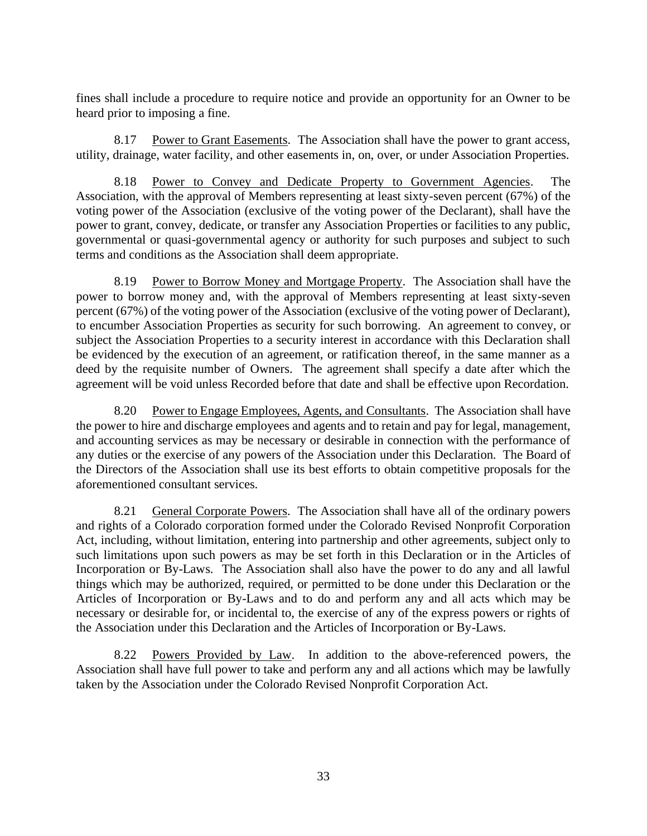fines shall include a procedure to require notice and provide an opportunity for an Owner to be heard prior to imposing a fine.

<span id="page-39-0"></span>8.17 Power to Grant Easements. The Association shall have the power to grant access, utility, drainage, water facility, and other easements in, on, over, or under Association Properties.

<span id="page-39-1"></span>8.18 Power to Convey and Dedicate Property to Government Agencies. The Association, with the approval of Members representing at least sixty-seven percent (67%) of the voting power of the Association (exclusive of the voting power of the Declarant), shall have the power to grant, convey, dedicate, or transfer any Association Properties or facilities to any public, governmental or quasi-governmental agency or authority for such purposes and subject to such terms and conditions as the Association shall deem appropriate.

<span id="page-39-2"></span>8.19 Power to Borrow Money and Mortgage Property. The Association shall have the power to borrow money and, with the approval of Members representing at least sixty-seven percent (67%) of the voting power of the Association (exclusive of the voting power of Declarant), to encumber Association Properties as security for such borrowing. An agreement to convey, or subject the Association Properties to a security interest in accordance with this Declaration shall be evidenced by the execution of an agreement, or ratification thereof, in the same manner as a deed by the requisite number of Owners. The agreement shall specify a date after which the agreement will be void unless Recorded before that date and shall be effective upon Recordation.

<span id="page-39-3"></span>8.20 Power to Engage Employees, Agents, and Consultants. The Association shall have the power to hire and discharge employees and agents and to retain and pay for legal, management, and accounting services as may be necessary or desirable in connection with the performance of any duties or the exercise of any powers of the Association under this Declaration. The Board of the Directors of the Association shall use its best efforts to obtain competitive proposals for the aforementioned consultant services.

<span id="page-39-4"></span>8.21 General Corporate Powers. The Association shall have all of the ordinary powers and rights of a Colorado corporation formed under the Colorado Revised Nonprofit Corporation Act, including, without limitation, entering into partnership and other agreements, subject only to such limitations upon such powers as may be set forth in this Declaration or in the Articles of Incorporation or By-Laws. The Association shall also have the power to do any and all lawful things which may be authorized, required, or permitted to be done under this Declaration or the Articles of Incorporation or By-Laws and to do and perform any and all acts which may be necessary or desirable for, or incidental to, the exercise of any of the express powers or rights of the Association under this Declaration and the Articles of Incorporation or By-Laws.

<span id="page-39-5"></span>8.22 Powers Provided by Law. In addition to the above-referenced powers, the Association shall have full power to take and perform any and all actions which may be lawfully taken by the Association under the Colorado Revised Nonprofit Corporation Act.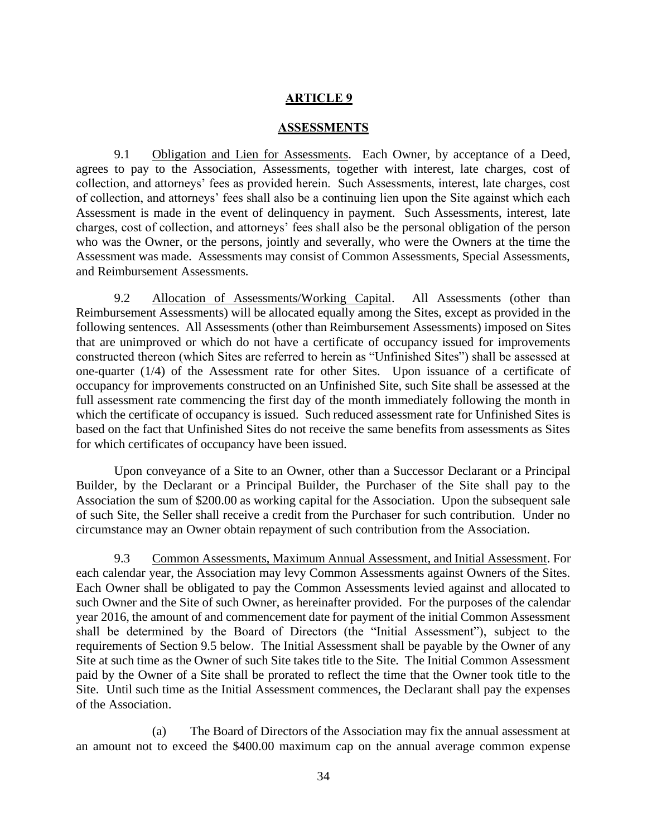#### **ARTICLE 9**

#### **ASSESSMENTS**

<span id="page-40-1"></span><span id="page-40-0"></span>9.1 Obligation and Lien for Assessments. Each Owner, by acceptance of a Deed, agrees to pay to the Association, Assessments, together with interest, late charges, cost of collection, and attorneys' fees as provided herein. Such Assessments, interest, late charges, cost of collection, and attorneys' fees shall also be a continuing lien upon the Site against which each Assessment is made in the event of delinquency in payment. Such Assessments, interest, late charges, cost of collection, and attorneys' fees shall also be the personal obligation of the person who was the Owner, or the persons, jointly and severally, who were the Owners at the time the Assessment was made. Assessments may consist of Common Assessments, Special Assessments, and Reimbursement Assessments.

<span id="page-40-2"></span>9.2 Allocation of Assessments/Working Capital. All Assessments (other than Reimbursement Assessments) will be allocated equally among the Sites, except as provided in the following sentences. All Assessments (other than Reimbursement Assessments) imposed on Sites that are unimproved or which do not have a certificate of occupancy issued for improvements constructed thereon (which Sites are referred to herein as "Unfinished Sites") shall be assessed at one-quarter (1/4) of the Assessment rate for other Sites. Upon issuance of a certificate of occupancy for improvements constructed on an Unfinished Site, such Site shall be assessed at the full assessment rate commencing the first day of the month immediately following the month in which the certificate of occupancy is issued. Such reduced assessment rate for Unfinished Sites is based on the fact that Unfinished Sites do not receive the same benefits from assessments as Sites for which certificates of occupancy have been issued.

Upon conveyance of a Site to an Owner, other than a Successor Declarant or a Principal Builder, by the Declarant or a Principal Builder, the Purchaser of the Site shall pay to the Association the sum of \$200.00 as working capital for the Association. Upon the subsequent sale of such Site, the Seller shall receive a credit from the Purchaser for such contribution. Under no circumstance may an Owner obtain repayment of such contribution from the Association.

<span id="page-40-3"></span>9.3 Common Assessments, Maximum Annual Assessment, and Initial Assessment. For each calendar year, the Association may levy Common Assessments against Owners of the Sites. Each Owner shall be obligated to pay the Common Assessments levied against and allocated to such Owner and the Site of such Owner, as hereinafter provided. For the purposes of the calendar year 2016, the amount of and commencement date for payment of the initial Common Assessment shall be determined by the Board of Directors (the "Initial Assessment"), subject to the requirements of Section 9.5 below. The Initial Assessment shall be payable by the Owner of any Site at such time as the Owner of such Site takes title to the Site. The Initial Common Assessment paid by the Owner of a Site shall be prorated to reflect the time that the Owner took title to the Site. Until such time as the Initial Assessment commences, the Declarant shall pay the expenses of the Association.

(a) The Board of Directors of the Association may fix the annual assessment at an amount not to exceed the \$400.00 maximum cap on the annual average common expense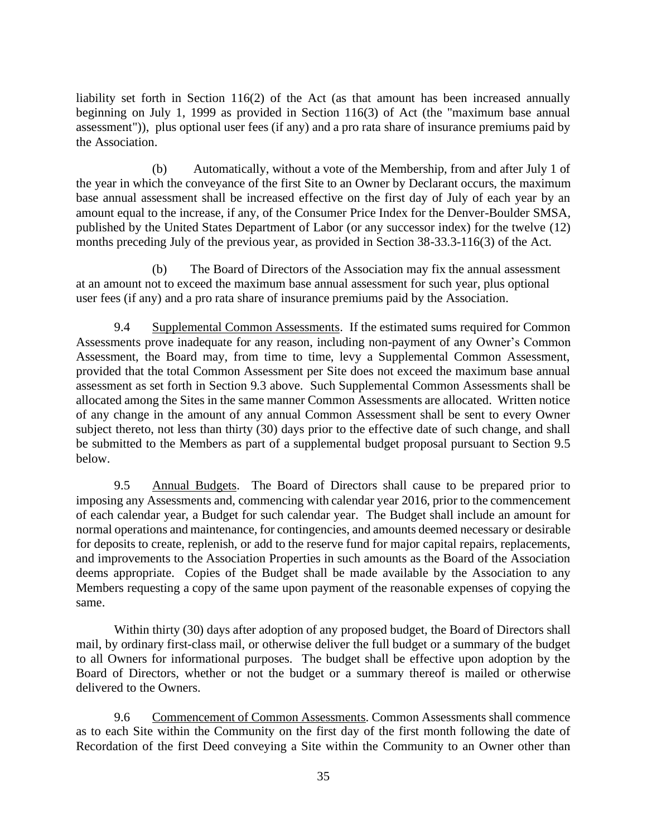liability set forth in Section 116(2) of the Act (as that amount has been increased annually beginning on July 1, 1999 as provided in Section 116(3) of Act (the "maximum base annual assessment")), plus optional user fees (if any) and a pro rata share of insurance premiums paid by the Association.

(b) Automatically, without a vote of the Membership, from and after July 1 of the year in which the conveyance of the first Site to an Owner by Declarant occurs, the maximum base annual assessment shall be increased effective on the first day of July of each year by an amount equal to the increase, if any, of the Consumer Price Index for the Denver-Boulder SMSA, published by the United States Department of Labor (or any successor index) for the twelve (12) months preceding July of the previous year, as provided in Section 38-33.3-116(3) of the Act.

(b) The Board of Directors of the Association may fix the annual assessment at an amount not to exceed the maximum base annual assessment for such year, plus optional user fees (if any) and a pro rata share of insurance premiums paid by the Association.

<span id="page-41-0"></span>9.4 Supplemental Common Assessments. If the estimated sums required for Common Assessments prove inadequate for any reason, including non-payment of any Owner's Common Assessment, the Board may, from time to time, levy a Supplemental Common Assessment, provided that the total Common Assessment per Site does not exceed the maximum base annual assessment as set forth in Section 9.3 above. Such Supplemental Common Assessments shall be allocated among the Sites in the same manner Common Assessments are allocated. Written notice of any change in the amount of any annual Common Assessment shall be sent to every Owner subject thereto, not less than thirty (30) days prior to the effective date of such change, and shall be submitted to the Members as part of a supplemental budget proposal pursuant to Section 9.5 below.

<span id="page-41-1"></span>9.5 Annual Budgets. The Board of Directors shall cause to be prepared prior to imposing any Assessments and, commencing with calendar year 2016, prior to the commencement of each calendar year, a Budget for such calendar year. The Budget shall include an amount for normal operations and maintenance, for contingencies, and amounts deemed necessary or desirable for deposits to create, replenish, or add to the reserve fund for major capital repairs, replacements, and improvements to the Association Properties in such amounts as the Board of the Association deems appropriate. Copies of the Budget shall be made available by the Association to any Members requesting a copy of the same upon payment of the reasonable expenses of copying the same.

Within thirty (30) days after adoption of any proposed budget, the Board of Directors shall mail, by ordinary first-class mail, or otherwise deliver the full budget or a summary of the budget to all Owners for informational purposes. The budget shall be effective upon adoption by the Board of Directors, whether or not the budget or a summary thereof is mailed or otherwise delivered to the Owners.

<span id="page-41-2"></span>9.6 Commencement of Common Assessments. Common Assessments shall commence as to each Site within the Community on the first day of the first month following the date of Recordation of the first Deed conveying a Site within the Community to an Owner other than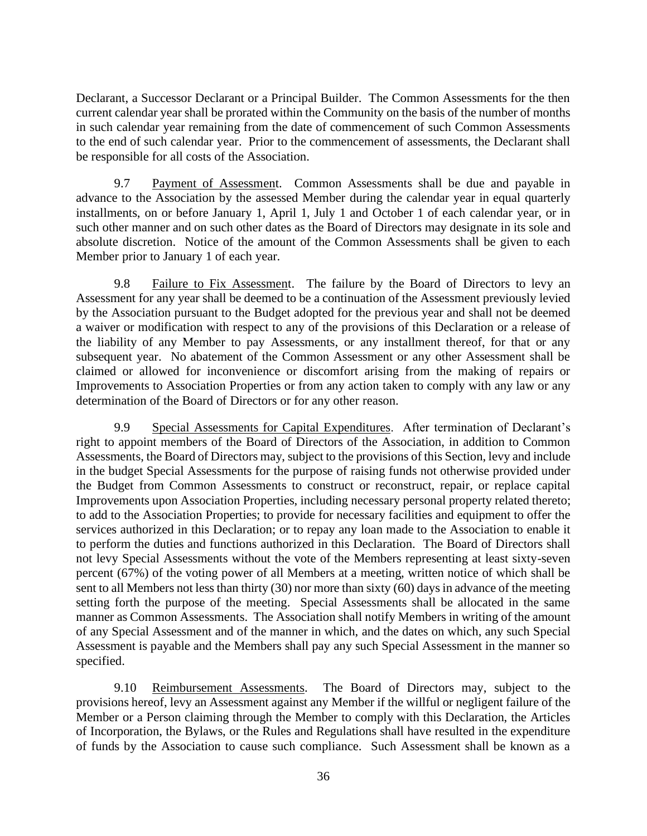Declarant, a Successor Declarant or a Principal Builder. The Common Assessments for the then current calendar year shall be prorated within the Community on the basis of the number of months in such calendar year remaining from the date of commencement of such Common Assessments to the end of such calendar year. Prior to the commencement of assessments, the Declarant shall be responsible for all costs of the Association.

<span id="page-42-0"></span>9.7 Payment of Assessment. Common Assessments shall be due and payable in advance to the Association by the assessed Member during the calendar year in equal quarterly installments, on or before January 1, April 1, July 1 and October 1 of each calendar year, or in such other manner and on such other dates as the Board of Directors may designate in its sole and absolute discretion. Notice of the amount of the Common Assessments shall be given to each Member prior to January 1 of each year.

<span id="page-42-1"></span>9.8 Failure to Fix Assessment. The failure by the Board of Directors to levy an Assessment for any year shall be deemed to be a continuation of the Assessment previously levied by the Association pursuant to the Budget adopted for the previous year and shall not be deemed a waiver or modification with respect to any of the provisions of this Declaration or a release of the liability of any Member to pay Assessments, or any installment thereof, for that or any subsequent year. No abatement of the Common Assessment or any other Assessment shall be claimed or allowed for inconvenience or discomfort arising from the making of repairs or Improvements to Association Properties or from any action taken to comply with any law or any determination of the Board of Directors or for any other reason.

<span id="page-42-2"></span>9.9 Special Assessments for Capital Expenditures. After termination of Declarant's right to appoint members of the Board of Directors of the Association, in addition to Common Assessments, the Board of Directors may, subject to the provisions of this Section, levy and include in the budget Special Assessments for the purpose of raising funds not otherwise provided under the Budget from Common Assessments to construct or reconstruct, repair, or replace capital Improvements upon Association Properties, including necessary personal property related thereto; to add to the Association Properties; to provide for necessary facilities and equipment to offer the services authorized in this Declaration; or to repay any loan made to the Association to enable it to perform the duties and functions authorized in this Declaration. The Board of Directors shall not levy Special Assessments without the vote of the Members representing at least sixty-seven percent (67%) of the voting power of all Members at a meeting, written notice of which shall be sent to all Members not less than thirty (30) nor more than sixty (60) days in advance of the meeting setting forth the purpose of the meeting. Special Assessments shall be allocated in the same manner as Common Assessments. The Association shall notify Members in writing of the amount of any Special Assessment and of the manner in which, and the dates on which, any such Special Assessment is payable and the Members shall pay any such Special Assessment in the manner so specified.

<span id="page-42-3"></span>9.10 Reimbursement Assessments. The Board of Directors may, subject to the provisions hereof, levy an Assessment against any Member if the willful or negligent failure of the Member or a Person claiming through the Member to comply with this Declaration, the Articles of Incorporation, the Bylaws, or the Rules and Regulations shall have resulted in the expenditure of funds by the Association to cause such compliance. Such Assessment shall be known as a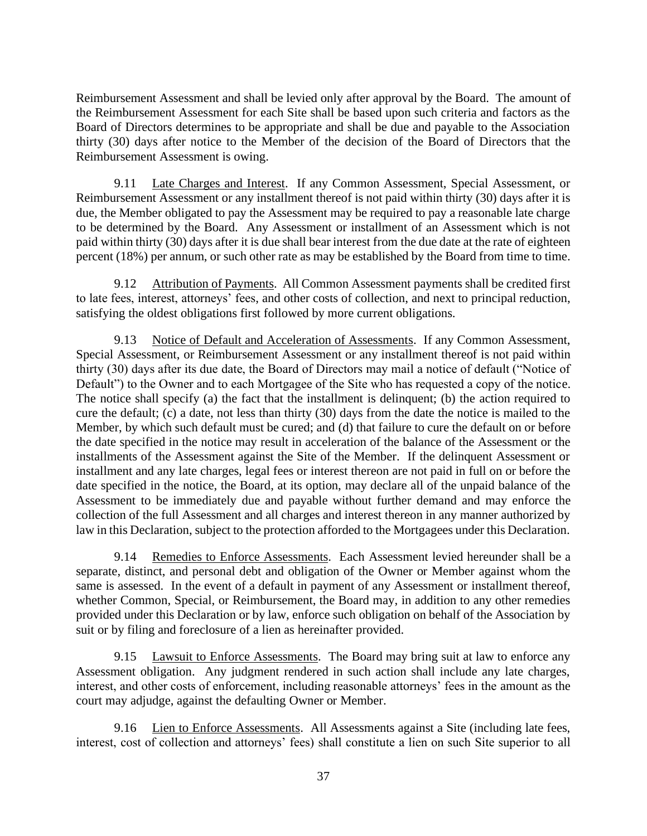Reimbursement Assessment and shall be levied only after approval by the Board. The amount of the Reimbursement Assessment for each Site shall be based upon such criteria and factors as the Board of Directors determines to be appropriate and shall be due and payable to the Association thirty (30) days after notice to the Member of the decision of the Board of Directors that the Reimbursement Assessment is owing.

<span id="page-43-0"></span>9.11 Late Charges and Interest. If any Common Assessment, Special Assessment, or Reimbursement Assessment or any installment thereof is not paid within thirty (30) days after it is due, the Member obligated to pay the Assessment may be required to pay a reasonable late charge to be determined by the Board. Any Assessment or installment of an Assessment which is not paid within thirty (30) days after it is due shall bear interest from the due date at the rate of eighteen percent (18%) per annum, or such other rate as may be established by the Board from time to time.

<span id="page-43-1"></span>9.12 Attribution of Payments. All Common Assessment payments shall be credited first to late fees, interest, attorneys' fees, and other costs of collection, and next to principal reduction, satisfying the oldest obligations first followed by more current obligations.

<span id="page-43-2"></span>9.13 Notice of Default and Acceleration of Assessments. If any Common Assessment, Special Assessment, or Reimbursement Assessment or any installment thereof is not paid within thirty (30) days after its due date, the Board of Directors may mail a notice of default ("Notice of Default") to the Owner and to each Mortgagee of the Site who has requested a copy of the notice. The notice shall specify (a) the fact that the installment is delinquent; (b) the action required to cure the default; (c) a date, not less than thirty (30) days from the date the notice is mailed to the Member, by which such default must be cured; and (d) that failure to cure the default on or before the date specified in the notice may result in acceleration of the balance of the Assessment or the installments of the Assessment against the Site of the Member. If the delinquent Assessment or installment and any late charges, legal fees or interest thereon are not paid in full on or before the date specified in the notice, the Board, at its option, may declare all of the unpaid balance of the Assessment to be immediately due and payable without further demand and may enforce the collection of the full Assessment and all charges and interest thereon in any manner authorized by law in this Declaration, subject to the protection afforded to the Mortgagees under this Declaration.

<span id="page-43-3"></span>9.14 Remedies to Enforce Assessments. Each Assessment levied hereunder shall be a separate, distinct, and personal debt and obligation of the Owner or Member against whom the same is assessed. In the event of a default in payment of any Assessment or installment thereof, whether Common, Special, or Reimbursement, the Board may, in addition to any other remedies provided under this Declaration or by law, enforce such obligation on behalf of the Association by suit or by filing and foreclosure of a lien as hereinafter provided.

<span id="page-43-4"></span>9.15 Lawsuit to Enforce Assessments. The Board may bring suit at law to enforce any Assessment obligation. Any judgment rendered in such action shall include any late charges, interest, and other costs of enforcement, including reasonable attorneys' fees in the amount as the court may adjudge, against the defaulting Owner or Member.

<span id="page-43-5"></span>9.16 Lien to Enforce Assessments. All Assessments against a Site (including late fees, interest, cost of collection and attorneys' fees) shall constitute a lien on such Site superior to all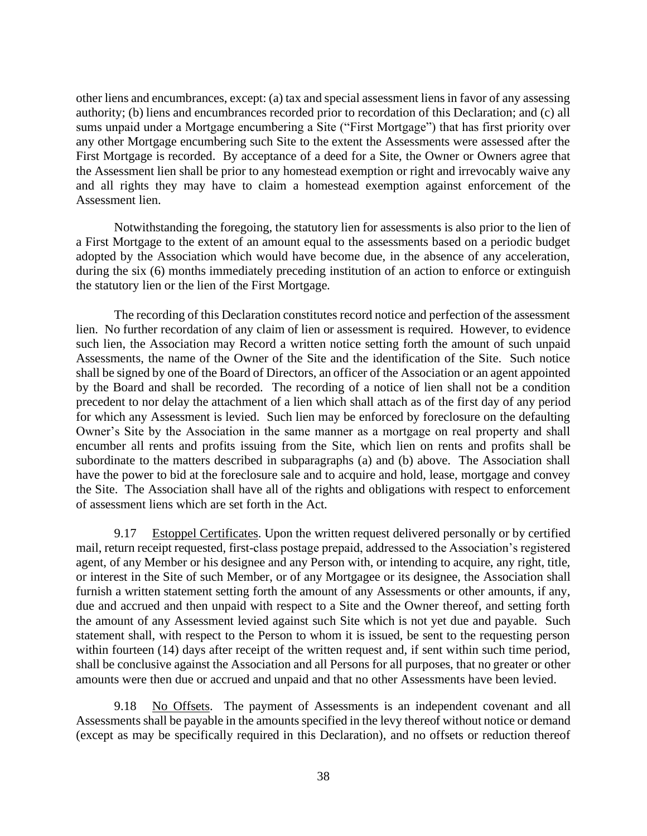other liens and encumbrances, except: (a) tax and special assessment liens in favor of any assessing authority; (b) liens and encumbrances recorded prior to recordation of this Declaration; and (c) all sums unpaid under a Mortgage encumbering a Site ("First Mortgage") that has first priority over any other Mortgage encumbering such Site to the extent the Assessments were assessed after the First Mortgage is recorded. By acceptance of a deed for a Site, the Owner or Owners agree that the Assessment lien shall be prior to any homestead exemption or right and irrevocably waive any and all rights they may have to claim a homestead exemption against enforcement of the Assessment lien.

Notwithstanding the foregoing, the statutory lien for assessments is also prior to the lien of a First Mortgage to the extent of an amount equal to the assessments based on a periodic budget adopted by the Association which would have become due, in the absence of any acceleration, during the six (6) months immediately preceding institution of an action to enforce or extinguish the statutory lien or the lien of the First Mortgage.

The recording of this Declaration constitutes record notice and perfection of the assessment lien. No further recordation of any claim of lien or assessment is required. However, to evidence such lien, the Association may Record a written notice setting forth the amount of such unpaid Assessments, the name of the Owner of the Site and the identification of the Site. Such notice shall be signed by one of the Board of Directors, an officer of the Association or an agent appointed by the Board and shall be recorded. The recording of a notice of lien shall not be a condition precedent to nor delay the attachment of a lien which shall attach as of the first day of any period for which any Assessment is levied. Such lien may be enforced by foreclosure on the defaulting Owner's Site by the Association in the same manner as a mortgage on real property and shall encumber all rents and profits issuing from the Site, which lien on rents and profits shall be subordinate to the matters described in subparagraphs (a) and (b) above. The Association shall have the power to bid at the foreclosure sale and to acquire and hold, lease, mortgage and convey the Site. The Association shall have all of the rights and obligations with respect to enforcement of assessment liens which are set forth in the Act.

<span id="page-44-0"></span>9.17 Estoppel Certificates. Upon the written request delivered personally or by certified mail, return receipt requested, first-class postage prepaid, addressed to the Association's registered agent, of any Member or his designee and any Person with, or intending to acquire, any right, title, or interest in the Site of such Member, or of any Mortgagee or its designee, the Association shall furnish a written statement setting forth the amount of any Assessments or other amounts, if any, due and accrued and then unpaid with respect to a Site and the Owner thereof, and setting forth the amount of any Assessment levied against such Site which is not yet due and payable. Such statement shall, with respect to the Person to whom it is issued, be sent to the requesting person within fourteen (14) days after receipt of the written request and, if sent within such time period, shall be conclusive against the Association and all Persons for all purposes, that no greater or other amounts were then due or accrued and unpaid and that no other Assessments have been levied.

<span id="page-44-1"></span>9.18 No Offsets. The payment of Assessments is an independent covenant and all Assessments shall be payable in the amounts specified in the levy thereof without notice or demand (except as may be specifically required in this Declaration), and no offsets or reduction thereof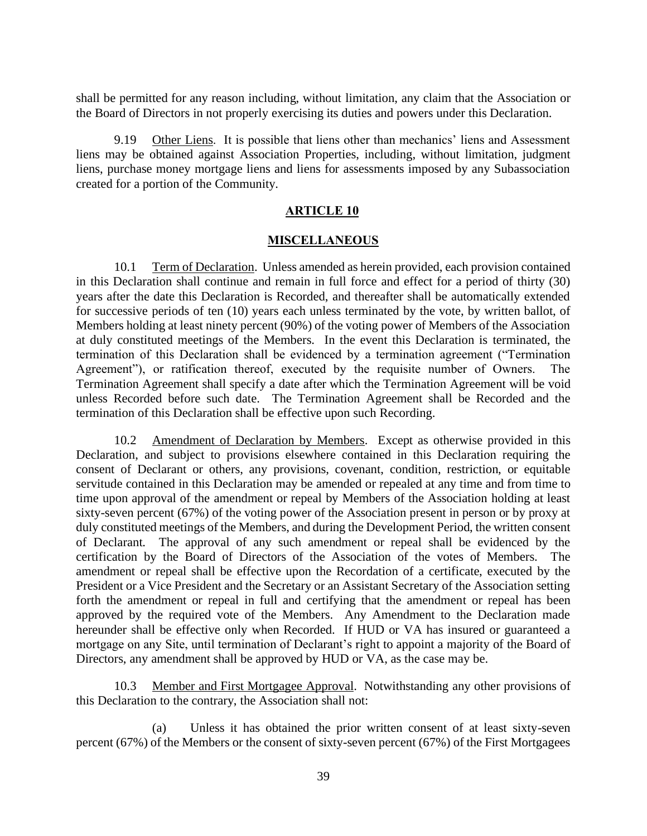shall be permitted for any reason including, without limitation, any claim that the Association or the Board of Directors in not properly exercising its duties and powers under this Declaration.

<span id="page-45-0"></span>9.19 Other Liens. It is possible that liens other than mechanics' liens and Assessment liens may be obtained against Association Properties, including, without limitation, judgment liens, purchase money mortgage liens and liens for assessments imposed by any Subassociation created for a portion of the Community.

#### **ARTICLE 10**

#### **MISCELLANEOUS**

<span id="page-45-2"></span><span id="page-45-1"></span>10.1 Term of Declaration. Unless amended as herein provided, each provision contained in this Declaration shall continue and remain in full force and effect for a period of thirty (30) years after the date this Declaration is Recorded, and thereafter shall be automatically extended for successive periods of ten (10) years each unless terminated by the vote, by written ballot, of Members holding at least ninety percent (90%) of the voting power of Members of the Association at duly constituted meetings of the Members. In the event this Declaration is terminated, the termination of this Declaration shall be evidenced by a termination agreement ("Termination Agreement"), or ratification thereof, executed by the requisite number of Owners. The Termination Agreement shall specify a date after which the Termination Agreement will be void unless Recorded before such date. The Termination Agreement shall be Recorded and the termination of this Declaration shall be effective upon such Recording.

<span id="page-45-3"></span>10.2 Amendment of Declaration by Members. Except as otherwise provided in this Declaration, and subject to provisions elsewhere contained in this Declaration requiring the consent of Declarant or others, any provisions, covenant, condition, restriction, or equitable servitude contained in this Declaration may be amended or repealed at any time and from time to time upon approval of the amendment or repeal by Members of the Association holding at least sixty-seven percent (67%) of the voting power of the Association present in person or by proxy at duly constituted meetings of the Members, and during the Development Period, the written consent of Declarant. The approval of any such amendment or repeal shall be evidenced by the certification by the Board of Directors of the Association of the votes of Members. The amendment or repeal shall be effective upon the Recordation of a certificate, executed by the President or a Vice President and the Secretary or an Assistant Secretary of the Association setting forth the amendment or repeal in full and certifying that the amendment or repeal has been approved by the required vote of the Members. Any Amendment to the Declaration made hereunder shall be effective only when Recorded. If HUD or VA has insured or guaranteed a mortgage on any Site, until termination of Declarant's right to appoint a majority of the Board of Directors, any amendment shall be approved by HUD or VA, as the case may be.

<span id="page-45-4"></span>10.3 Member and First Mortgagee Approval. Notwithstanding any other provisions of this Declaration to the contrary, the Association shall not:

(a) Unless it has obtained the prior written consent of at least sixty-seven percent (67%) of the Members or the consent of sixty-seven percent (67%) of the First Mortgagees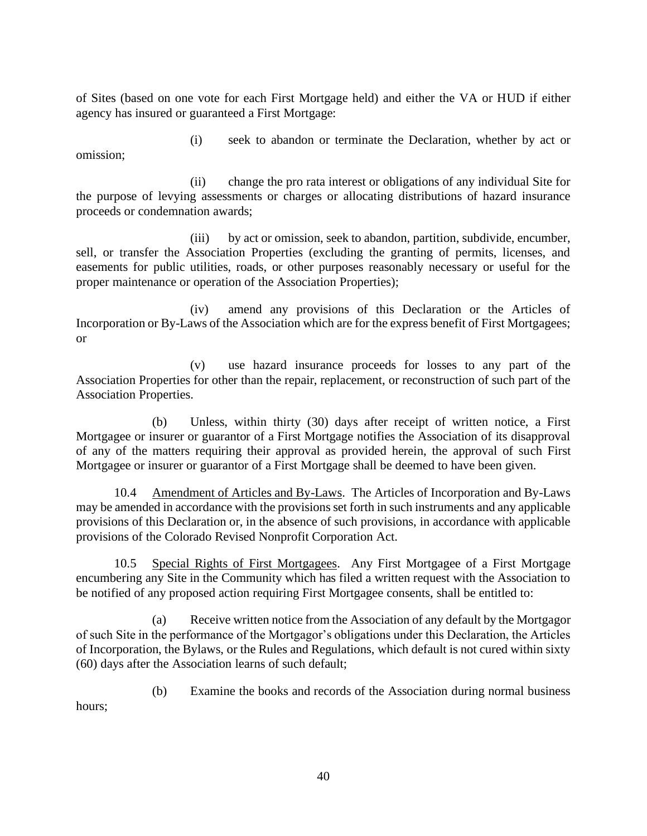of Sites (based on one vote for each First Mortgage held) and either the VA or HUD if either agency has insured or guaranteed a First Mortgage:

omission;

(i) seek to abandon or terminate the Declaration, whether by act or

(ii) change the pro rata interest or obligations of any individual Site for the purpose of levying assessments or charges or allocating distributions of hazard insurance proceeds or condemnation awards;

(iii) by act or omission, seek to abandon, partition, subdivide, encumber, sell, or transfer the Association Properties (excluding the granting of permits, licenses, and easements for public utilities, roads, or other purposes reasonably necessary or useful for the proper maintenance or operation of the Association Properties);

(iv) amend any provisions of this Declaration or the Articles of Incorporation or By-Laws of the Association which are for the express benefit of First Mortgagees; or

(v) use hazard insurance proceeds for losses to any part of the Association Properties for other than the repair, replacement, or reconstruction of such part of the Association Properties.

(b) Unless, within thirty (30) days after receipt of written notice, a First Mortgagee or insurer or guarantor of a First Mortgage notifies the Association of its disapproval of any of the matters requiring their approval as provided herein, the approval of such First Mortgagee or insurer or guarantor of a First Mortgage shall be deemed to have been given.

<span id="page-46-0"></span>10.4 Amendment of Articles and By-Laws. The Articles of Incorporation and By-Laws may be amended in accordance with the provisions set forth in such instruments and any applicable provisions of this Declaration or, in the absence of such provisions, in accordance with applicable provisions of the Colorado Revised Nonprofit Corporation Act.

<span id="page-46-1"></span>10.5 Special Rights of First Mortgagees. Any First Mortgagee of a First Mortgage encumbering any Site in the Community which has filed a written request with the Association to be notified of any proposed action requiring First Mortgagee consents, shall be entitled to:

(a) Receive written notice from the Association of any default by the Mortgagor of such Site in the performance of the Mortgagor's obligations under this Declaration, the Articles of Incorporation, the Bylaws, or the Rules and Regulations, which default is not cured within sixty (60) days after the Association learns of such default;

(b) Examine the books and records of the Association during normal business hours;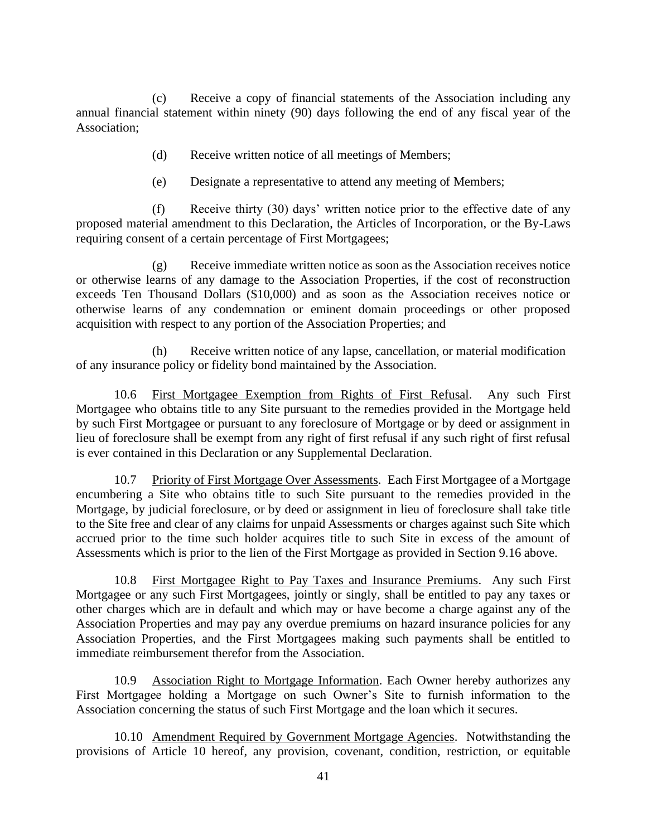(c) Receive a copy of financial statements of the Association including any annual financial statement within ninety (90) days following the end of any fiscal year of the Association;

- (d) Receive written notice of all meetings of Members;
- (e) Designate a representative to attend any meeting of Members;

(f) Receive thirty (30) days' written notice prior to the effective date of any proposed material amendment to this Declaration, the Articles of Incorporation, or the By-Laws requiring consent of a certain percentage of First Mortgagees;

(g) Receive immediate written notice as soon as the Association receives notice or otherwise learns of any damage to the Association Properties, if the cost of reconstruction exceeds Ten Thousand Dollars (\$10,000) and as soon as the Association receives notice or otherwise learns of any condemnation or eminent domain proceedings or other proposed acquisition with respect to any portion of the Association Properties; and

(h) Receive written notice of any lapse, cancellation, or material modification of any insurance policy or fidelity bond maintained by the Association.

<span id="page-47-0"></span>10.6 First Mortgagee Exemption from Rights of First Refusal. Any such First Mortgagee who obtains title to any Site pursuant to the remedies provided in the Mortgage held by such First Mortgagee or pursuant to any foreclosure of Mortgage or by deed or assignment in lieu of foreclosure shall be exempt from any right of first refusal if any such right of first refusal is ever contained in this Declaration or any Supplemental Declaration.

<span id="page-47-1"></span>10.7 Priority of First Mortgage Over Assessments. Each First Mortgagee of a Mortgage encumbering a Site who obtains title to such Site pursuant to the remedies provided in the Mortgage, by judicial foreclosure, or by deed or assignment in lieu of foreclosure shall take title to the Site free and clear of any claims for unpaid Assessments or charges against such Site which accrued prior to the time such holder acquires title to such Site in excess of the amount of Assessments which is prior to the lien of the First Mortgage as provided in Section 9.16 above.

<span id="page-47-2"></span>10.8 First Mortgagee Right to Pay Taxes and Insurance Premiums. Any such First Mortgagee or any such First Mortgagees, jointly or singly, shall be entitled to pay any taxes or other charges which are in default and which may or have become a charge against any of the Association Properties and may pay any overdue premiums on hazard insurance policies for any Association Properties, and the First Mortgagees making such payments shall be entitled to immediate reimbursement therefor from the Association.

<span id="page-47-3"></span>10.9 Association Right to Mortgage Information. Each Owner hereby authorizes any First Mortgagee holding a Mortgage on such Owner's Site to furnish information to the Association concerning the status of such First Mortgage and the loan which it secures.

<span id="page-47-4"></span>10.10 Amendment Required by Government Mortgage Agencies. Notwithstanding the provisions of Article 10 hereof, any provision, covenant, condition, restriction, or equitable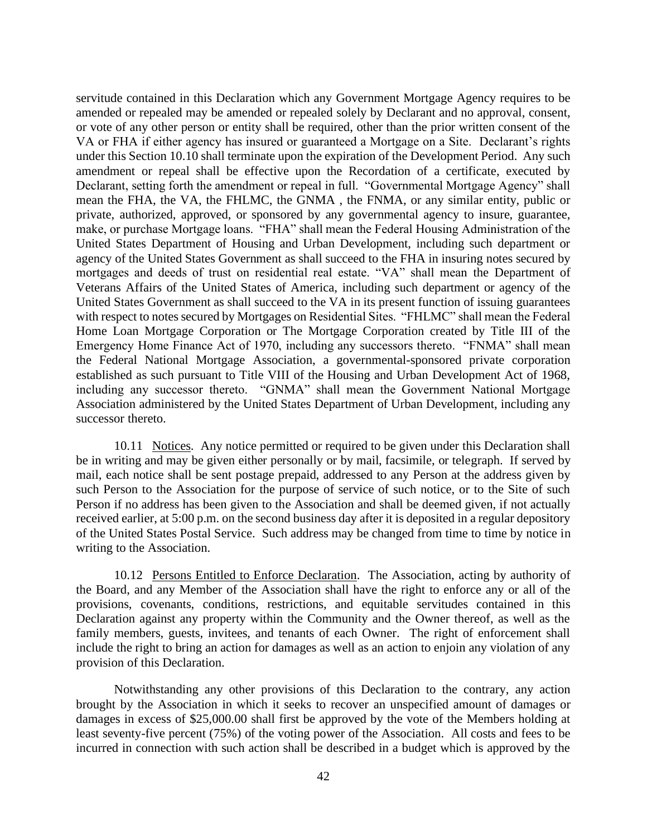servitude contained in this Declaration which any Government Mortgage Agency requires to be amended or repealed may be amended or repealed solely by Declarant and no approval, consent, or vote of any other person or entity shall be required, other than the prior written consent of the VA or FHA if either agency has insured or guaranteed a Mortgage on a Site. Declarant's rights under this Section 10.10 shall terminate upon the expiration of the Development Period. Any such amendment or repeal shall be effective upon the Recordation of a certificate, executed by Declarant, setting forth the amendment or repeal in full. "Governmental Mortgage Agency" shall mean the FHA, the VA, the FHLMC, the GNMA , the FNMA, or any similar entity, public or private, authorized, approved, or sponsored by any governmental agency to insure, guarantee, make, or purchase Mortgage loans. "FHA" shall mean the Federal Housing Administration of the United States Department of Housing and Urban Development, including such department or agency of the United States Government as shall succeed to the FHA in insuring notes secured by mortgages and deeds of trust on residential real estate. "VA" shall mean the Department of Veterans Affairs of the United States of America, including such department or agency of the United States Government as shall succeed to the VA in its present function of issuing guarantees with respect to notes secured by Mortgages on Residential Sites. "FHLMC" shall mean the Federal Home Loan Mortgage Corporation or The Mortgage Corporation created by Title III of the Emergency Home Finance Act of 1970, including any successors thereto. "FNMA" shall mean the Federal National Mortgage Association, a governmental-sponsored private corporation established as such pursuant to Title VIII of the Housing and Urban Development Act of 1968, including any successor thereto. "GNMA" shall mean the Government National Mortgage Association administered by the United States Department of Urban Development, including any successor thereto.

<span id="page-48-0"></span>10.11 Notices. Any notice permitted or required to be given under this Declaration shall be in writing and may be given either personally or by mail, facsimile, or telegraph. If served by mail, each notice shall be sent postage prepaid, addressed to any Person at the address given by such Person to the Association for the purpose of service of such notice, or to the Site of such Person if no address has been given to the Association and shall be deemed given, if not actually received earlier, at 5:00 p.m. on the second business day after it is deposited in a regular depository of the United States Postal Service. Such address may be changed from time to time by notice in writing to the Association.

<span id="page-48-1"></span>10.12 Persons Entitled to Enforce Declaration. The Association, acting by authority of the Board, and any Member of the Association shall have the right to enforce any or all of the provisions, covenants, conditions, restrictions, and equitable servitudes contained in this Declaration against any property within the Community and the Owner thereof, as well as the family members, guests, invitees, and tenants of each Owner. The right of enforcement shall include the right to bring an action for damages as well as an action to enjoin any violation of any provision of this Declaration.

Notwithstanding any other provisions of this Declaration to the contrary, any action brought by the Association in which it seeks to recover an unspecified amount of damages or damages in excess of \$25,000.00 shall first be approved by the vote of the Members holding at least seventy-five percent (75%) of the voting power of the Association. All costs and fees to be incurred in connection with such action shall be described in a budget which is approved by the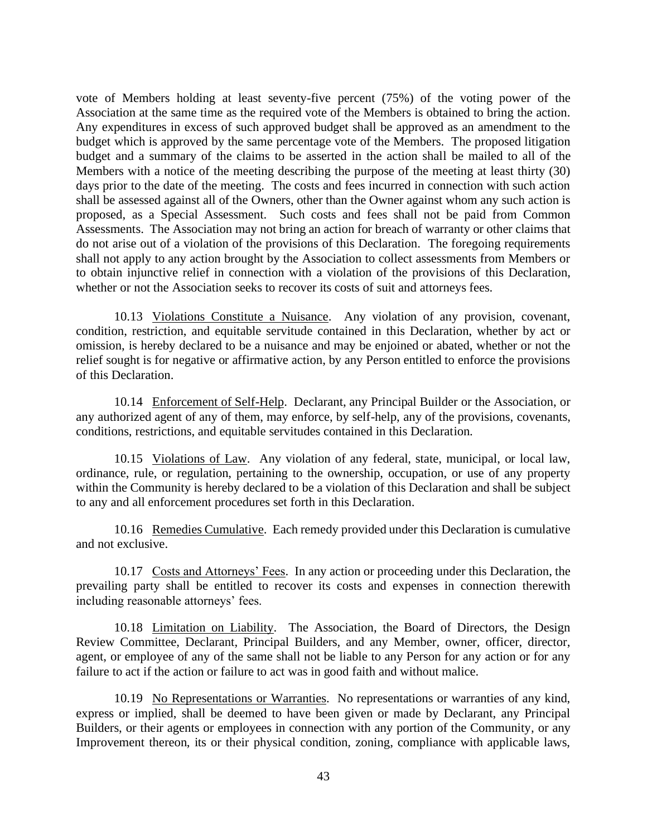vote of Members holding at least seventy-five percent (75%) of the voting power of the Association at the same time as the required vote of the Members is obtained to bring the action. Any expenditures in excess of such approved budget shall be approved as an amendment to the budget which is approved by the same percentage vote of the Members. The proposed litigation budget and a summary of the claims to be asserted in the action shall be mailed to all of the Members with a notice of the meeting describing the purpose of the meeting at least thirty (30) days prior to the date of the meeting. The costs and fees incurred in connection with such action shall be assessed against all of the Owners, other than the Owner against whom any such action is proposed, as a Special Assessment. Such costs and fees shall not be paid from Common Assessments. The Association may not bring an action for breach of warranty or other claims that do not arise out of a violation of the provisions of this Declaration. The foregoing requirements shall not apply to any action brought by the Association to collect assessments from Members or to obtain injunctive relief in connection with a violation of the provisions of this Declaration, whether or not the Association seeks to recover its costs of suit and attorneys fees.

<span id="page-49-0"></span>10.13 Violations Constitute a Nuisance. Any violation of any provision, covenant, condition, restriction, and equitable servitude contained in this Declaration, whether by act or omission, is hereby declared to be a nuisance and may be enjoined or abated, whether or not the relief sought is for negative or affirmative action, by any Person entitled to enforce the provisions of this Declaration.

<span id="page-49-1"></span>10.14 Enforcement of Self-Help. Declarant, any Principal Builder or the Association, or any authorized agent of any of them, may enforce, by self-help, any of the provisions, covenants, conditions, restrictions, and equitable servitudes contained in this Declaration.

<span id="page-49-2"></span>10.15 Violations of Law. Any violation of any federal, state, municipal, or local law, ordinance, rule, or regulation, pertaining to the ownership, occupation, or use of any property within the Community is hereby declared to be a violation of this Declaration and shall be subject to any and all enforcement procedures set forth in this Declaration.

<span id="page-49-3"></span>10.16 Remedies Cumulative. Each remedy provided under this Declaration is cumulative and not exclusive.

<span id="page-49-4"></span>10.17 Costs and Attorneys' Fees. In any action or proceeding under this Declaration, the prevailing party shall be entitled to recover its costs and expenses in connection therewith including reasonable attorneys' fees.

<span id="page-49-5"></span>10.18 Limitation on Liability. The Association, the Board of Directors, the Design Review Committee, Declarant, Principal Builders, and any Member, owner, officer, director, agent, or employee of any of the same shall not be liable to any Person for any action or for any failure to act if the action or failure to act was in good faith and without malice.

<span id="page-49-6"></span>10.19 No Representations or Warranties. No representations or warranties of any kind, express or implied, shall be deemed to have been given or made by Declarant, any Principal Builders, or their agents or employees in connection with any portion of the Community, or any Improvement thereon, its or their physical condition, zoning, compliance with applicable laws,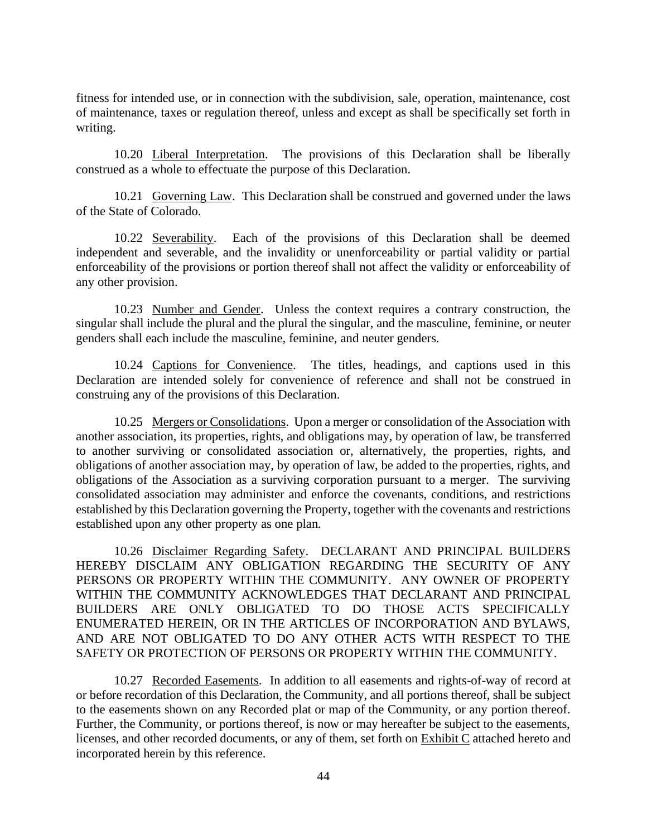fitness for intended use, or in connection with the subdivision, sale, operation, maintenance, cost of maintenance, taxes or regulation thereof, unless and except as shall be specifically set forth in writing.

<span id="page-50-0"></span>10.20 Liberal Interpretation. The provisions of this Declaration shall be liberally construed as a whole to effectuate the purpose of this Declaration.

<span id="page-50-1"></span>10.21 Governing Law. This Declaration shall be construed and governed under the laws of the State of Colorado.

<span id="page-50-2"></span>10.22 Severability. Each of the provisions of this Declaration shall be deemed independent and severable, and the invalidity or unenforceability or partial validity or partial enforceability of the provisions or portion thereof shall not affect the validity or enforceability of any other provision.

<span id="page-50-3"></span>10.23 Number and Gender. Unless the context requires a contrary construction, the singular shall include the plural and the plural the singular, and the masculine, feminine, or neuter genders shall each include the masculine, feminine, and neuter genders.

<span id="page-50-4"></span>10.24 Captions for Convenience. The titles, headings, and captions used in this Declaration are intended solely for convenience of reference and shall not be construed in construing any of the provisions of this Declaration.

<span id="page-50-5"></span>10.25 Mergers or Consolidations. Upon a merger or consolidation of the Association with another association, its properties, rights, and obligations may, by operation of law, be transferred to another surviving or consolidated association or, alternatively, the properties, rights, and obligations of another association may, by operation of law, be added to the properties, rights, and obligations of the Association as a surviving corporation pursuant to a merger. The surviving consolidated association may administer and enforce the covenants, conditions, and restrictions established by this Declaration governing the Property, together with the covenants and restrictions established upon any other property as one plan.

<span id="page-50-6"></span>10.26 Disclaimer Regarding Safety. DECLARANT AND PRINCIPAL BUILDERS HEREBY DISCLAIM ANY OBLIGATION REGARDING THE SECURITY OF ANY PERSONS OR PROPERTY WITHIN THE COMMUNITY. ANY OWNER OF PROPERTY WITHIN THE COMMUNITY ACKNOWLEDGES THAT DECLARANT AND PRINCIPAL BUILDERS ARE ONLY OBLIGATED TO DO THOSE ACTS SPECIFICALLY ENUMERATED HEREIN, OR IN THE ARTICLES OF INCORPORATION AND BYLAWS, AND ARE NOT OBLIGATED TO DO ANY OTHER ACTS WITH RESPECT TO THE SAFETY OR PROTECTION OF PERSONS OR PROPERTY WITHIN THE COMMUNITY.

<span id="page-50-7"></span>10.27 Recorded Easements. In addition to all easements and rights-of-way of record at or before recordation of this Declaration, the Community, and all portions thereof, shall be subject to the easements shown on any Recorded plat or map of the Community, or any portion thereof. Further, the Community, or portions thereof, is now or may hereafter be subject to the easements, licenses, and other recorded documents, or any of them, set forth on Exhibit C attached hereto and incorporated herein by this reference.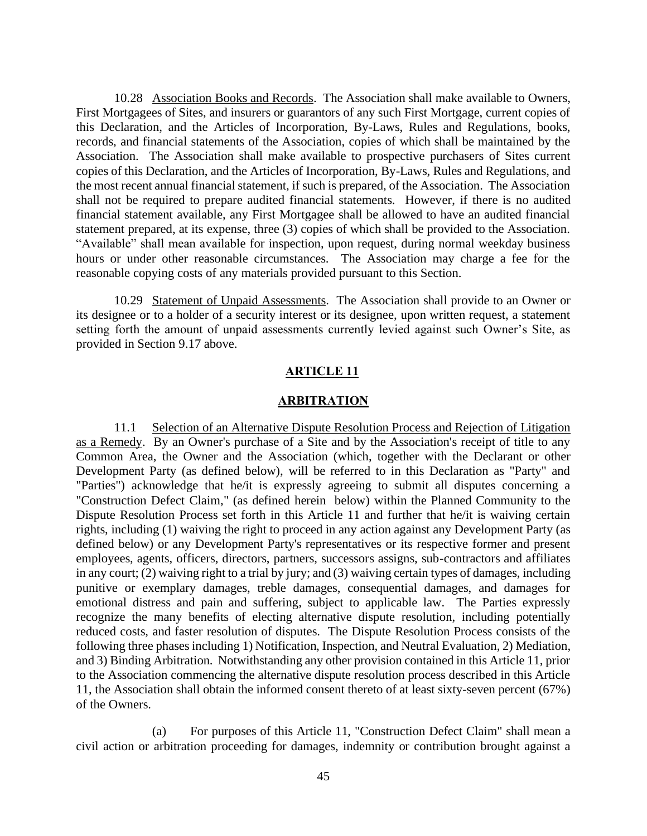<span id="page-51-0"></span>10.28 Association Books and Records. The Association shall make available to Owners, First Mortgagees of Sites, and insurers or guarantors of any such First Mortgage, current copies of this Declaration, and the Articles of Incorporation, By-Laws, Rules and Regulations, books, records, and financial statements of the Association, copies of which shall be maintained by the Association. The Association shall make available to prospective purchasers of Sites current copies of this Declaration, and the Articles of Incorporation, By-Laws, Rules and Regulations, and the most recent annual financial statement, if such is prepared, of the Association. The Association shall not be required to prepare audited financial statements. However, if there is no audited financial statement available, any First Mortgagee shall be allowed to have an audited financial statement prepared, at its expense, three (3) copies of which shall be provided to the Association. "Available" shall mean available for inspection, upon request, during normal weekday business hours or under other reasonable circumstances. The Association may charge a fee for the reasonable copying costs of any materials provided pursuant to this Section.

<span id="page-51-1"></span>10.29 Statement of Unpaid Assessments. The Association shall provide to an Owner or its designee or to a holder of a security interest or its designee, upon written request, a statement setting forth the amount of unpaid assessments currently levied against such Owner's Site, as provided in Section 9.17 above.

#### **ARTICLE 11**

#### **ARBITRATION**

<span id="page-51-3"></span><span id="page-51-2"></span>11.1 Selection of an Alternative Dispute Resolution Process and Rejection of Litigation as a Remedy. By an Owner's purchase of a Site and by the Association's receipt of title to any Common Area, the Owner and the Association (which, together with the Declarant or other Development Party (as defined below), will be referred to in this Declaration as "Party" and "Parties") acknowledge that he/it is expressly agreeing to submit all disputes concerning a "Construction Defect Claim," (as defined herein below) within the Planned Community to the Dispute Resolution Process set forth in this Article 11 and further that he/it is waiving certain rights, including (1) waiving the right to proceed in any action against any Development Party (as defined below) or any Development Party's representatives or its respective former and present employees, agents, officers, directors, partners, successors assigns, sub-contractors and affiliates in any court; (2) waiving right to a trial by jury; and (3) waiving certain types of damages, including punitive or exemplary damages, treble damages, consequential damages, and damages for emotional distress and pain and suffering, subject to applicable law. The Parties expressly recognize the many benefits of electing alternative dispute resolution, including potentially reduced costs, and faster resolution of disputes. The Dispute Resolution Process consists of the following three phases including 1) Notification, Inspection, and Neutral Evaluation, 2) Mediation, and 3) Binding Arbitration. Notwithstanding any other provision contained in this Article 11, prior to the Association commencing the alternative dispute resolution process described in this Article 11, the Association shall obtain the informed consent thereto of at least sixty-seven percent (67%) of the Owners.

(a) For purposes of this Article 11, "Construction Defect Claim" shall mean a civil action or arbitration proceeding for damages, indemnity or contribution brought against a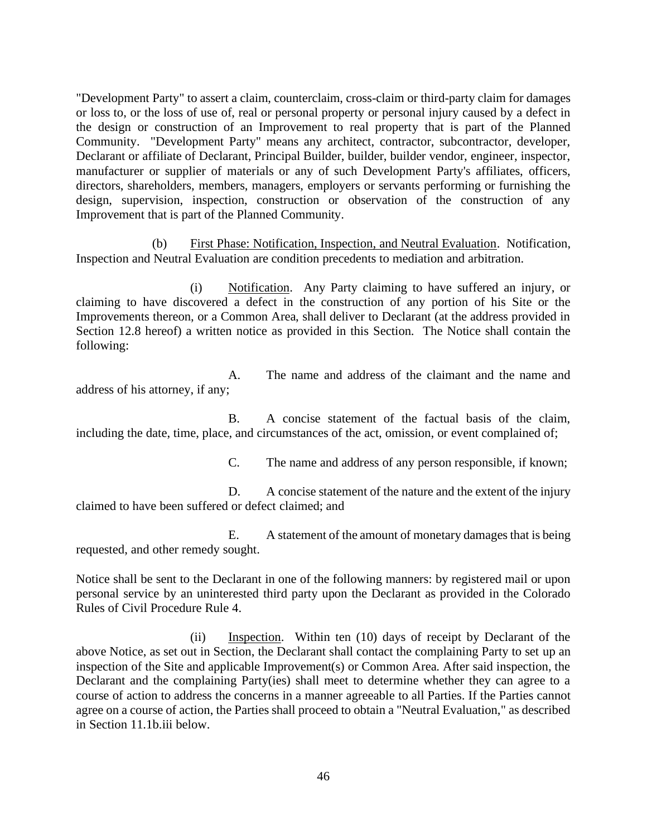"Development Party" to assert a claim, counterclaim, cross-claim or third-party claim for damages or loss to, or the loss of use of, real or personal property or personal injury caused by a defect in the design or construction of an Improvement to real property that is part of the Planned Community. "Development Party" means any architect, contractor, subcontractor, developer, Declarant or affiliate of Declarant, Principal Builder, builder, builder vendor, engineer, inspector, manufacturer or supplier of materials or any of such Development Party's affiliates, officers, directors, shareholders, members, managers, employers or servants performing or furnishing the design, supervision, inspection, construction or observation of the construction of any Improvement that is part of the Planned Community.

(b) First Phase: Notification, Inspection, and Neutral Evaluation. Notification, Inspection and Neutral Evaluation are condition precedents to mediation and arbitration.

(i) Notification. Any Party claiming to have suffered an injury, or claiming to have discovered a defect in the construction of any portion of his Site or the Improvements thereon, or a Common Area, shall deliver to Declarant (at the address provided in Section 12.8 hereof) a written notice as provided in this Section. The Notice shall contain the following:

A. The name and address of the claimant and the name and address of his attorney, if any;

B. A concise statement of the factual basis of the claim, including the date, time, place, and circumstances of the act, omission, or event complained of;

C. The name and address of any person responsible, if known;

D. A concise statement of the nature and the extent of the injury claimed to have been suffered or defect claimed; and

E. A statement of the amount of monetary damages that is being requested, and other remedy sought.

Notice shall be sent to the Declarant in one of the following manners: by registered mail or upon personal service by an uninterested third party upon the Declarant as provided in the Colorado Rules of Civil Procedure Rule 4.

(ii) Inspection. Within ten (10) days of receipt by Declarant of the above Notice, as set out in Section, the Declarant shall contact the complaining Party to set up an inspection of the Site and applicable Improvement(s) or Common Area. After said inspection, the Declarant and the complaining Party(ies) shall meet to determine whether they can agree to a course of action to address the concerns in a manner agreeable to all Parties. If the Parties cannot agree on a course of action, the Parties shall proceed to obtain a "Neutral Evaluation," as described in Section 11.1b.iii below.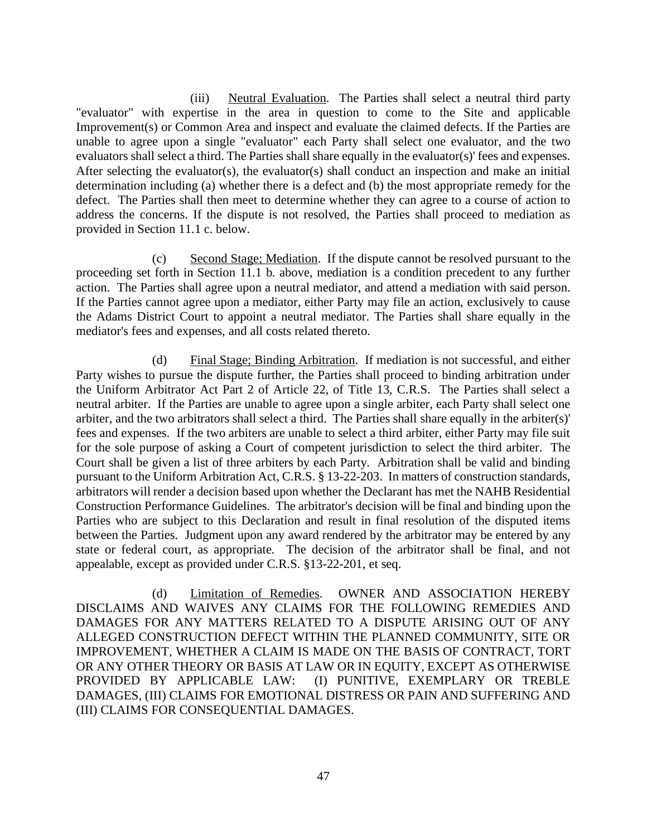(iii) Neutral Evaluation. The Parties shall select a neutral third party "evaluator" with expertise in the area in question to come to the Site and applicable Improvement(s) or Common Area and inspect and evaluate the claimed defects. If the Parties are unable to agree upon a single "evaluator" each Party shall select one evaluator, and the two evaluators shall select a third. The Parties shall share equally in the evaluator(s)' fees and expenses. After selecting the evaluator(s), the evaluator(s) shall conduct an inspection and make an initial determination including (a) whether there is a defect and (b) the most appropriate remedy for the defect. The Parties shall then meet to determine whether they can agree to a course of action to address the concerns. If the dispute is not resolved, the Parties shall proceed to mediation as provided in Section 11.1 c. below.

(c) Second Stage; Mediation. If the dispute cannot be resolved pursuant to the proceeding set forth in Section 11.1 b. above, mediation is a condition precedent to any further action. The Parties shall agree upon a neutral mediator, and attend a mediation with said person. If the Parties cannot agree upon a mediator, either Party may file an action, exclusively to cause the Adams District Court to appoint a neutral mediator. The Parties shall share equally in the mediator's fees and expenses, and all costs related thereto.

(d) Final Stage; Binding Arbitration. If mediation is not successful, and either Party wishes to pursue the dispute further, the Parties shall proceed to binding arbitration under the Uniform Arbitrator Act Part 2 of Article 22, of Title 13, C.R.S. The Parties shall select a neutral arbiter. If the Parties are unable to agree upon a single arbiter, each Party shall select one arbiter, and the two arbitrators shall select a third. The Parties shall share equally in the arbiter(s)' fees and expenses. If the two arbiters are unable to select a third arbiter, either Party may file suit for the sole purpose of asking a Court of competent jurisdiction to select the third arbiter. The Court shall be given a list of three arbiters by each Party. Arbitration shall be valid and binding pursuant to the Uniform Arbitration Act, C.R.S. § 13-22-203. In matters of construction standards, arbitrators will render a decision based upon whether the Declarant has met the NAHB Residential Construction Performance Guidelines. The arbitrator's decision will be final and binding upon the Parties who are subject to this Declaration and result in final resolution of the disputed items between the Parties. Judgment upon any award rendered by the arbitrator may be entered by any state or federal court, as appropriate. The decision of the arbitrator shall be final, and not appealable, except as provided under C.R.S. §13-22-201, et seq.

(d) Limitation of Remedies. OWNER AND ASSOCIATION HEREBY DISCLAIMS AND WAIVES ANY CLAIMS FOR THE FOLLOWING REMEDIES AND DAMAGES FOR ANY MATTERS RELATED TO A DISPUTE ARISING OUT OF ANY ALLEGED CONSTRUCTION DEFECT WITHIN THE PLANNED COMMUNITY, SITE OR IMPROVEMENT, WHETHER A CLAIM IS MADE ON THE BASIS OF CONTRACT, TORT OR ANY OTHER THEORY OR BASIS AT LAW OR IN EQUITY, EXCEPT AS OTHERWISE PROVIDED BY APPLICABLE LAW: (I) PUNITIVE, EXEMPLARY OR TREBLE DAMAGES, (III) CLAIMS FOR EMOTIONAL DISTRESS OR PAIN AND SUFFERING AND (III) CLAIMS FOR CONSEQUENTIAL DAMAGES.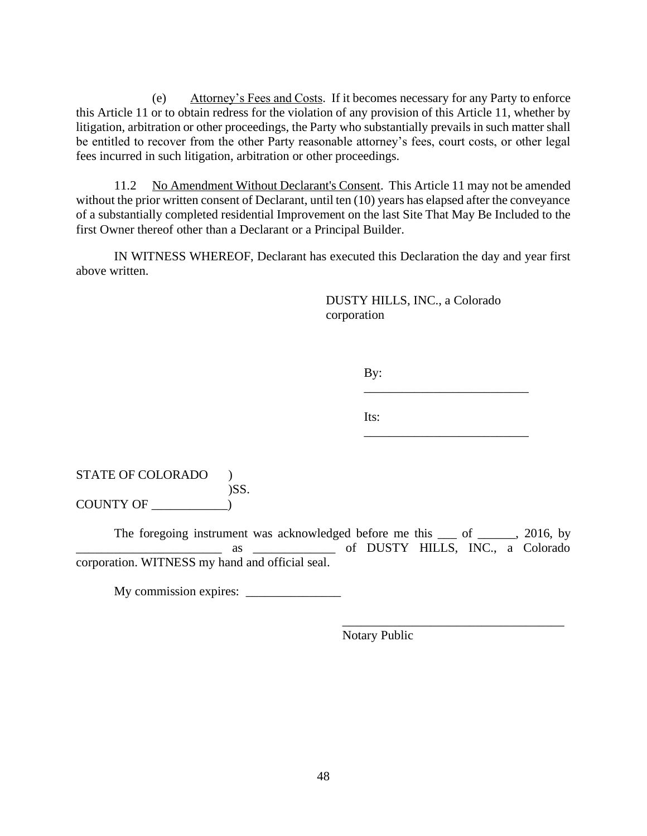(e) Attorney's Fees and Costs. If it becomes necessary for any Party to enforce this Article 11 or to obtain redress for the violation of any provision of this Article 11, whether by litigation, arbitration or other proceedings, the Party who substantially prevails in such matter shall be entitled to recover from the other Party reasonable attorney's fees, court costs, or other legal fees incurred in such litigation, arbitration or other proceedings.

<span id="page-54-0"></span>11.2 No Amendment Without Declarant's Consent. This Article 11 may not be amended without the prior written consent of Declarant, until ten (10) years has elapsed after the conveyance of a substantially completed residential Improvement on the last Site That May Be Included to the first Owner thereof other than a Declarant or a Principal Builder.

IN WITNESS WHEREOF, Declarant has executed this Declaration the day and year first above written.

> DUSTY HILLS, INC., a Colorado corporation

> > By:

\_\_\_\_\_\_\_\_\_\_\_\_\_\_\_\_\_\_\_\_\_\_\_\_\_\_

\_\_\_\_\_\_\_\_\_\_\_\_\_\_\_\_\_\_\_\_\_\_\_\_\_\_\_\_\_\_\_\_\_\_\_

Its: \_\_\_\_\_\_\_\_\_\_\_\_\_\_\_\_\_\_\_\_\_\_\_\_\_\_

STATE OF COLORADO ) )SS. COUNTY OF \_\_\_\_\_\_\_\_\_\_\_\_)

The foregoing instrument was acknowledged before me this \_\_\_ of \_\_\_\_\_, 2016, by \_\_\_\_\_\_\_\_\_\_\_\_\_\_\_\_\_\_\_\_\_\_\_ as \_\_\_\_\_\_\_\_\_\_\_\_\_ of DUSTY HILLS, INC., a Colorado corporation. WITNESS my hand and official seal.

My commission expires: \_\_\_\_\_\_\_\_\_\_\_\_\_\_\_

Notary Public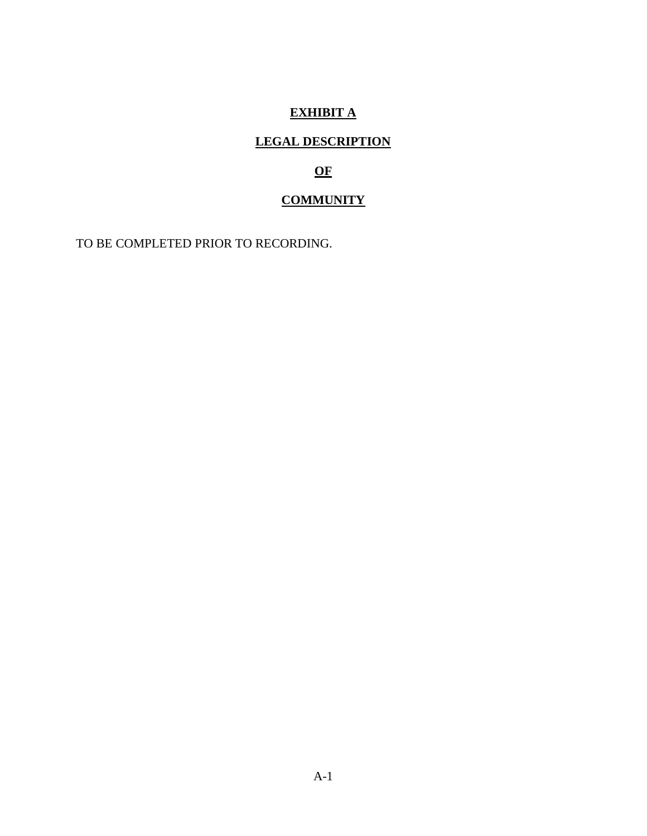# **EXHIBIT A**

# **LEGAL DESCRIPTION**

# **OF**

# **COMMUNITY**

TO BE COMPLETED PRIOR TO RECORDING.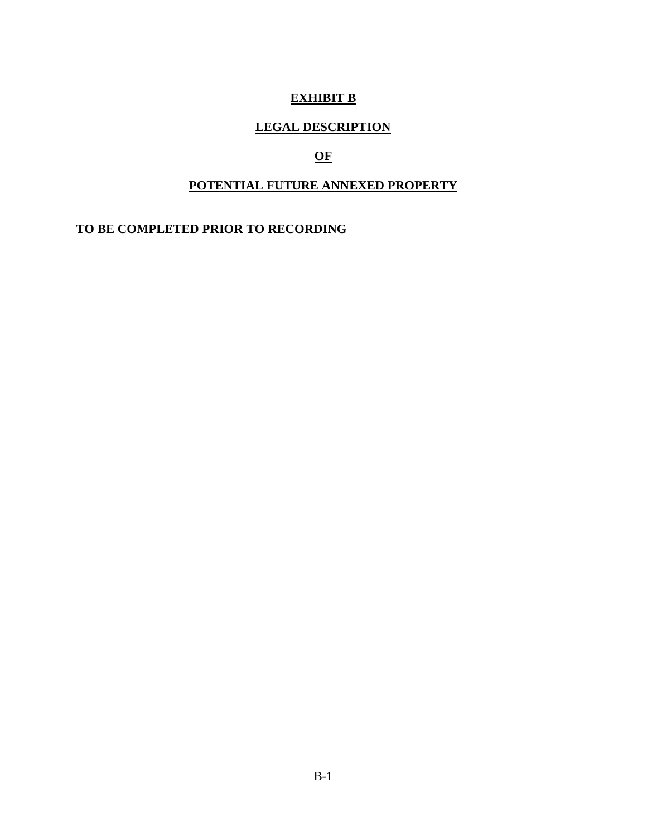# **EXHIBIT B**

### **LEGAL DESCRIPTION**

# **OF**

### **POTENTIAL FUTURE ANNEXED PROPERTY**

**TO BE COMPLETED PRIOR TO RECORDING**